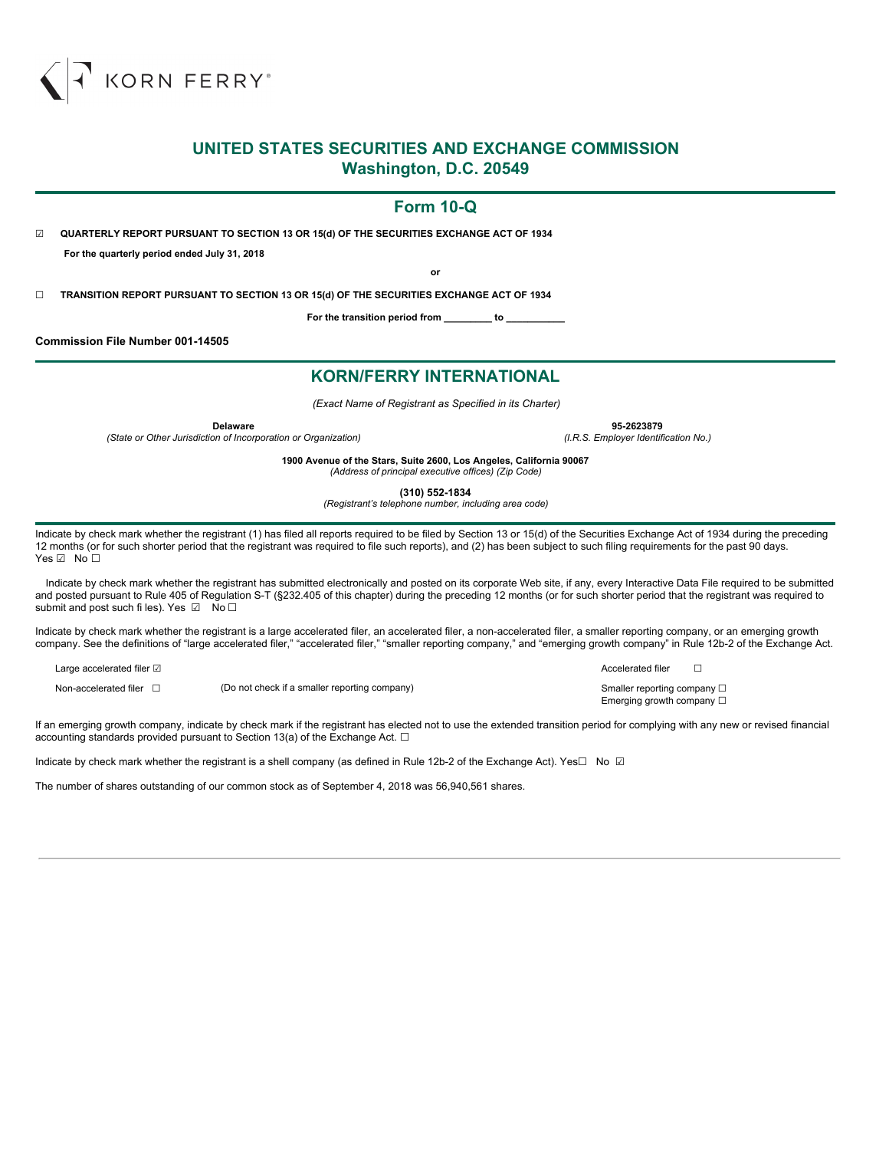

## **UNITED STATES SECURITIES AND EXCHANGE COMMISSION Washington, D.C. 20549**

## **Form 10-Q**

☑ **QUARTERLY REPORT PURSUANT TO SECTION 13 OR 15(d) OF THE SECURITIES EXCHANGE ACT OF 1934 For the quarterly period ended July 31, 2018**

**or**

☐ **TRANSITION REPORT PURSUANT TO SECTION 13 OR 15(d) OF THE SECURITIES EXCHANGE ACT OF 1934**

**For the transition period from \_\_\_\_\_\_\_\_\_ to \_\_\_\_\_\_\_\_\_\_\_**

**Commission File Number 001-14505**

## **KORN/FERRY INTERNATIONAL**

*(Exact Name of Registrant as Specified in its Charter)*

*(State or Other Jurisdiction of Incorporation or Organization) (I.R.S. Employer Identification No.)*

**Delaware 95-2623879**

**1900 Avenue of the Stars, Suite 2600, Los Angeles, California 90067** *(Address of principal executive offices) (Zip Code)*

**(310) 552-1834**

*(Registrant's telephone number, including area code)*

Indicate by check mark whether the registrant (1) has filed all reports required to be filed by Section 13 or 15(d) of the Securities Exchange Act of 1934 during the preceding 12 months (or for such shorter period that the registrant was required to file such reports), and (2) has been subject to such filing requirements for the past 90 days. Yes **<u></u>** No □

Indicate by check mark whether the registrant has submitted electronically and posted on its corporate Web site, if any, every Interactive Data File required to be submitted and posted pursuant to Rule 405 of Regulation S-T (§232.405 of this chapter) during the preceding 12 months (or for such shorter period that the registrant was required to submit and post such fi les). Yes 2 No □

Indicate by check mark whether the registrant is a large accelerated filer, an accelerated filer, a non-accelerated filer, a smaller reporting company, or an emerging growth company. See the definitions of "large accelerated filer," "accelerated filer," "smaller reporting company," and "emerging growth company" in Rule 12b-2 of the Exchange Act.

Large accelerated filer ☑  $\Box$ 

Non-accelerated filer □ (Do not check if a smaller reporting company) Smaller reporting company □

Emerging growth company □

If an emerging growth company, indicate by check mark if the registrant has elected not to use the extended transition period for complying with any new or revised financial accounting standards provided pursuant to Section 13(a) of the Exchange Act.  $\square$ 

Indicate by check mark whether the registrant is a shell company (as defined in Rule 12b-2 of the Exchange Act). Yes□ No □

The number of shares outstanding of our common stock as of September 4, 2018 was 56,940,561 shares.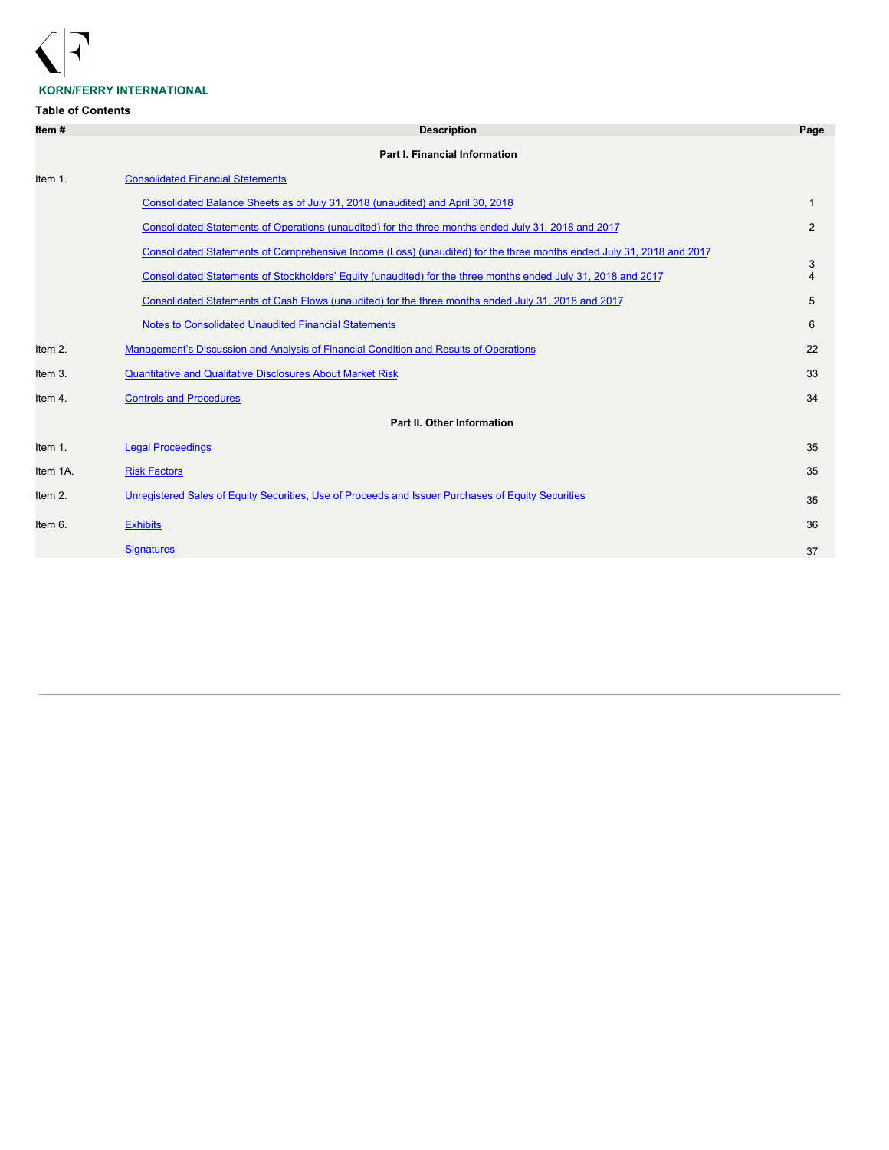

## **KORN/FERRY INTERNATIONAL**

## **Table of Contents**

| Item#    | <b>Description</b>                                                                                                   | Page                |
|----------|----------------------------------------------------------------------------------------------------------------------|---------------------|
|          | <b>Part I. Financial Information</b>                                                                                 |                     |
| Item 1.  | <b>Consolidated Financial Statements</b>                                                                             |                     |
|          | Consolidated Balance Sheets as of July 31, 2018 (unaudited) and April 30, 2018                                       | 1                   |
|          | Consolidated Statements of Operations (unaudited) for the three months ended July 31, 2018 and 2017                  | $\overline{2}$      |
|          | Consolidated Statements of Comprehensive Income (Loss) (unaudited) for the three months ended July 31, 2018 and 2017 |                     |
|          | Consolidated Statements of Stockholders' Equity (unaudited) for the three months ended July 31, 2018 and 2017        | 3<br>$\overline{4}$ |
|          | Consolidated Statements of Cash Flows (unaudited) for the three months ended July 31, 2018 and 2017                  | 5                   |
|          | <b>Notes to Consolidated Unaudited Financial Statements</b>                                                          | 6                   |
| Item 2.  | Management's Discussion and Analysis of Financial Condition and Results of Operations                                | 22                  |
| Item 3.  | <b>Quantitative and Qualitative Disclosures About Market Risk</b>                                                    | 33                  |
| Item 4.  | <b>Controls and Procedures</b>                                                                                       | 34                  |
|          | Part II. Other Information                                                                                           |                     |
| Item 1.  | <b>Legal Proceedings</b>                                                                                             | 35                  |
| Item 1A. | <b>Risk Factors</b>                                                                                                  | 35                  |
| Item 2.  | Unregistered Sales of Equity Securities, Use of Proceeds and Issuer Purchases of Equity Securities                   | 35                  |
| Item 6.  | <b>Exhibits</b>                                                                                                      | 36                  |
|          | <b>Signatures</b>                                                                                                    | 37                  |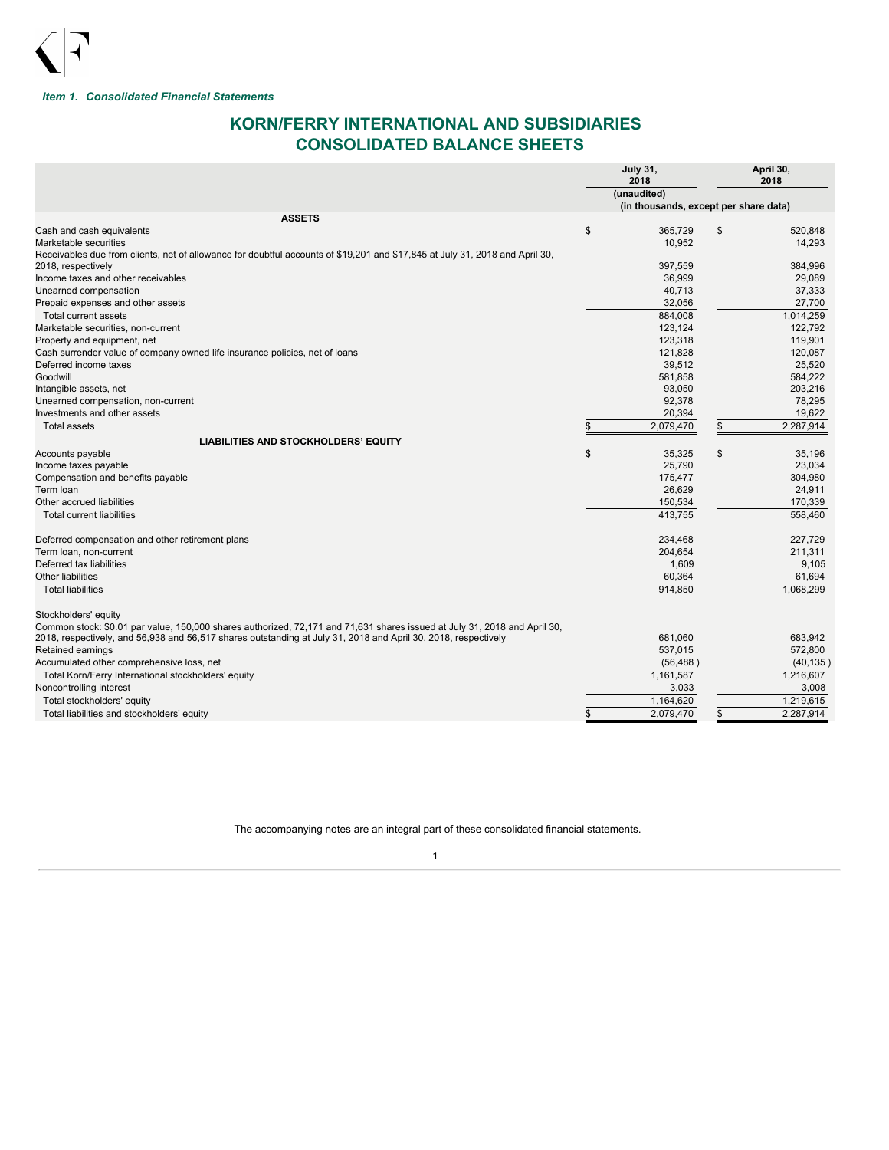

<span id="page-2-0"></span>*Item 1. Consolidated Financial Statements*

## <span id="page-2-1"></span>**KORN/FERRY INTERNATIONAL AND SUBSIDIARIES CONSOLIDATED BALANCE SHEETS**

| (unaudited)<br>(in thousands, except per share data)<br><b>ASSETS</b><br>\$<br>365,729<br>\$<br>Cash and cash equivalents<br>10.952<br>Marketable securities<br>Receivables due from clients, net of allowance for doubtful accounts of \$19,201 and \$17,845 at July 31, 2018 and April 30,<br>397,559<br>384.996<br>2018, respectively<br>Income taxes and other receivables<br>36,999<br>29,089<br>Unearned compensation<br>40,713<br>32,056<br>Prepaid expenses and other assets<br>884,008<br>1,014,259<br>Total current assets<br>Marketable securities, non-current<br>123,124<br>122,792<br>123,318<br>119,901<br>Property and equipment, net<br>121,828<br>120,087<br>Cash surrender value of company owned life insurance policies, net of loans<br>39,512<br>25,520<br>Deferred income taxes<br>Goodwill<br>581,858<br>584.222<br>203,216<br>Intangible assets, net<br>93,050<br>Unearned compensation, non-current<br>92,378<br>78,295<br>Investments and other assets<br>20,394<br>19.622<br>\$<br>2,079,470<br>2,287,914<br>Total assets<br>\$<br><b>LIABILITIES AND STOCKHOLDERS' EQUITY</b><br>Accounts payable<br>\$<br>35.325<br>\$<br>25,790<br>Income taxes payable<br>Compensation and benefits payable<br>175,477<br>Term loan<br>26,629<br>Other accrued liabilities<br>150,534<br><b>Total current liabilities</b><br>413,755<br>Deferred compensation and other retirement plans<br>234,468<br>Term loan, non-current<br>204,654<br>Deferred tax liabilities<br>1.609 |                   | <b>July 31,</b><br>2018 |  | April 30,<br>2018 |
|------------------------------------------------------------------------------------------------------------------------------------------------------------------------------------------------------------------------------------------------------------------------------------------------------------------------------------------------------------------------------------------------------------------------------------------------------------------------------------------------------------------------------------------------------------------------------------------------------------------------------------------------------------------------------------------------------------------------------------------------------------------------------------------------------------------------------------------------------------------------------------------------------------------------------------------------------------------------------------------------------------------------------------------------------------------------------------------------------------------------------------------------------------------------------------------------------------------------------------------------------------------------------------------------------------------------------------------------------------------------------------------------------------------------------------------------------------------------------------------------|-------------------|-------------------------|--|-------------------|
|                                                                                                                                                                                                                                                                                                                                                                                                                                                                                                                                                                                                                                                                                                                                                                                                                                                                                                                                                                                                                                                                                                                                                                                                                                                                                                                                                                                                                                                                                                |                   |                         |  |                   |
|                                                                                                                                                                                                                                                                                                                                                                                                                                                                                                                                                                                                                                                                                                                                                                                                                                                                                                                                                                                                                                                                                                                                                                                                                                                                                                                                                                                                                                                                                                |                   |                         |  |                   |
|                                                                                                                                                                                                                                                                                                                                                                                                                                                                                                                                                                                                                                                                                                                                                                                                                                                                                                                                                                                                                                                                                                                                                                                                                                                                                                                                                                                                                                                                                                |                   |                         |  |                   |
|                                                                                                                                                                                                                                                                                                                                                                                                                                                                                                                                                                                                                                                                                                                                                                                                                                                                                                                                                                                                                                                                                                                                                                                                                                                                                                                                                                                                                                                                                                |                   |                         |  | 520.848           |
|                                                                                                                                                                                                                                                                                                                                                                                                                                                                                                                                                                                                                                                                                                                                                                                                                                                                                                                                                                                                                                                                                                                                                                                                                                                                                                                                                                                                                                                                                                |                   |                         |  | 14,293            |
|                                                                                                                                                                                                                                                                                                                                                                                                                                                                                                                                                                                                                                                                                                                                                                                                                                                                                                                                                                                                                                                                                                                                                                                                                                                                                                                                                                                                                                                                                                |                   |                         |  |                   |
|                                                                                                                                                                                                                                                                                                                                                                                                                                                                                                                                                                                                                                                                                                                                                                                                                                                                                                                                                                                                                                                                                                                                                                                                                                                                                                                                                                                                                                                                                                |                   |                         |  |                   |
|                                                                                                                                                                                                                                                                                                                                                                                                                                                                                                                                                                                                                                                                                                                                                                                                                                                                                                                                                                                                                                                                                                                                                                                                                                                                                                                                                                                                                                                                                                |                   |                         |  | 37,333            |
|                                                                                                                                                                                                                                                                                                                                                                                                                                                                                                                                                                                                                                                                                                                                                                                                                                                                                                                                                                                                                                                                                                                                                                                                                                                                                                                                                                                                                                                                                                |                   |                         |  | 27.700            |
|                                                                                                                                                                                                                                                                                                                                                                                                                                                                                                                                                                                                                                                                                                                                                                                                                                                                                                                                                                                                                                                                                                                                                                                                                                                                                                                                                                                                                                                                                                |                   |                         |  |                   |
|                                                                                                                                                                                                                                                                                                                                                                                                                                                                                                                                                                                                                                                                                                                                                                                                                                                                                                                                                                                                                                                                                                                                                                                                                                                                                                                                                                                                                                                                                                |                   |                         |  |                   |
|                                                                                                                                                                                                                                                                                                                                                                                                                                                                                                                                                                                                                                                                                                                                                                                                                                                                                                                                                                                                                                                                                                                                                                                                                                                                                                                                                                                                                                                                                                |                   |                         |  |                   |
|                                                                                                                                                                                                                                                                                                                                                                                                                                                                                                                                                                                                                                                                                                                                                                                                                                                                                                                                                                                                                                                                                                                                                                                                                                                                                                                                                                                                                                                                                                |                   |                         |  |                   |
|                                                                                                                                                                                                                                                                                                                                                                                                                                                                                                                                                                                                                                                                                                                                                                                                                                                                                                                                                                                                                                                                                                                                                                                                                                                                                                                                                                                                                                                                                                |                   |                         |  |                   |
|                                                                                                                                                                                                                                                                                                                                                                                                                                                                                                                                                                                                                                                                                                                                                                                                                                                                                                                                                                                                                                                                                                                                                                                                                                                                                                                                                                                                                                                                                                |                   |                         |  |                   |
|                                                                                                                                                                                                                                                                                                                                                                                                                                                                                                                                                                                                                                                                                                                                                                                                                                                                                                                                                                                                                                                                                                                                                                                                                                                                                                                                                                                                                                                                                                |                   |                         |  |                   |
|                                                                                                                                                                                                                                                                                                                                                                                                                                                                                                                                                                                                                                                                                                                                                                                                                                                                                                                                                                                                                                                                                                                                                                                                                                                                                                                                                                                                                                                                                                |                   |                         |  |                   |
|                                                                                                                                                                                                                                                                                                                                                                                                                                                                                                                                                                                                                                                                                                                                                                                                                                                                                                                                                                                                                                                                                                                                                                                                                                                                                                                                                                                                                                                                                                |                   |                         |  |                   |
|                                                                                                                                                                                                                                                                                                                                                                                                                                                                                                                                                                                                                                                                                                                                                                                                                                                                                                                                                                                                                                                                                                                                                                                                                                                                                                                                                                                                                                                                                                |                   |                         |  |                   |
|                                                                                                                                                                                                                                                                                                                                                                                                                                                                                                                                                                                                                                                                                                                                                                                                                                                                                                                                                                                                                                                                                                                                                                                                                                                                                                                                                                                                                                                                                                |                   |                         |  |                   |
|                                                                                                                                                                                                                                                                                                                                                                                                                                                                                                                                                                                                                                                                                                                                                                                                                                                                                                                                                                                                                                                                                                                                                                                                                                                                                                                                                                                                                                                                                                |                   |                         |  |                   |
|                                                                                                                                                                                                                                                                                                                                                                                                                                                                                                                                                                                                                                                                                                                                                                                                                                                                                                                                                                                                                                                                                                                                                                                                                                                                                                                                                                                                                                                                                                |                   |                         |  | 35.196            |
|                                                                                                                                                                                                                                                                                                                                                                                                                                                                                                                                                                                                                                                                                                                                                                                                                                                                                                                                                                                                                                                                                                                                                                                                                                                                                                                                                                                                                                                                                                |                   |                         |  | 23,034            |
|                                                                                                                                                                                                                                                                                                                                                                                                                                                                                                                                                                                                                                                                                                                                                                                                                                                                                                                                                                                                                                                                                                                                                                                                                                                                                                                                                                                                                                                                                                |                   |                         |  | 304,980           |
|                                                                                                                                                                                                                                                                                                                                                                                                                                                                                                                                                                                                                                                                                                                                                                                                                                                                                                                                                                                                                                                                                                                                                                                                                                                                                                                                                                                                                                                                                                |                   |                         |  | 24,911            |
|                                                                                                                                                                                                                                                                                                                                                                                                                                                                                                                                                                                                                                                                                                                                                                                                                                                                                                                                                                                                                                                                                                                                                                                                                                                                                                                                                                                                                                                                                                |                   |                         |  | 170,339           |
|                                                                                                                                                                                                                                                                                                                                                                                                                                                                                                                                                                                                                                                                                                                                                                                                                                                                                                                                                                                                                                                                                                                                                                                                                                                                                                                                                                                                                                                                                                |                   |                         |  | 558,460           |
|                                                                                                                                                                                                                                                                                                                                                                                                                                                                                                                                                                                                                                                                                                                                                                                                                                                                                                                                                                                                                                                                                                                                                                                                                                                                                                                                                                                                                                                                                                |                   |                         |  | 227.729           |
|                                                                                                                                                                                                                                                                                                                                                                                                                                                                                                                                                                                                                                                                                                                                                                                                                                                                                                                                                                                                                                                                                                                                                                                                                                                                                                                                                                                                                                                                                                |                   |                         |  | 211,311           |
|                                                                                                                                                                                                                                                                                                                                                                                                                                                                                                                                                                                                                                                                                                                                                                                                                                                                                                                                                                                                                                                                                                                                                                                                                                                                                                                                                                                                                                                                                                |                   |                         |  | 9.105             |
|                                                                                                                                                                                                                                                                                                                                                                                                                                                                                                                                                                                                                                                                                                                                                                                                                                                                                                                                                                                                                                                                                                                                                                                                                                                                                                                                                                                                                                                                                                | Other liabilities | 60,364                  |  | 61,694            |
| 914,850<br><b>Total liabilities</b>                                                                                                                                                                                                                                                                                                                                                                                                                                                                                                                                                                                                                                                                                                                                                                                                                                                                                                                                                                                                                                                                                                                                                                                                                                                                                                                                                                                                                                                            |                   |                         |  | 1,068,299         |
| Stockholders' equity                                                                                                                                                                                                                                                                                                                                                                                                                                                                                                                                                                                                                                                                                                                                                                                                                                                                                                                                                                                                                                                                                                                                                                                                                                                                                                                                                                                                                                                                           |                   |                         |  |                   |
| Common stock: \$0.01 par value, 150,000 shares authorized, 72,171 and 71,631 shares issued at July 31, 2018 and April 30,                                                                                                                                                                                                                                                                                                                                                                                                                                                                                                                                                                                                                                                                                                                                                                                                                                                                                                                                                                                                                                                                                                                                                                                                                                                                                                                                                                      |                   |                         |  |                   |
| 681,060<br>2018, respectively, and 56,938 and 56,517 shares outstanding at July 31, 2018 and April 30, 2018, respectively                                                                                                                                                                                                                                                                                                                                                                                                                                                                                                                                                                                                                                                                                                                                                                                                                                                                                                                                                                                                                                                                                                                                                                                                                                                                                                                                                                      |                   |                         |  | 683.942           |
| 537.015<br>Retained earnings                                                                                                                                                                                                                                                                                                                                                                                                                                                                                                                                                                                                                                                                                                                                                                                                                                                                                                                                                                                                                                                                                                                                                                                                                                                                                                                                                                                                                                                                   |                   |                         |  | 572.800           |
| Accumulated other comprehensive loss, net<br>(56, 488)                                                                                                                                                                                                                                                                                                                                                                                                                                                                                                                                                                                                                                                                                                                                                                                                                                                                                                                                                                                                                                                                                                                                                                                                                                                                                                                                                                                                                                         |                   |                         |  | (40, 135)         |
| Total Korn/Ferry International stockholders' equity<br>1,161,587                                                                                                                                                                                                                                                                                                                                                                                                                                                                                                                                                                                                                                                                                                                                                                                                                                                                                                                                                                                                                                                                                                                                                                                                                                                                                                                                                                                                                               |                   |                         |  | 1,216,607         |
| Noncontrolling interest<br>3,033                                                                                                                                                                                                                                                                                                                                                                                                                                                                                                                                                                                                                                                                                                                                                                                                                                                                                                                                                                                                                                                                                                                                                                                                                                                                                                                                                                                                                                                               |                   |                         |  | 3,008             |
| 1,164,620<br>Total stockholders' equity                                                                                                                                                                                                                                                                                                                                                                                                                                                                                                                                                                                                                                                                                                                                                                                                                                                                                                                                                                                                                                                                                                                                                                                                                                                                                                                                                                                                                                                        |                   |                         |  | 1,219,615         |
| 2,079,470<br>Total liabilities and stockholders' equity<br>\$<br>\$                                                                                                                                                                                                                                                                                                                                                                                                                                                                                                                                                                                                                                                                                                                                                                                                                                                                                                                                                                                                                                                                                                                                                                                                                                                                                                                                                                                                                            |                   |                         |  | 2,287,914         |

The accompanying notes are an integral part of these consolidated financial statements.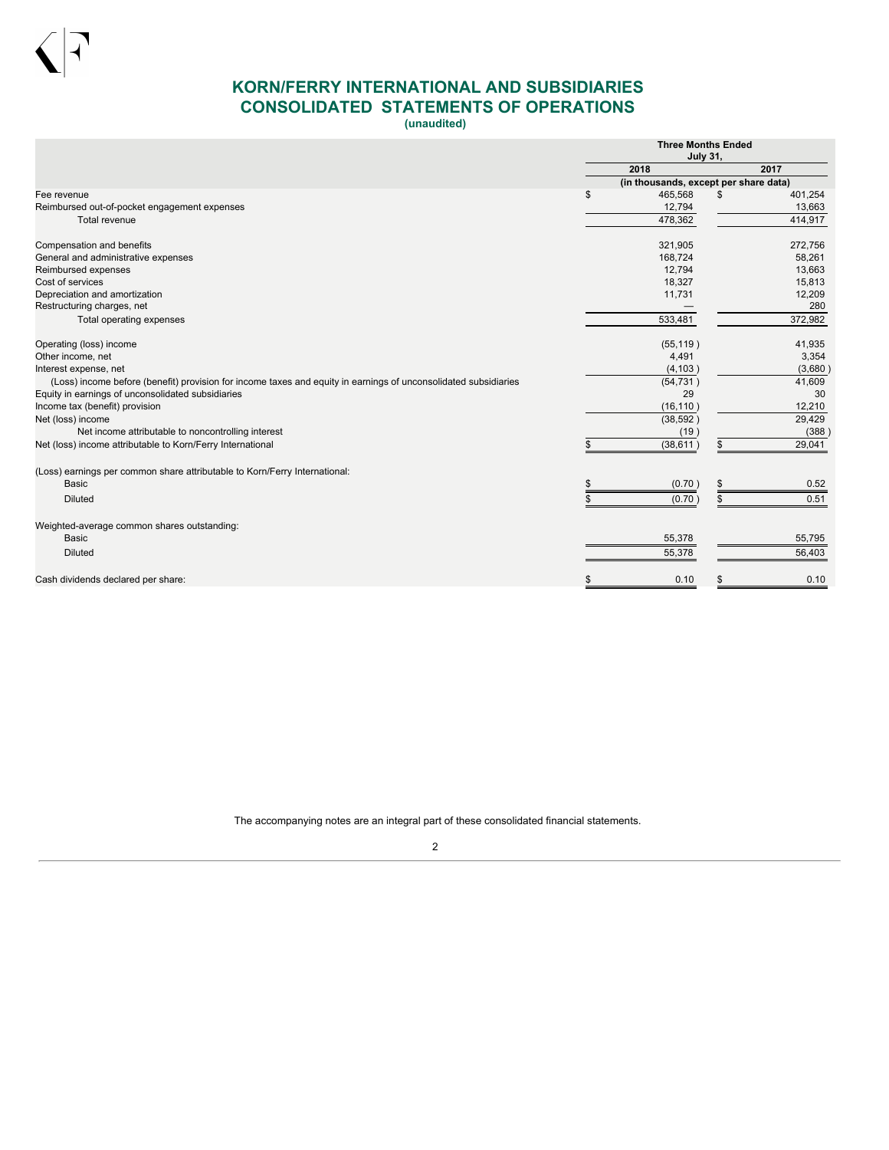

# <span id="page-3-0"></span>**KORN/FERRY INTERNATIONAL AND SUBSIDIARIES CONSOLIDATED STATEMENTS OF OPERATIONS**

**(unaudited)**

|                                                                                                                                                                                                                                                                                                                                                                                                                          | <b>Three Months Ended</b><br><b>July 31,</b> |                                                                                                  |                      |                                                                                   |  |
|--------------------------------------------------------------------------------------------------------------------------------------------------------------------------------------------------------------------------------------------------------------------------------------------------------------------------------------------------------------------------------------------------------------------------|----------------------------------------------|--------------------------------------------------------------------------------------------------|----------------------|-----------------------------------------------------------------------------------|--|
|                                                                                                                                                                                                                                                                                                                                                                                                                          |                                              | 2018                                                                                             |                      | 2017                                                                              |  |
|                                                                                                                                                                                                                                                                                                                                                                                                                          |                                              | (in thousands, except per share data)                                                            |                      |                                                                                   |  |
| Fee revenue<br>Reimbursed out-of-pocket engagement expenses<br>Total revenue                                                                                                                                                                                                                                                                                                                                             | \$                                           | 465,568<br>12,794<br>478,362                                                                     | \$                   | 401,254<br>13,663<br>414,917                                                      |  |
| Compensation and benefits<br>General and administrative expenses<br>Reimbursed expenses<br>Cost of services<br>Depreciation and amortization<br>Restructuring charges, net<br>Total operating expenses                                                                                                                                                                                                                   |                                              | 321,905<br>168,724<br>12,794<br>18,327<br>11,731<br>533,481                                      |                      | 272,756<br>58,261<br>13,663<br>15,813<br>12,209<br>280<br>372,982                 |  |
| Operating (loss) income<br>Other income, net<br>Interest expense, net<br>(Loss) income before (benefit) provision for income taxes and equity in earnings of unconsolidated subsidiaries<br>Equity in earnings of unconsolidated subsidiaries<br>Income tax (benefit) provision<br>Net (loss) income<br>Net income attributable to noncontrolling interest<br>Net (loss) income attributable to Korn/Ferry International |                                              | (55, 119)<br>4,491<br>(4, 103)<br>(54, 731)<br>29<br>(16, 110)<br>(38, 592)<br>(19)<br>(38, 611) |                      | 41,935<br>3,354<br>(3,680)<br>41,609<br>30<br>12,210<br>29,429<br>(388)<br>29,041 |  |
| (Loss) earnings per common share attributable to Korn/Ferry International:<br><b>Basic</b><br><b>Diluted</b>                                                                                                                                                                                                                                                                                                             | S                                            | (0.70)<br>(0.70)                                                                                 | \$<br>$\mathfrak{L}$ | 0.52<br>0.51                                                                      |  |
| Weighted-average common shares outstanding:<br><b>Basic</b><br><b>Diluted</b>                                                                                                                                                                                                                                                                                                                                            |                                              | 55,378<br>55,378                                                                                 |                      | 55,795<br>56,403                                                                  |  |
| Cash dividends declared per share:                                                                                                                                                                                                                                                                                                                                                                                       |                                              | 0.10                                                                                             |                      | 0.10                                                                              |  |

The accompanying notes are an integral part of these consolidated financial statements.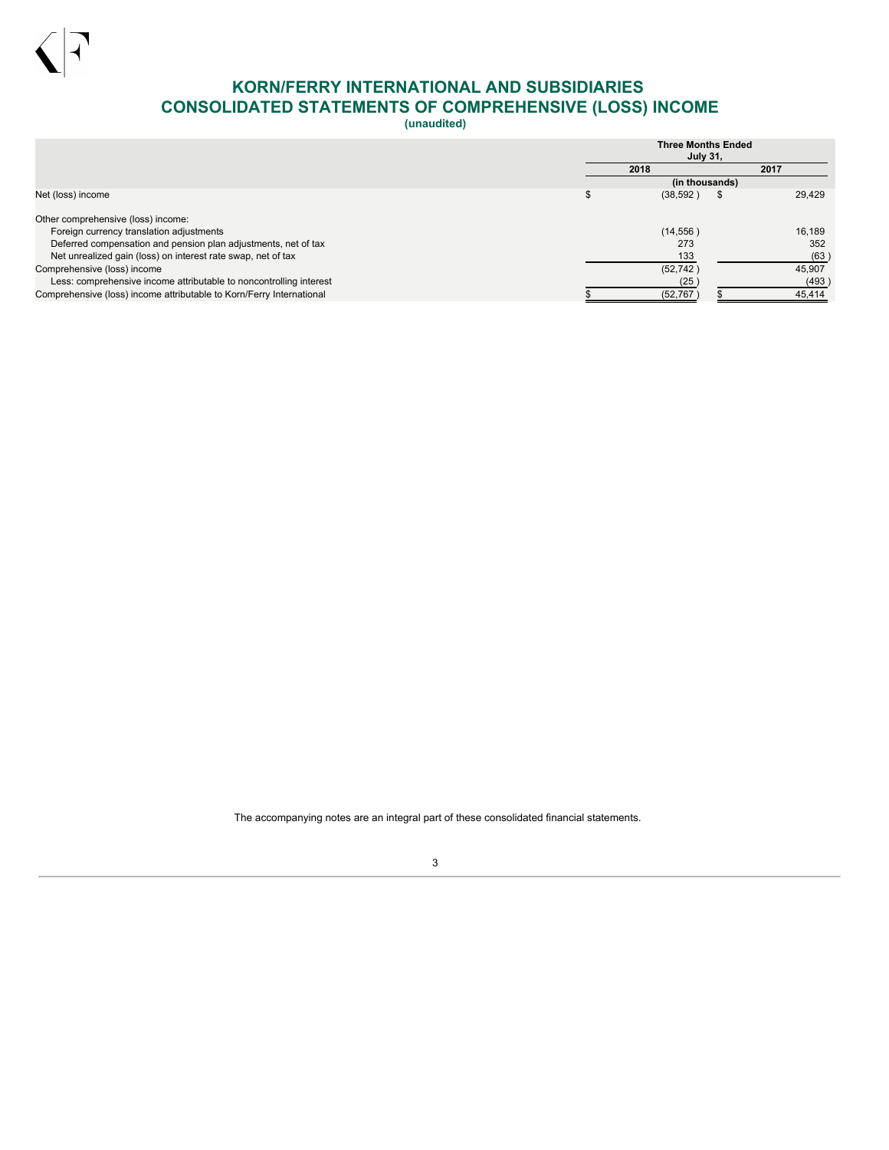

# <span id="page-4-0"></span>**KORN/FERRY INTERNATIONAL AND SUBSIDIARIES CONSOLIDATED STATEMENTS OF COMPREHENSIVE (LOSS) INCOME**

**(unaudited)**

|                                                                      | <b>Three Months Ended</b><br><b>July 31,</b> |        |  |  |  |  |
|----------------------------------------------------------------------|----------------------------------------------|--------|--|--|--|--|
|                                                                      | 2018                                         | 2017   |  |  |  |  |
|                                                                      | (in thousands)                               |        |  |  |  |  |
| Net (loss) income                                                    | (38, 592)                                    | 29,429 |  |  |  |  |
| Other comprehensive (loss) income:                                   |                                              |        |  |  |  |  |
| Foreign currency translation adjustments                             | (14, 556)                                    | 16,189 |  |  |  |  |
| Deferred compensation and pension plan adjustments, net of tax       | 273                                          | 352    |  |  |  |  |
| Net unrealized gain (loss) on interest rate swap, net of tax         | 133                                          | (63)   |  |  |  |  |
| Comprehensive (loss) income                                          | (52, 742)                                    | 45.907 |  |  |  |  |
| Less: comprehensive income attributable to noncontrolling interest   | (25)                                         | (493)  |  |  |  |  |
| Comprehensive (loss) income attributable to Korn/Ferry International | (52, 767)                                    | 45.414 |  |  |  |  |

The accompanying notes are an integral part of these consolidated financial statements.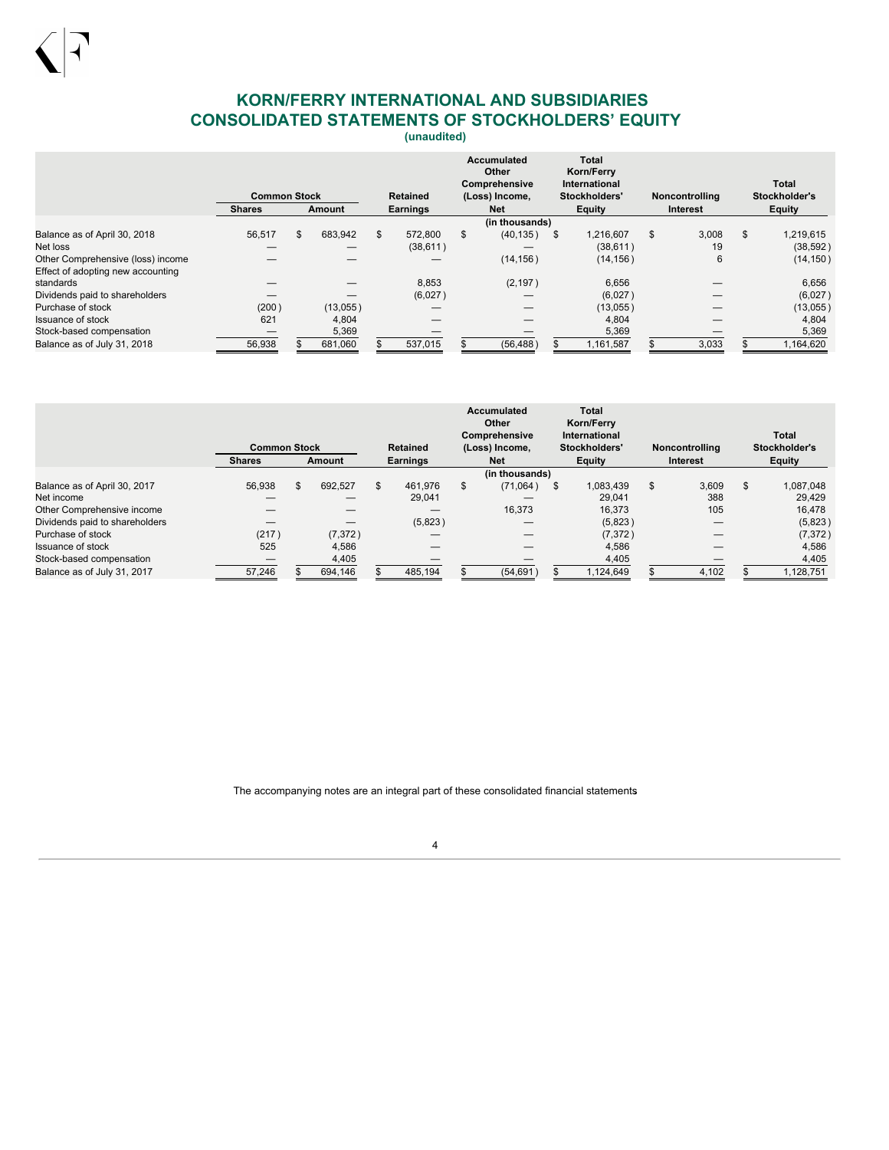# <span id="page-5-0"></span>**KORN/FERRY INTERNATIONAL AND SUBSIDIARIES CONSOLIDATED STATEMENTS OF STOCKHOLDERS' EQUITY**

**(unaudited)**

|                                   | <b>Common Stock</b> |               | <b>Retained</b> | Accumulated<br>Other<br>Comprehensive<br>(Loss) Income, |      | Total<br>Korn/Ferry<br>International<br>Stockholders' | Noncontrolling | <b>Total</b><br>Stockholder's |
|-----------------------------------|---------------------|---------------|-----------------|---------------------------------------------------------|------|-------------------------------------------------------|----------------|-------------------------------|
|                                   | <b>Shares</b>       | Amount        | Earnings        | Net                                                     |      | Equity                                                | Interest       | <b>Equity</b>                 |
|                                   |                     |               |                 | (in thousands)                                          |      |                                                       |                |                               |
| Balance as of April 30, 2018      | 56,517              | \$<br>683,942 | \$<br>572.800   | \$<br>(40, 135)                                         | - \$ | 1,216,607                                             | \$<br>3,008    | \$<br>1,219,615               |
| Net loss                          |                     |               | (38, 611)       |                                                         |      | (38, 611)                                             | 19             | (38, 592)                     |
| Other Comprehensive (loss) income |                     |               |                 | (14, 156)                                               |      | (14, 156)                                             | 6              | (14, 150)                     |
| Effect of adopting new accounting |                     |               |                 |                                                         |      |                                                       |                |                               |
| standards                         |                     |               | 8,853           | (2, 197)                                                |      | 6,656                                                 |                | 6,656                         |
| Dividends paid to shareholders    |                     |               | (6,027)         |                                                         |      | (6,027)                                               |                | (6,027)                       |
| Purchase of stock                 | (200)               | (13,055)      |                 |                                                         |      | (13,055)                                              |                | (13,055)                      |
| <b>Issuance of stock</b>          | 621                 | 4,804         |                 |                                                         |      | 4,804                                                 |                | 4,804                         |
| Stock-based compensation          |                     | 5,369         |                 |                                                         |      | 5,369                                                 |                | 5,369                         |
| Balance as of July 31, 2018       | 56,938              | 681,060       | 537,015         | (56, 488)                                               |      | 1,161,587                                             | 3,033          | 1,164,620                     |

|                                |                     |               |                 | Accumulated<br>Other<br><b>Comprehensive</b> |      | Total<br>Korn/Ferry<br>International |                | Total           |
|--------------------------------|---------------------|---------------|-----------------|----------------------------------------------|------|--------------------------------------|----------------|-----------------|
|                                | <b>Common Stock</b> |               | <b>Retained</b> | (Loss) Income,                               |      | Stockholders'                        | Noncontrolling | Stockholder's   |
|                                | <b>Shares</b>       | Amount        | Earnings        | Net                                          |      | Equity                               | Interest       | <b>Equity</b>   |
|                                |                     |               |                 | (in thousands)                               |      |                                      |                |                 |
| Balance as of April 30, 2017   | 56,938              | \$<br>692.527 | \$<br>461.976   | \$<br>(71,064)                               | - \$ | 1,083,439                            | \$<br>3,609    | \$<br>1,087,048 |
| Net income                     |                     |               | 29,041          |                                              |      | 29.041                               | 388            | 29,429          |
| Other Comprehensive income     |                     |               |                 | 16,373                                       |      | 16,373                               | 105            | 16,478          |
| Dividends paid to shareholders |                     |               | (5,823)         |                                              |      | (5,823)                              |                | (5,823)         |
| Purchase of stock              | (217)               | (7, 372)      |                 |                                              |      | (7, 372)                             |                | (7, 372)        |
| Issuance of stock              | 525                 | 4,586         |                 |                                              |      | 4,586                                |                | 4,586           |
| Stock-based compensation       | —                   | 4,405         | __              |                                              |      | 4,405                                |                | 4,405           |
| Balance as of July 31, 2017    | 57,246              | 694.146       | 485,194         | (54, 691)                                    |      | 1,124,649                            | 4,102          | 1,128,751       |

The accompanying notes are an integral part of these consolidated financial statements.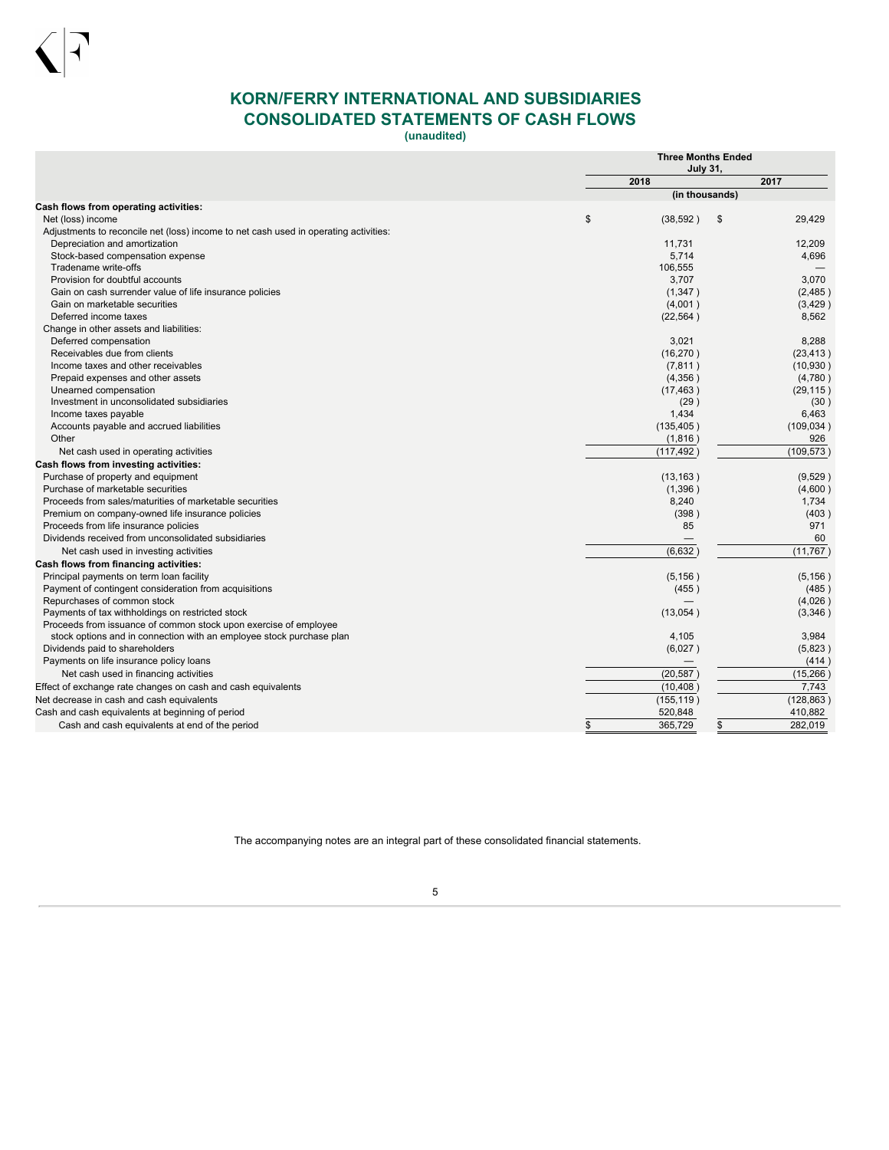

# <span id="page-6-0"></span>**KORN/FERRY INTERNATIONAL AND SUBSIDIARIES CONSOLIDATED STATEMENTS OF CASH FLOWS**

**(unaudited)**

| 2018<br>2017<br>(in thousands)<br>Cash flows from operating activities:<br>\$<br>Net (loss) income<br>(38, 592)<br>\$<br>29,429<br>Adjustments to reconcile net (loss) income to net cash used in operating activities:<br>Depreciation and amortization<br>11,731<br>12,209<br>5,714<br>Stock-based compensation expense<br>4,696<br>Tradename write-offs<br>106,555<br>3,707<br>Provision for doubtful accounts<br>3,070<br>Gain on cash surrender value of life insurance policies<br>(1, 347)<br>(2, 485)<br>(4,001)<br>Gain on marketable securities<br>(3,429)<br>(22, 564)<br>8,562<br>Deferred income taxes<br>Change in other assets and liabilities:<br>3.021<br>8.288<br>Deferred compensation<br>Receivables due from clients<br>(16, 270)<br>(23, 413)<br>Income taxes and other receivables<br>(7, 811)<br>(10, 930)<br>Prepaid expenses and other assets<br>(4,356)<br>(4,780)<br>Unearned compensation<br>(17, 463)<br>(29, 115)<br>(29)<br>Investment in unconsolidated subsidiaries<br>(30)<br>1,434<br>Income taxes payable<br>6,463<br>(135, 405)<br>(109, 034)<br>Accounts payable and accrued liabilities<br>Other<br>(1,816)<br>926<br>(117, 492)<br>(109, 573)<br>Net cash used in operating activities<br>Cash flows from investing activities:<br>Purchase of property and equipment<br>(13, 163)<br>(9,529)<br>Purchase of marketable securities<br>(1,396)<br>(4,600)<br>Proceeds from sales/maturities of marketable securities<br>8,240<br>1,734<br>Premium on company-owned life insurance policies<br>(398)<br>(403)<br>85<br>971<br>Proceeds from life insurance policies<br>Dividends received from unconsolidated subsidiaries<br>60<br>(11, 767)<br>(6,632)<br>Net cash used in investing activities<br><b>Cash flows from financing activities:</b><br>Principal payments on term loan facility<br>(5, 156)<br>(5, 156)<br>Payment of contingent consideration from acquisitions<br>(455)<br>(485)<br>Repurchases of common stock<br>(4,026)<br>Payments of tax withholdings on restricted stock<br>(13,054)<br>(3,346)<br>Proceeds from issuance of common stock upon exercise of employee<br>stock options and in connection with an employee stock purchase plan<br>4,105<br>3,984<br>Dividends paid to shareholders<br>(6,027)<br>(5,823)<br>Payments on life insurance policy loans<br>(414)<br>(20, 587)<br>(15, 266)<br>Net cash used in financing activities<br>Effect of exchange rate changes on cash and cash equivalents<br>(10, 408)<br>7,743<br>(155, 119)<br>(128, 863)<br>Net decrease in cash and cash equivalents<br>520,848<br>410,882<br>Cash and cash equivalents at beginning of period<br>365,729<br>\$<br>282.019<br>\$<br>Cash and cash equivalents at end of the period |  | <b>Three Months Ended</b><br><b>July 31,</b> |  |  |  |  |
|----------------------------------------------------------------------------------------------------------------------------------------------------------------------------------------------------------------------------------------------------------------------------------------------------------------------------------------------------------------------------------------------------------------------------------------------------------------------------------------------------------------------------------------------------------------------------------------------------------------------------------------------------------------------------------------------------------------------------------------------------------------------------------------------------------------------------------------------------------------------------------------------------------------------------------------------------------------------------------------------------------------------------------------------------------------------------------------------------------------------------------------------------------------------------------------------------------------------------------------------------------------------------------------------------------------------------------------------------------------------------------------------------------------------------------------------------------------------------------------------------------------------------------------------------------------------------------------------------------------------------------------------------------------------------------------------------------------------------------------------------------------------------------------------------------------------------------------------------------------------------------------------------------------------------------------------------------------------------------------------------------------------------------------------------------------------------------------------------------------------------------------------------------------------------------------------------------------------------------------------------------------------------------------------------------------------------------------------------------------------------------------------------------------------------------------------------------------------------------------------------------------------------------------------------------------------------------------------------------------------------------------------------------------------------------------------------------------------------------------|--|----------------------------------------------|--|--|--|--|
|                                                                                                                                                                                                                                                                                                                                                                                                                                                                                                                                                                                                                                                                                                                                                                                                                                                                                                                                                                                                                                                                                                                                                                                                                                                                                                                                                                                                                                                                                                                                                                                                                                                                                                                                                                                                                                                                                                                                                                                                                                                                                                                                                                                                                                                                                                                                                                                                                                                                                                                                                                                                                                                                                                                                        |  |                                              |  |  |  |  |
|                                                                                                                                                                                                                                                                                                                                                                                                                                                                                                                                                                                                                                                                                                                                                                                                                                                                                                                                                                                                                                                                                                                                                                                                                                                                                                                                                                                                                                                                                                                                                                                                                                                                                                                                                                                                                                                                                                                                                                                                                                                                                                                                                                                                                                                                                                                                                                                                                                                                                                                                                                                                                                                                                                                                        |  |                                              |  |  |  |  |
|                                                                                                                                                                                                                                                                                                                                                                                                                                                                                                                                                                                                                                                                                                                                                                                                                                                                                                                                                                                                                                                                                                                                                                                                                                                                                                                                                                                                                                                                                                                                                                                                                                                                                                                                                                                                                                                                                                                                                                                                                                                                                                                                                                                                                                                                                                                                                                                                                                                                                                                                                                                                                                                                                                                                        |  |                                              |  |  |  |  |
|                                                                                                                                                                                                                                                                                                                                                                                                                                                                                                                                                                                                                                                                                                                                                                                                                                                                                                                                                                                                                                                                                                                                                                                                                                                                                                                                                                                                                                                                                                                                                                                                                                                                                                                                                                                                                                                                                                                                                                                                                                                                                                                                                                                                                                                                                                                                                                                                                                                                                                                                                                                                                                                                                                                                        |  |                                              |  |  |  |  |
|                                                                                                                                                                                                                                                                                                                                                                                                                                                                                                                                                                                                                                                                                                                                                                                                                                                                                                                                                                                                                                                                                                                                                                                                                                                                                                                                                                                                                                                                                                                                                                                                                                                                                                                                                                                                                                                                                                                                                                                                                                                                                                                                                                                                                                                                                                                                                                                                                                                                                                                                                                                                                                                                                                                                        |  |                                              |  |  |  |  |
|                                                                                                                                                                                                                                                                                                                                                                                                                                                                                                                                                                                                                                                                                                                                                                                                                                                                                                                                                                                                                                                                                                                                                                                                                                                                                                                                                                                                                                                                                                                                                                                                                                                                                                                                                                                                                                                                                                                                                                                                                                                                                                                                                                                                                                                                                                                                                                                                                                                                                                                                                                                                                                                                                                                                        |  |                                              |  |  |  |  |
|                                                                                                                                                                                                                                                                                                                                                                                                                                                                                                                                                                                                                                                                                                                                                                                                                                                                                                                                                                                                                                                                                                                                                                                                                                                                                                                                                                                                                                                                                                                                                                                                                                                                                                                                                                                                                                                                                                                                                                                                                                                                                                                                                                                                                                                                                                                                                                                                                                                                                                                                                                                                                                                                                                                                        |  |                                              |  |  |  |  |
|                                                                                                                                                                                                                                                                                                                                                                                                                                                                                                                                                                                                                                                                                                                                                                                                                                                                                                                                                                                                                                                                                                                                                                                                                                                                                                                                                                                                                                                                                                                                                                                                                                                                                                                                                                                                                                                                                                                                                                                                                                                                                                                                                                                                                                                                                                                                                                                                                                                                                                                                                                                                                                                                                                                                        |  |                                              |  |  |  |  |
|                                                                                                                                                                                                                                                                                                                                                                                                                                                                                                                                                                                                                                                                                                                                                                                                                                                                                                                                                                                                                                                                                                                                                                                                                                                                                                                                                                                                                                                                                                                                                                                                                                                                                                                                                                                                                                                                                                                                                                                                                                                                                                                                                                                                                                                                                                                                                                                                                                                                                                                                                                                                                                                                                                                                        |  |                                              |  |  |  |  |
|                                                                                                                                                                                                                                                                                                                                                                                                                                                                                                                                                                                                                                                                                                                                                                                                                                                                                                                                                                                                                                                                                                                                                                                                                                                                                                                                                                                                                                                                                                                                                                                                                                                                                                                                                                                                                                                                                                                                                                                                                                                                                                                                                                                                                                                                                                                                                                                                                                                                                                                                                                                                                                                                                                                                        |  |                                              |  |  |  |  |
|                                                                                                                                                                                                                                                                                                                                                                                                                                                                                                                                                                                                                                                                                                                                                                                                                                                                                                                                                                                                                                                                                                                                                                                                                                                                                                                                                                                                                                                                                                                                                                                                                                                                                                                                                                                                                                                                                                                                                                                                                                                                                                                                                                                                                                                                                                                                                                                                                                                                                                                                                                                                                                                                                                                                        |  |                                              |  |  |  |  |
|                                                                                                                                                                                                                                                                                                                                                                                                                                                                                                                                                                                                                                                                                                                                                                                                                                                                                                                                                                                                                                                                                                                                                                                                                                                                                                                                                                                                                                                                                                                                                                                                                                                                                                                                                                                                                                                                                                                                                                                                                                                                                                                                                                                                                                                                                                                                                                                                                                                                                                                                                                                                                                                                                                                                        |  |                                              |  |  |  |  |
|                                                                                                                                                                                                                                                                                                                                                                                                                                                                                                                                                                                                                                                                                                                                                                                                                                                                                                                                                                                                                                                                                                                                                                                                                                                                                                                                                                                                                                                                                                                                                                                                                                                                                                                                                                                                                                                                                                                                                                                                                                                                                                                                                                                                                                                                                                                                                                                                                                                                                                                                                                                                                                                                                                                                        |  |                                              |  |  |  |  |
|                                                                                                                                                                                                                                                                                                                                                                                                                                                                                                                                                                                                                                                                                                                                                                                                                                                                                                                                                                                                                                                                                                                                                                                                                                                                                                                                                                                                                                                                                                                                                                                                                                                                                                                                                                                                                                                                                                                                                                                                                                                                                                                                                                                                                                                                                                                                                                                                                                                                                                                                                                                                                                                                                                                                        |  |                                              |  |  |  |  |
|                                                                                                                                                                                                                                                                                                                                                                                                                                                                                                                                                                                                                                                                                                                                                                                                                                                                                                                                                                                                                                                                                                                                                                                                                                                                                                                                                                                                                                                                                                                                                                                                                                                                                                                                                                                                                                                                                                                                                                                                                                                                                                                                                                                                                                                                                                                                                                                                                                                                                                                                                                                                                                                                                                                                        |  |                                              |  |  |  |  |
|                                                                                                                                                                                                                                                                                                                                                                                                                                                                                                                                                                                                                                                                                                                                                                                                                                                                                                                                                                                                                                                                                                                                                                                                                                                                                                                                                                                                                                                                                                                                                                                                                                                                                                                                                                                                                                                                                                                                                                                                                                                                                                                                                                                                                                                                                                                                                                                                                                                                                                                                                                                                                                                                                                                                        |  |                                              |  |  |  |  |
|                                                                                                                                                                                                                                                                                                                                                                                                                                                                                                                                                                                                                                                                                                                                                                                                                                                                                                                                                                                                                                                                                                                                                                                                                                                                                                                                                                                                                                                                                                                                                                                                                                                                                                                                                                                                                                                                                                                                                                                                                                                                                                                                                                                                                                                                                                                                                                                                                                                                                                                                                                                                                                                                                                                                        |  |                                              |  |  |  |  |
|                                                                                                                                                                                                                                                                                                                                                                                                                                                                                                                                                                                                                                                                                                                                                                                                                                                                                                                                                                                                                                                                                                                                                                                                                                                                                                                                                                                                                                                                                                                                                                                                                                                                                                                                                                                                                                                                                                                                                                                                                                                                                                                                                                                                                                                                                                                                                                                                                                                                                                                                                                                                                                                                                                                                        |  |                                              |  |  |  |  |
|                                                                                                                                                                                                                                                                                                                                                                                                                                                                                                                                                                                                                                                                                                                                                                                                                                                                                                                                                                                                                                                                                                                                                                                                                                                                                                                                                                                                                                                                                                                                                                                                                                                                                                                                                                                                                                                                                                                                                                                                                                                                                                                                                                                                                                                                                                                                                                                                                                                                                                                                                                                                                                                                                                                                        |  |                                              |  |  |  |  |
|                                                                                                                                                                                                                                                                                                                                                                                                                                                                                                                                                                                                                                                                                                                                                                                                                                                                                                                                                                                                                                                                                                                                                                                                                                                                                                                                                                                                                                                                                                                                                                                                                                                                                                                                                                                                                                                                                                                                                                                                                                                                                                                                                                                                                                                                                                                                                                                                                                                                                                                                                                                                                                                                                                                                        |  |                                              |  |  |  |  |
|                                                                                                                                                                                                                                                                                                                                                                                                                                                                                                                                                                                                                                                                                                                                                                                                                                                                                                                                                                                                                                                                                                                                                                                                                                                                                                                                                                                                                                                                                                                                                                                                                                                                                                                                                                                                                                                                                                                                                                                                                                                                                                                                                                                                                                                                                                                                                                                                                                                                                                                                                                                                                                                                                                                                        |  |                                              |  |  |  |  |
|                                                                                                                                                                                                                                                                                                                                                                                                                                                                                                                                                                                                                                                                                                                                                                                                                                                                                                                                                                                                                                                                                                                                                                                                                                                                                                                                                                                                                                                                                                                                                                                                                                                                                                                                                                                                                                                                                                                                                                                                                                                                                                                                                                                                                                                                                                                                                                                                                                                                                                                                                                                                                                                                                                                                        |  |                                              |  |  |  |  |
|                                                                                                                                                                                                                                                                                                                                                                                                                                                                                                                                                                                                                                                                                                                                                                                                                                                                                                                                                                                                                                                                                                                                                                                                                                                                                                                                                                                                                                                                                                                                                                                                                                                                                                                                                                                                                                                                                                                                                                                                                                                                                                                                                                                                                                                                                                                                                                                                                                                                                                                                                                                                                                                                                                                                        |  |                                              |  |  |  |  |
|                                                                                                                                                                                                                                                                                                                                                                                                                                                                                                                                                                                                                                                                                                                                                                                                                                                                                                                                                                                                                                                                                                                                                                                                                                                                                                                                                                                                                                                                                                                                                                                                                                                                                                                                                                                                                                                                                                                                                                                                                                                                                                                                                                                                                                                                                                                                                                                                                                                                                                                                                                                                                                                                                                                                        |  |                                              |  |  |  |  |
|                                                                                                                                                                                                                                                                                                                                                                                                                                                                                                                                                                                                                                                                                                                                                                                                                                                                                                                                                                                                                                                                                                                                                                                                                                                                                                                                                                                                                                                                                                                                                                                                                                                                                                                                                                                                                                                                                                                                                                                                                                                                                                                                                                                                                                                                                                                                                                                                                                                                                                                                                                                                                                                                                                                                        |  |                                              |  |  |  |  |
|                                                                                                                                                                                                                                                                                                                                                                                                                                                                                                                                                                                                                                                                                                                                                                                                                                                                                                                                                                                                                                                                                                                                                                                                                                                                                                                                                                                                                                                                                                                                                                                                                                                                                                                                                                                                                                                                                                                                                                                                                                                                                                                                                                                                                                                                                                                                                                                                                                                                                                                                                                                                                                                                                                                                        |  |                                              |  |  |  |  |
|                                                                                                                                                                                                                                                                                                                                                                                                                                                                                                                                                                                                                                                                                                                                                                                                                                                                                                                                                                                                                                                                                                                                                                                                                                                                                                                                                                                                                                                                                                                                                                                                                                                                                                                                                                                                                                                                                                                                                                                                                                                                                                                                                                                                                                                                                                                                                                                                                                                                                                                                                                                                                                                                                                                                        |  |                                              |  |  |  |  |
|                                                                                                                                                                                                                                                                                                                                                                                                                                                                                                                                                                                                                                                                                                                                                                                                                                                                                                                                                                                                                                                                                                                                                                                                                                                                                                                                                                                                                                                                                                                                                                                                                                                                                                                                                                                                                                                                                                                                                                                                                                                                                                                                                                                                                                                                                                                                                                                                                                                                                                                                                                                                                                                                                                                                        |  |                                              |  |  |  |  |
|                                                                                                                                                                                                                                                                                                                                                                                                                                                                                                                                                                                                                                                                                                                                                                                                                                                                                                                                                                                                                                                                                                                                                                                                                                                                                                                                                                                                                                                                                                                                                                                                                                                                                                                                                                                                                                                                                                                                                                                                                                                                                                                                                                                                                                                                                                                                                                                                                                                                                                                                                                                                                                                                                                                                        |  |                                              |  |  |  |  |
|                                                                                                                                                                                                                                                                                                                                                                                                                                                                                                                                                                                                                                                                                                                                                                                                                                                                                                                                                                                                                                                                                                                                                                                                                                                                                                                                                                                                                                                                                                                                                                                                                                                                                                                                                                                                                                                                                                                                                                                                                                                                                                                                                                                                                                                                                                                                                                                                                                                                                                                                                                                                                                                                                                                                        |  |                                              |  |  |  |  |
|                                                                                                                                                                                                                                                                                                                                                                                                                                                                                                                                                                                                                                                                                                                                                                                                                                                                                                                                                                                                                                                                                                                                                                                                                                                                                                                                                                                                                                                                                                                                                                                                                                                                                                                                                                                                                                                                                                                                                                                                                                                                                                                                                                                                                                                                                                                                                                                                                                                                                                                                                                                                                                                                                                                                        |  |                                              |  |  |  |  |
|                                                                                                                                                                                                                                                                                                                                                                                                                                                                                                                                                                                                                                                                                                                                                                                                                                                                                                                                                                                                                                                                                                                                                                                                                                                                                                                                                                                                                                                                                                                                                                                                                                                                                                                                                                                                                                                                                                                                                                                                                                                                                                                                                                                                                                                                                                                                                                                                                                                                                                                                                                                                                                                                                                                                        |  |                                              |  |  |  |  |
|                                                                                                                                                                                                                                                                                                                                                                                                                                                                                                                                                                                                                                                                                                                                                                                                                                                                                                                                                                                                                                                                                                                                                                                                                                                                                                                                                                                                                                                                                                                                                                                                                                                                                                                                                                                                                                                                                                                                                                                                                                                                                                                                                                                                                                                                                                                                                                                                                                                                                                                                                                                                                                                                                                                                        |  |                                              |  |  |  |  |
|                                                                                                                                                                                                                                                                                                                                                                                                                                                                                                                                                                                                                                                                                                                                                                                                                                                                                                                                                                                                                                                                                                                                                                                                                                                                                                                                                                                                                                                                                                                                                                                                                                                                                                                                                                                                                                                                                                                                                                                                                                                                                                                                                                                                                                                                                                                                                                                                                                                                                                                                                                                                                                                                                                                                        |  |                                              |  |  |  |  |
|                                                                                                                                                                                                                                                                                                                                                                                                                                                                                                                                                                                                                                                                                                                                                                                                                                                                                                                                                                                                                                                                                                                                                                                                                                                                                                                                                                                                                                                                                                                                                                                                                                                                                                                                                                                                                                                                                                                                                                                                                                                                                                                                                                                                                                                                                                                                                                                                                                                                                                                                                                                                                                                                                                                                        |  |                                              |  |  |  |  |
|                                                                                                                                                                                                                                                                                                                                                                                                                                                                                                                                                                                                                                                                                                                                                                                                                                                                                                                                                                                                                                                                                                                                                                                                                                                                                                                                                                                                                                                                                                                                                                                                                                                                                                                                                                                                                                                                                                                                                                                                                                                                                                                                                                                                                                                                                                                                                                                                                                                                                                                                                                                                                                                                                                                                        |  |                                              |  |  |  |  |
|                                                                                                                                                                                                                                                                                                                                                                                                                                                                                                                                                                                                                                                                                                                                                                                                                                                                                                                                                                                                                                                                                                                                                                                                                                                                                                                                                                                                                                                                                                                                                                                                                                                                                                                                                                                                                                                                                                                                                                                                                                                                                                                                                                                                                                                                                                                                                                                                                                                                                                                                                                                                                                                                                                                                        |  |                                              |  |  |  |  |
|                                                                                                                                                                                                                                                                                                                                                                                                                                                                                                                                                                                                                                                                                                                                                                                                                                                                                                                                                                                                                                                                                                                                                                                                                                                                                                                                                                                                                                                                                                                                                                                                                                                                                                                                                                                                                                                                                                                                                                                                                                                                                                                                                                                                                                                                                                                                                                                                                                                                                                                                                                                                                                                                                                                                        |  |                                              |  |  |  |  |
|                                                                                                                                                                                                                                                                                                                                                                                                                                                                                                                                                                                                                                                                                                                                                                                                                                                                                                                                                                                                                                                                                                                                                                                                                                                                                                                                                                                                                                                                                                                                                                                                                                                                                                                                                                                                                                                                                                                                                                                                                                                                                                                                                                                                                                                                                                                                                                                                                                                                                                                                                                                                                                                                                                                                        |  |                                              |  |  |  |  |
|                                                                                                                                                                                                                                                                                                                                                                                                                                                                                                                                                                                                                                                                                                                                                                                                                                                                                                                                                                                                                                                                                                                                                                                                                                                                                                                                                                                                                                                                                                                                                                                                                                                                                                                                                                                                                                                                                                                                                                                                                                                                                                                                                                                                                                                                                                                                                                                                                                                                                                                                                                                                                                                                                                                                        |  |                                              |  |  |  |  |
|                                                                                                                                                                                                                                                                                                                                                                                                                                                                                                                                                                                                                                                                                                                                                                                                                                                                                                                                                                                                                                                                                                                                                                                                                                                                                                                                                                                                                                                                                                                                                                                                                                                                                                                                                                                                                                                                                                                                                                                                                                                                                                                                                                                                                                                                                                                                                                                                                                                                                                                                                                                                                                                                                                                                        |  |                                              |  |  |  |  |
|                                                                                                                                                                                                                                                                                                                                                                                                                                                                                                                                                                                                                                                                                                                                                                                                                                                                                                                                                                                                                                                                                                                                                                                                                                                                                                                                                                                                                                                                                                                                                                                                                                                                                                                                                                                                                                                                                                                                                                                                                                                                                                                                                                                                                                                                                                                                                                                                                                                                                                                                                                                                                                                                                                                                        |  |                                              |  |  |  |  |
|                                                                                                                                                                                                                                                                                                                                                                                                                                                                                                                                                                                                                                                                                                                                                                                                                                                                                                                                                                                                                                                                                                                                                                                                                                                                                                                                                                                                                                                                                                                                                                                                                                                                                                                                                                                                                                                                                                                                                                                                                                                                                                                                                                                                                                                                                                                                                                                                                                                                                                                                                                                                                                                                                                                                        |  |                                              |  |  |  |  |
|                                                                                                                                                                                                                                                                                                                                                                                                                                                                                                                                                                                                                                                                                                                                                                                                                                                                                                                                                                                                                                                                                                                                                                                                                                                                                                                                                                                                                                                                                                                                                                                                                                                                                                                                                                                                                                                                                                                                                                                                                                                                                                                                                                                                                                                                                                                                                                                                                                                                                                                                                                                                                                                                                                                                        |  |                                              |  |  |  |  |
|                                                                                                                                                                                                                                                                                                                                                                                                                                                                                                                                                                                                                                                                                                                                                                                                                                                                                                                                                                                                                                                                                                                                                                                                                                                                                                                                                                                                                                                                                                                                                                                                                                                                                                                                                                                                                                                                                                                                                                                                                                                                                                                                                                                                                                                                                                                                                                                                                                                                                                                                                                                                                                                                                                                                        |  |                                              |  |  |  |  |

The accompanying notes are an integral part of these consolidated financial statements.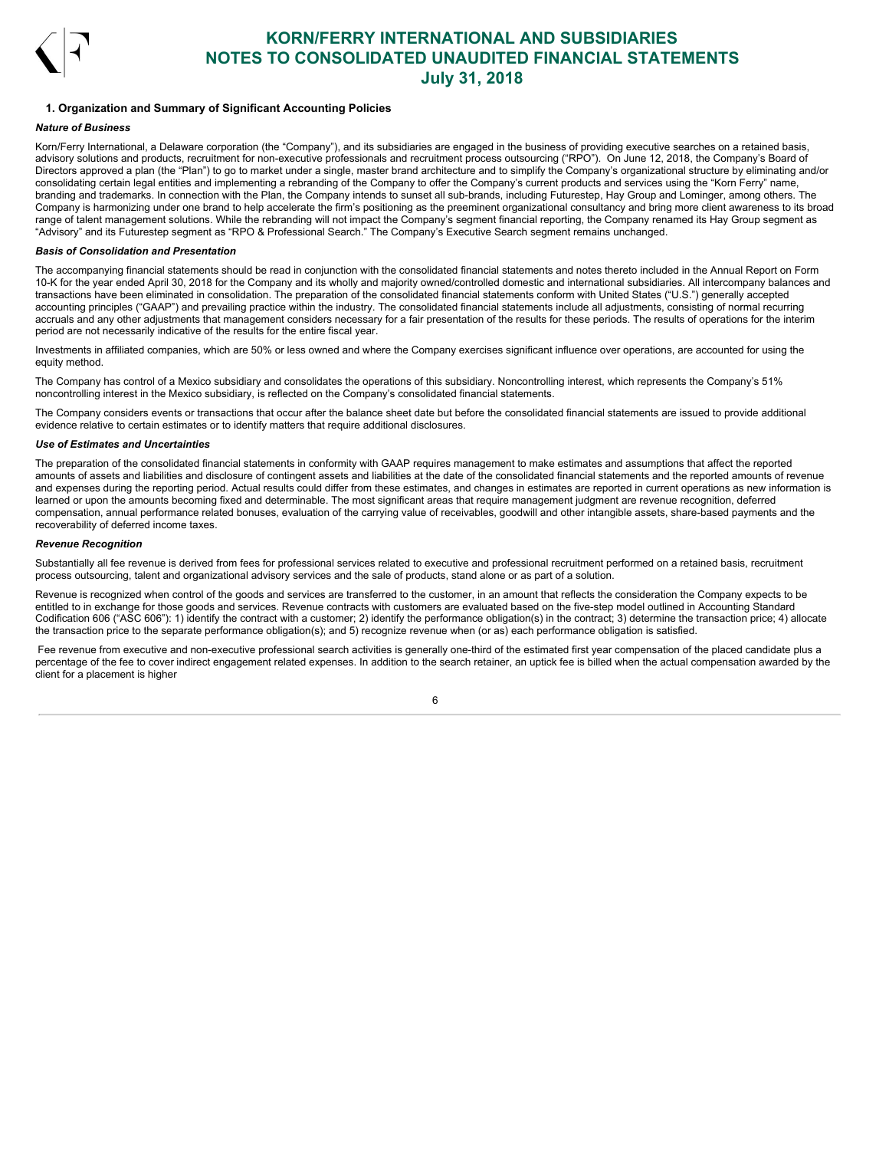

## <span id="page-7-0"></span>**1. Organization and Summary of Significant Accounting Policies**

## *Nature of Business*

Korn/Ferry International, a Delaware corporation (the "Company"), and its subsidiaries are engaged in the business of providing executive searches on a retained basis, advisory solutions and products, recruitment for non-executive professionals and recruitment process outsourcing ("RPO"). On June 12, 2018, the Company's Board of Directors approved a plan (the "Plan") to go to market under a single, master brand architecture and to simplify the Company's organizational structure by eliminating and/or consolidating certain legal entities and implementing a rebranding of the Company to offer the Company's current products and services using the "Korn Ferry" name, branding and trademarks. In connection with the Plan, the Company intends to sunset all sub-brands, including Futurestep, Hay Group and Lominger, among others. The Company is harmonizing under one brand to help accelerate the firm's positioning as the preeminent organizational consultancy and bring more client awareness to its broad range of talent management solutions. While the rebranding will not impact the Company's segment financial reporting, the Company renamed its Hay Group segment as "Advisory" and its Futurestep segment as "RPO & Professional Search." The Company's Executive Search segment remains unchanged.

#### *Basis of Consolidation and Presentation*

The accompanying financial statements should be read in conjunction with the consolidated financial statements and notes thereto included in the Annual Report on Form 10-K for the year ended April 30, 2018 for the Company and its wholly and majority owned/controlled domestic and international subsidiaries. All intercompany balances and transactions have been eliminated in consolidation. The preparation of the consolidated financial statements conform with United States ("U.S.") generally accepted accounting principles ("GAAP") and prevailing practice within the industry. The consolidated financial statements include all adjustments, consisting of normal recurring accruals and any other adjustments that management considers necessary for a fair presentation of the results for these periods. The results of operations for the interim period are not necessarily indicative of the results for the entire fiscal year.

Investments in affiliated companies, which are 50% or less owned and where the Company exercises significant influence over operations, are accounted for using the equity method.

The Company has control of a Mexico subsidiary and consolidates the operations of this subsidiary. Noncontrolling interest, which represents the Company's 51% noncontrolling interest in the Mexico subsidiary, is reflected on the Company's consolidated financial statements.

The Company considers events or transactions that occur after the balance sheet date but before the consolidated financial statements are issued to provide additional evidence relative to certain estimates or to identify matters that require additional disclosures.

## *Use of Estimates and Uncertainties*

The preparation of the consolidated financial statements in conformity with GAAP requires management to make estimates and assumptions that affect the reported amounts of assets and liabilities and disclosure of contingent assets and liabilities at the date of the consolidated financial statements and the reported amounts of revenue and expenses during the reporting period. Actual results could differ from these estimates, and changes in estimates are reported in current operations as new information is learned or upon the amounts becoming fixed and determinable. The most significant areas that require management judgment are revenue recognition, deferred compensation, annual performance related bonuses, evaluation of the carrying value of receivables, goodwill and other intangible assets, share-based payments and the recoverability of deferred income taxes.

#### *Revenue Recognition*

Substantially all fee revenue is derived from fees for professional services related to executive and professional recruitment performed on a retained basis, recruitment process outsourcing, talent and organizational advisory services and the sale of products, stand alone or as part of a solution.

Revenue is recognized when control of the goods and services are transferred to the customer, in an amount that reflects the consideration the Company expects to be entitled to in exchange for those goods and services. Revenue contracts with customers are evaluated based on the five-step model outlined in Accounting Standard Codification 606 ("ASC 606"): 1) identify the contract with a customer; 2) identify the performance obligation(s) in the contract; 3) determine the transaction price; 4) allocate the transaction price to the separate performance obligation(s); and 5) recognize revenue when (or as) each performance obligation is satisfied.

Fee revenue from executive and non-executive professional search activities is generally one-third of the estimated first year compensation of the placed candidate plus a percentage of the fee to cover indirect engagement related expenses. In addition to the search retainer, an uptick fee is billed when the actual compensation awarded by the client for a placement is higher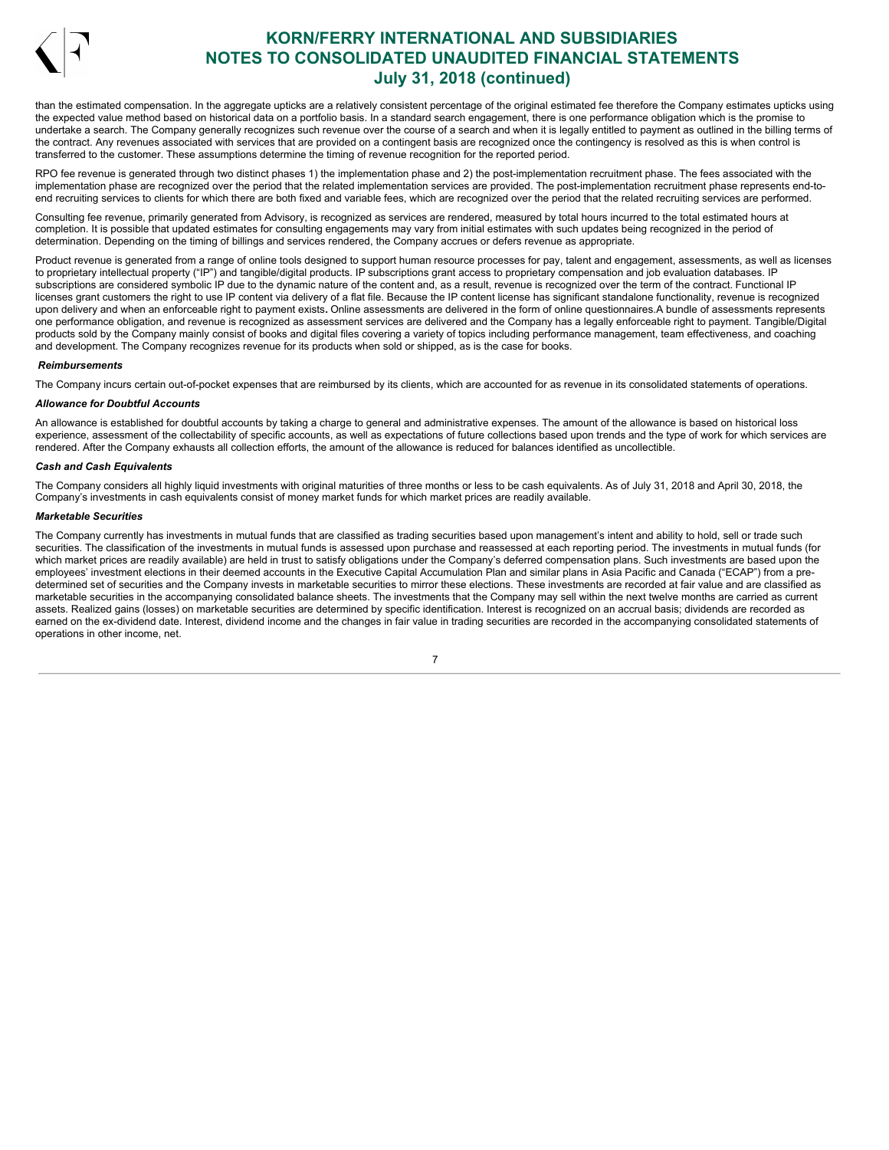

than the estimated compensation. In the aggregate upticks are a relatively consistent percentage of the original estimated fee therefore the Company estimates upticks using the expected value method based on historical data on a portfolio basis. In a standard search engagement, there is one performance obligation which is the promise to undertake a search. The Company generally recognizes such revenue over the course of a search and when it is legally entitled to payment as outlined in the billing terms of the contract. Any revenues associated with services that are provided on a contingent basis are recognized once the contingency is resolved as this is when control is transferred to the customer. These assumptions determine the timing of revenue recognition for the reported period.

RPO fee revenue is generated through two distinct phases 1) the implementation phase and 2) the post-implementation recruitment phase. The fees associated with the implementation phase are recognized over the period that the related implementation services are provided. The post-implementation recruitment phase represents end-toend recruiting services to clients for which there are both fixed and variable fees, which are recognized over the period that the related recruiting services are performed.

Consulting fee revenue, primarily generated from Advisory, is recognized as services are rendered, measured by total hours incurred to the total estimated hours at completion. It is possible that updated estimates for consulting engagements may vary from initial estimates with such updates being recognized in the period of determination. Depending on the timing of billings and services rendered, the Company accrues or defers revenue as appropriate.

Product revenue is generated from a range of online tools designed to support human resource processes for pay, talent and engagement, assessments, as well as licenses to proprietary intellectual property ("IP") and tangible/digital products. IP subscriptions grant access to proprietary compensation and job evaluation databases. IP subscriptions are considered symbolic IP due to the dynamic nature of the content and, as a result, revenue is recognized over the term of the contract. Functional IP licenses grant customers the right to use IP content via delivery of a flat file. Because the IP content license has significant standalone functionality, revenue is recognized upon delivery and when an enforceable right to payment exists**.** Online assessments are delivered in the form of online questionnaires.A bundle of assessments represents one performance obligation, and revenue is recognized as assessment services are delivered and the Company has a legally enforceable right to payment. Tangible/Digital products sold by the Company mainly consist of books and digital files covering a variety of topics including performance management, team effectiveness, and coaching and development. The Company recognizes revenue for its products when sold or shipped, as is the case for books.

### *Reimbursements*

The Company incurs certain out-of-pocket expenses that are reimbursed by its clients, which are accounted for as revenue in its consolidated statements of operations.

#### *Allowance for Doubtful Accounts*

An allowance is established for doubtful accounts by taking a charge to general and administrative expenses. The amount of the allowance is based on historical loss experience, assessment of the collectability of specific accounts, as well as expectations of future collections based upon trends and the type of work for which services are rendered. After the Company exhausts all collection efforts, the amount of the allowance is reduced for balances identified as uncollectible.

#### *Cash and Cash Equivalents*

The Company considers all highly liquid investments with original maturities of three months or less to be cash equivalents. As of July 31, 2018 and April 30, 2018, the Company's investments in cash equivalents consist of money market funds for which market prices are readily available.

### *Marketable Securities*

The Company currently has investments in mutual funds that are classified as trading securities based upon management's intent and ability to hold, sell or trade such securities. The classification of the investments in mutual funds is assessed upon purchase and reassessed at each reporting period. The investments in mutual funds (for which market prices are readily available) are held in trust to satisfy obligations under the Company's deferred compensation plans. Such investments are based upon the employees' investment elections in their deemed accounts in the Executive Capital Accumulation Plan and similar plans in Asia Pacific and Canada ("ECAP") from a predetermined set of securities and the Company invests in marketable securities to mirror these elections. These investments are recorded at fair value and are classified as marketable securities in the accompanying consolidated balance sheets. The investments that the Company may sell within the next twelve months are carried as current assets. Realized gains (losses) on marketable securities are determined by specific identification. Interest is recognized on an accrual basis; dividends are recorded as earned on the ex-dividend date. Interest, dividend income and the changes in fair value in trading securities are recorded in the accompanying consolidated statements of operations in other income, net.

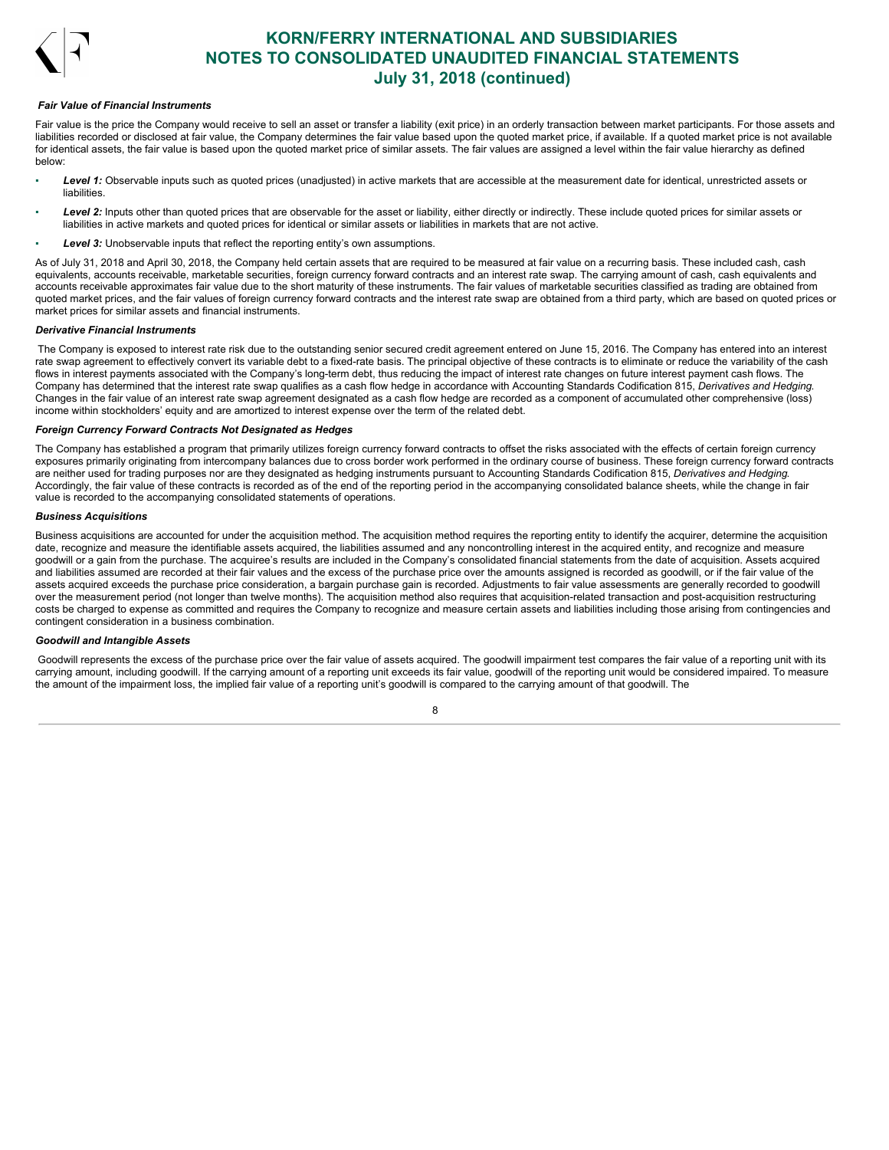

### *Fair Value of Financial Instruments*

Fair value is the price the Company would receive to sell an asset or transfer a liability (exit price) in an orderly transaction between market participants. For those assets and liabilities recorded or disclosed at fair value, the Company determines the fair value based upon the quoted market price, if available. If a quoted market price is not available for identical assets, the fair value is based upon the quoted market price of similar assets. The fair values are assigned a level within the fair value hierarchy as defined below:

- Level 1: Observable inputs such as quoted prices (unadjusted) in active markets that are accessible at the measurement date for identical, unrestricted assets or liabilities.
- Level 2: Inputs other than quoted prices that are observable for the asset or liability, either directly or indirectly. These include quoted prices for similar assets or liabilities in active markets and quoted prices for identical or similar assets or liabilities in markets that are not active.
- **Level 3:** Unobservable inputs that reflect the reporting entity's own assumptions.

As of July 31, 2018 and April 30, 2018, the Company held certain assets that are required to be measured at fair value on a recurring basis. These included cash, cash equivalents, accounts receivable, marketable securities, foreign currency forward contracts and an interest rate swap. The carrying amount of cash, cash equivalents and accounts receivable approximates fair value due to the short maturity of these instruments. The fair values of marketable securities classified as trading are obtained from quoted market prices, and the fair values of foreign currency forward contracts and the interest rate swap are obtained from a third party, which are based on quoted prices or market prices for similar assets and financial instruments.

### *Derivative Financial Instruments*

The Company is exposed to interest rate risk due to the outstanding senior secured credit agreement entered on June 15, 2016. The Company has entered into an interest rate swap agreement to effectively convert its variable debt to a fixed-rate basis. The principal objective of these contracts is to eliminate or reduce the variability of the cash flows in interest payments associated with the Company's long-term debt, thus reducing the impact of interest rate changes on future interest payment cash flows. The Company has determined that the interest rate swap qualifies as a cash flow hedge in accordance with Accounting Standards Codification 815, *Derivatives and Hedging*. Changes in the fair value of an interest rate swap agreement designated as a cash flow hedge are recorded as a component of accumulated other comprehensive (loss) income within stockholders' equity and are amortized to interest expense over the term of the related debt.

### *Foreign Currency Forward Contracts Not Designated as Hedges*

The Company has established a program that primarily utilizes foreign currency forward contracts to offset the risks associated with the effects of certain foreign currency exposures primarily originating from intercompany balances due to cross border work performed in the ordinary course of business. These foreign currency forward contracts are neither used for trading purposes nor are they designated as hedging instruments pursuant to Accounting Standards Codification 815, *Derivatives and Hedging*. Accordingly, the fair value of these contracts is recorded as of the end of the reporting period in the accompanying consolidated balance sheets, while the change in fair value is recorded to the accompanying consolidated statements of operations.

### *Business Acquisitions*

Business acquisitions are accounted for under the acquisition method. The acquisition method requires the reporting entity to identify the acquirer, determine the acquisition date, recognize and measure the identifiable assets acquired, the liabilities assumed and any noncontrolling interest in the acquired entity, and recognize and measure goodwill or a gain from the purchase. The acquiree's results are included in the Company's consolidated financial statements from the date of acquisition. Assets acquired and liabilities assumed are recorded at their fair values and the excess of the purchase price over the amounts assigned is recorded as goodwill, or if the fair value of the assets acquired exceeds the purchase price consideration, a bargain purchase gain is recorded. Adjustments to fair value assessments are generally recorded to goodwill over the measurement period (not longer than twelve months). The acquisition method also requires that acquisition-related transaction and post-acquisition restructuring costs be charged to expense as committed and requires the Company to recognize and measure certain assets and liabilities including those arising from contingencies and contingent consideration in a business combination.

## *Goodwill and Intangible Assets*

Goodwill represents the excess of the purchase price over the fair value of assets acquired. The goodwill impairment test compares the fair value of a reporting unit with its carrying amount, including goodwill. If the carrying amount of a reporting unit exceeds its fair value, goodwill of the reporting unit would be considered impaired. To measure the amount of the impairment loss, the implied fair value of a reporting unit's goodwill is compared to the carrying amount of that goodwill. The

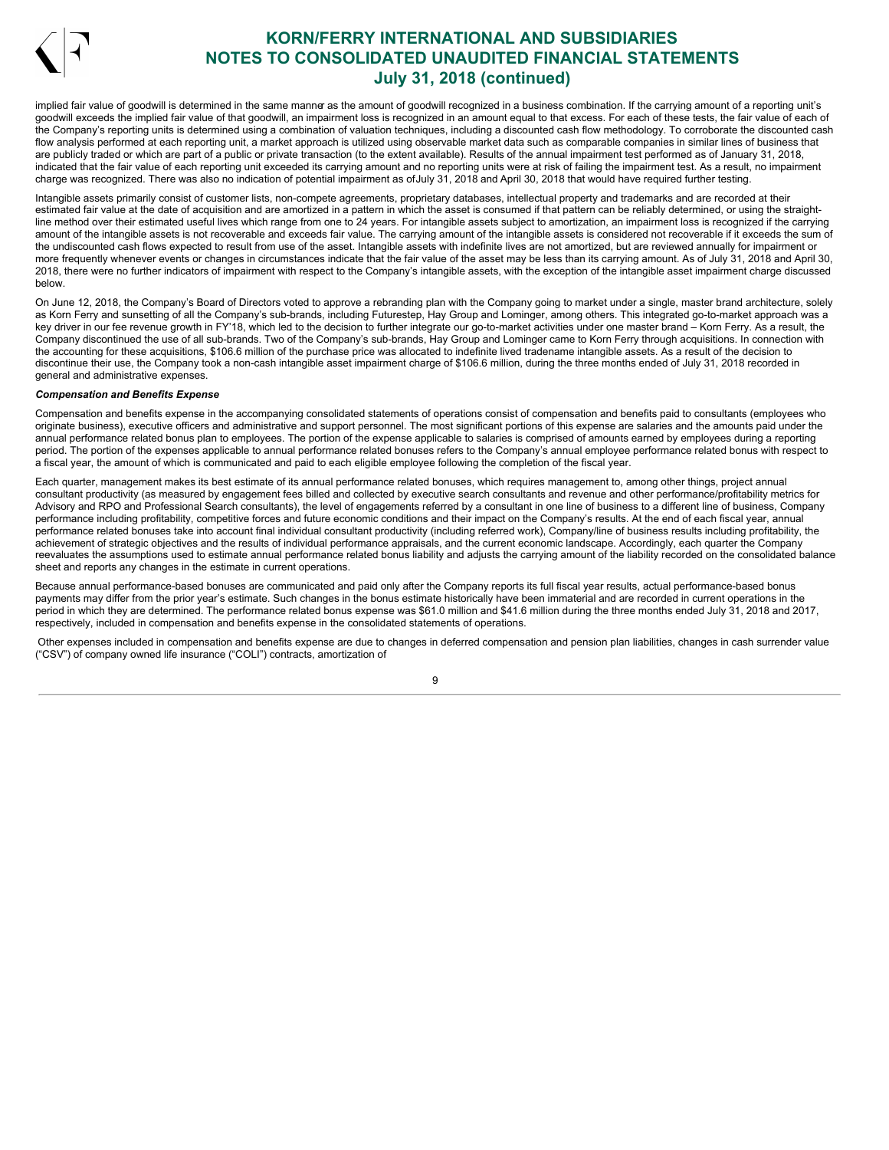

implied fair value of goodwill is determined in the same manner as the amount of goodwill recognized in a business combination. If the carrying amount of a reporting unit's goodwill exceeds the implied fair value of that goodwill, an impairment loss is recognized in an amount equal to that excess. For each of these tests, the fair value of each of the Company's reporting units is determined using a combination of valuation techniques, including a discounted cash flow methodology. To corroborate the discounted cash flow analysis performed at each reporting unit, a market approach is utilized using observable market data such as comparable companies in similar lines of business that are publicly traded or which are part of a public or private transaction (to the extent available). Results of the annual impairment test performed as of January 31, 2018, indicated that the fair value of each reporting unit exceeded its carrying amount and no reporting units were at risk of failing the impairment test. As a result, no impairment charge was recognized. There was also no indication of potential impairment as ofJuly 31, 2018 and April 30, 2018 that would have required further testing.

Intangible assets primarily consist of customer lists, non-compete agreements, proprietary databases, intellectual property and trademarks and are recorded at their estimated fair value at the date of acquisition and are amortized in a pattern in which the asset is consumed if that pattern can be reliably determined, or using the straightline method over their estimated useful lives which range from one to 24 years. For intangible assets subject to amortization, an impairment loss is recognized if the carrying amount of the intangible assets is not recoverable and exceeds fair value. The carrying amount of the intangible assets is considered not recoverable if it exceeds the sum of the undiscounted cash flows expected to result from use of the asset. Intangible assets with indefinite lives are not amortized, but are reviewed annually for impairment or more frequently whenever events or changes in circumstances indicate that the fair value of the asset may be less than its carrying amount. As of July 31, 2018 and April 30, 2018, there were no further indicators of impairment with respect to the Company's intangible assets, with the exception of the intangible asset impairment charge discussed below.

On June 12, 2018, the Company's Board of Directors voted to approve a rebranding plan with the Company going to market under a single, master brand architecture, solely as Korn Ferry and sunsetting of all the Company's sub-brands, including Futurestep, Hay Group and Lominger, among others. This integrated go-to-market approach was a key driver in our fee revenue growth in FY'18, which led to the decision to further integrate our go-to-market activities under one master brand – Korn Ferry. As a result, the Company discontinued the use of all sub-brands. Two of the Company's sub-brands, Hay Group and Lominger came to Korn Ferry through acquisitions. In connection with the accounting for these acquisitions, \$106.6 million of the purchase price was allocated to indefinite lived tradename intangible assets. As a result of the decision to discontinue their use, the Company took a non-cash intangible asset impairment charge of \$106.6 million, during the three months ended of July 31, 2018 recorded in general and administrative expenses.

#### *Compensation and Benefits Expense*

Compensation and benefits expense in the accompanying consolidated statements of operations consist of compensation and benefits paid to consultants (employees who originate business), executive officers and administrative and support personnel. The most significant portions of this expense are salaries and the amounts paid under the annual performance related bonus plan to employees. The portion of the expense applicable to salaries is comprised of amounts earned by employees during a reporting period. The portion of the expenses applicable to annual performance related bonuses refers to the Company's annual employee performance related bonus with respect to a fiscal year, the amount of which is communicated and paid to each eligible employee following the completion of the fiscal year.

Each quarter, management makes its best estimate of its annual performance related bonuses, which requires management to, among other things, project annual consultant productivity (as measured by engagement fees billed and collected by executive search consultants and revenue and other performance/profitability metrics for Advisory and RPO and Professional Search consultants), the level of engagements referred by a consultant in one line of business to a different line of business, Company performance including profitability, competitive forces and future economic conditions and their impact on the Company's results. At the end of each fiscal year, annual performance related bonuses take into account final individual consultant productivity (including referred work), Company/line of business results including profitability, the achievement of strategic objectives and the results of individual performance appraisals, and the current economic landscape. Accordingly, each quarter the Company reevaluates the assumptions used to estimate annual performance related bonus liability and adjusts the carrying amount of the liability recorded on the consolidated balance sheet and reports any changes in the estimate in current operations.

Because annual performance-based bonuses are communicated and paid only after the Company reports its full fiscal year results, actual performance-based bonus payments may differ from the prior year's estimate. Such changes in the bonus estimate historically have been immaterial and are recorded in current operations in the period in which they are determined. The performance related bonus expense was \$61.0 million and \$41.6 million during the three months ended July 31, 2018 and 2017, respectively, included in compensation and benefits expense in the consolidated statements of operations.

Other expenses included in compensation and benefits expense are due to changes in deferred compensation and pension plan liabilities, changes in cash surrender value ("CSV") of company owned life insurance ("COLI") contracts, amortization of

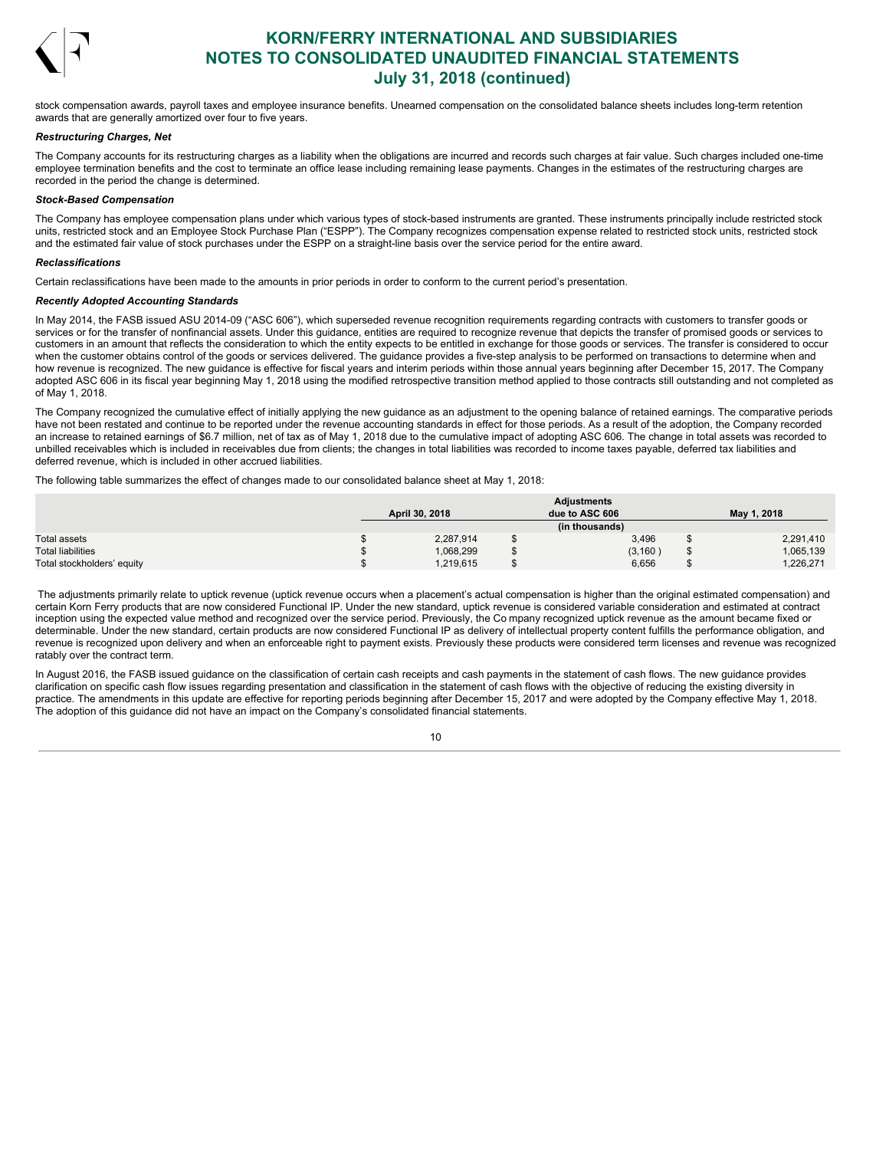

stock compensation awards, payroll taxes and employee insurance benefits. Unearned compensation on the consolidated balance sheets includes long-term retention awards that are generally amortized over four to five years.

### *Restructuring Charges, Net*

The Company accounts for its restructuring charges as a liability when the obligations are incurred and records such charges at fair value. Such charges included one-time employee termination benefits and the cost to terminate an office lease including remaining lease payments. Changes in the estimates of the restructuring charges are recorded in the period the change is determined.

### *Stock-Based Compensation*

The Company has employee compensation plans under which various types of stock-based instruments are granted. These instruments principally include restricted stock units, restricted stock and an Employee Stock Purchase Plan ("ESPP"). The Company recognizes compensation expense related to restricted stock units, restricted stock and the estimated fair value of stock purchases under the ESPP on a straight-line basis over the service period for the entire award.

### *Reclassifications*

Certain reclassifications have been made to the amounts in prior periods in order to conform to the current period's presentation.

#### *Recently Adopted Accounting Standards*

In May 2014, the FASB issued ASU 2014-09 ("ASC 606"), which superseded revenue recognition requirements regarding contracts with customers to transfer goods or services or for the transfer of nonfinancial assets. Under this guidance, entities are required to recognize revenue that depicts the transfer of promised goods or services to customers in an amount that reflects the consideration to which the entity expects to be entitled in exchange for those goods or services. The transfer is considered to occur when the customer obtains control of the goods or services delivered. The guidance provides a five-step analysis to be performed on transactions to determine when and how revenue is recognized. The new guidance is effective for fiscal years and interim periods within those annual years beginning after December 15, 2017. The Company adopted ASC 606 in its fiscal year beginning May 1, 2018 using the modified retrospective transition method applied to those contracts still outstanding and not completed as of May 1, 2018.

The Company recognized the cumulative effect of initially applying the new guidance as an adjustment to the opening balance of retained earnings. The comparative periods have not been restated and continue to be reported under the revenue accounting standards in effect for those periods. As a result of the adoption, the Company recorded an increase to retained earnings of \$6.7 million, net of tax as of May 1, 2018 due to the cumulative impact of adopting ASC 606. The change in total assets was recorded to unbilled receivables which is included in receivables due from clients; the changes in total liabilities was recorded to income taxes payable, deferred tax liabilities and deferred revenue, which is included in other accrued liabilities.

The following table summarizes the effect of changes made to our consolidated balance sheet at May 1, 2018:

|                            |                | <b>Adjustments</b> |             |           |  |
|----------------------------|----------------|--------------------|-------------|-----------|--|
|                            | April 30, 2018 | due to ASC 606     | May 1, 2018 |           |  |
|                            |                | (in thousands)     |             |           |  |
| Total assets               | 2,287,914      | 3,496              |             | 2,291,410 |  |
| <b>Total liabilities</b>   | 1,068,299      | (3, 160)           |             | 065,139   |  |
| Total stockholders' equity | 1,219,615      | 6,656              |             | ,226,271  |  |

The adjustments primarily relate to uptick revenue (uptick revenue occurs when a placement's actual compensation is higher than the original estimated compensation) and certain Korn Ferry products that are now considered Functional IP. Under the new standard, uptick revenue is considered variable consideration and estimated at contract inception using the expected value method and recognized over the service period. Previously, the Co mpany recognized uptick revenue as the amount became fixed or determinable. Under the new standard, certain products are now considered Functional IP as delivery of intellectual property content fulfills the performance obligation, and revenue is recognized upon delivery and when an enforceable right to payment exists. Previously these products were considered term licenses and revenue was recognized ratably over the contract term.

In August 2016, the FASB issued guidance on the classification of certain cash receipts and cash payments in the statement of cash flows. The new guidance provides clarification on specific cash flow issues regarding presentation and classification in the statement of cash flows with the objective of reducing the existing diversity in practice. The amendments in this update are effective for reporting periods beginning after December 15, 2017 and were adopted by the Company effective May 1, 2018. The adoption of this guidance did not have an impact on the Company's consolidated financial statements.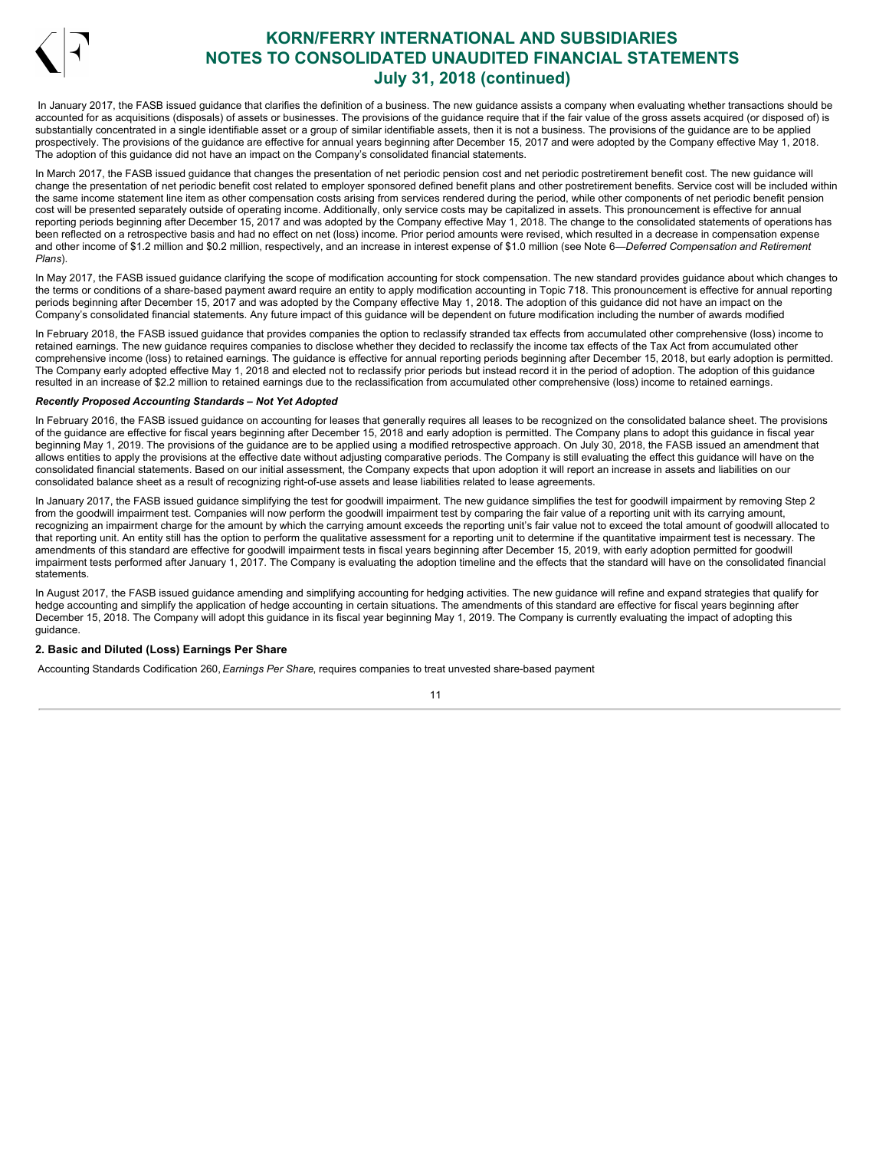

In January 2017, the FASB issued guidance that clarifies the definition of a business. The new guidance assists a company when evaluating whether transactions should be accounted for as acquisitions (disposals) of assets or businesses. The provisions of the guidance require that if the fair value of the gross assets acquired (or disposed of) is substantially concentrated in a single identifiable asset or a group of similar identifiable assets, then it is not a business. The provisions of the guidance are to be applied prospectively. The provisions of the guidance are effective for annual years beginning after December 15, 2017 and were adopted by the Company effective May 1, 2018. The adoption of this guidance did not have an impact on the Company's consolidated financial statements.

In March 2017, the FASB issued guidance that changes the presentation of net periodic pension cost and net periodic postretirement benefit cost. The new guidance will change the presentation of net periodic benefit cost related to employer sponsored defined benefit plans and other postretirement benefits. Service cost will be included within the same income statement line item as other compensation costs arising from services rendered during the period, while other components of net periodic benefit pension cost will be presented separately outside of operating income. Additionally, only service costs may be capitalized in assets. This pronouncement is effective for annual reporting periods beginning after December 15, 2017 and was adopted by the Company effective May 1, 2018. The change to the consolidated statements of operations has been reflected on a retrospective basis and had no effect on net (loss) income. Prior period amounts were revised, which resulted in a decrease in compensation expense and other income of \$1.2 million and \$0.2 million, respectively, and an increase in interest expense of \$1.0 million (see Note 6—*Deferred Compensation and Retirement Plans*).

In May 2017, the FASB issued guidance clarifying the scope of modification accounting for stock compensation. The new standard provides guidance about which changes to the terms or conditions of a share-based payment award require an entity to apply modification accounting in Topic 718. This pronouncement is effective for annual reporting periods beginning after December 15, 2017 and was adopted by the Company effective May 1, 2018. The adoption of this guidance did not have an impact on the Company's consolidated financial statements. Any future impact of this guidance will be dependent on future modification including the number of awards modified

In February 2018, the FASB issued guidance that provides companies the option to reclassify stranded tax effects from accumulated other comprehensive (loss) income to retained earnings. The new guidance requires companies to disclose whether they decided to reclassify the income tax effects of the Tax Act from accumulated other comprehensive income (loss) to retained earnings. The guidance is effective for annual reporting periods beginning after December 15, 2018, but early adoption is permitted. The Company early adopted effective May 1, 2018 and elected not to reclassify prior periods but instead record it in the period of adoption. The adoption of this guidance resulted in an increase of \$2.2 million to retained earnings due to the reclassification from accumulated other comprehensive (loss) income to retained earnings.

## *Recently Proposed Accounting Standards – Not Yet Adopted*

In February 2016, the FASB issued guidance on accounting for leases that generally requires all leases to be recognized on the consolidated balance sheet. The provisions of the guidance are effective for fiscal years beginning after December 15, 2018 and early adoption is permitted. The Company plans to adopt this guidance in fiscal year beginning May 1, 2019. The provisions of the guidance are to be applied using a modified retrospective approach. On July 30, 2018, the FASB issued an amendment that allows entities to apply the provisions at the effective date without adjusting comparative periods. The Company is still evaluating the effect this guidance will have on the consolidated financial statements. Based on our initial assessment, the Company expects that upon adoption it will report an increase in assets and liabilities on our consolidated balance sheet as a result of recognizing right-of-use assets and lease liabilities related to lease agreements.

In January 2017, the FASB issued guidance simplifying the test for goodwill impairment. The new guidance simplifies the test for goodwill impairment by removing Step 2 from the goodwill impairment test. Companies will now perform the goodwill impairment test by comparing the fair value of a reporting unit with its carrying amount, recognizing an impairment charge for the amount by which the carrying amount exceeds the reporting unit's fair value not to exceed the total amount of goodwill allocated to that reporting unit. An entity still has the option to perform the qualitative assessment for a reporting unit to determine if the quantitative impairment test is necessary. The amendments of this standard are effective for goodwill impairment tests in fiscal years beginning after December 15, 2019, with early adoption permitted for goodwill impairment tests performed after January 1, 2017. The Company is evaluating the adoption timeline and the effects that the standard will have on the consolidated financial statements.

In August 2017, the FASB issued guidance amending and simplifying accounting for hedging activities. The new guidance will refine and expand strategies that qualify for hedge accounting and simplify the application of hedge accounting in certain situations. The amendments of this standard are effective for fiscal years beginning after December 15, 2018. The Company will adopt this guidance in its fiscal year beginning May 1, 2019. The Company is currently evaluating the impact of adopting this guidance.

## **2. Basic and Diluted (Loss) Earnings Per Share**

Accounting Standards Codification 260, *Earnings Per Share*, requires companies to treat unvested share-based payment

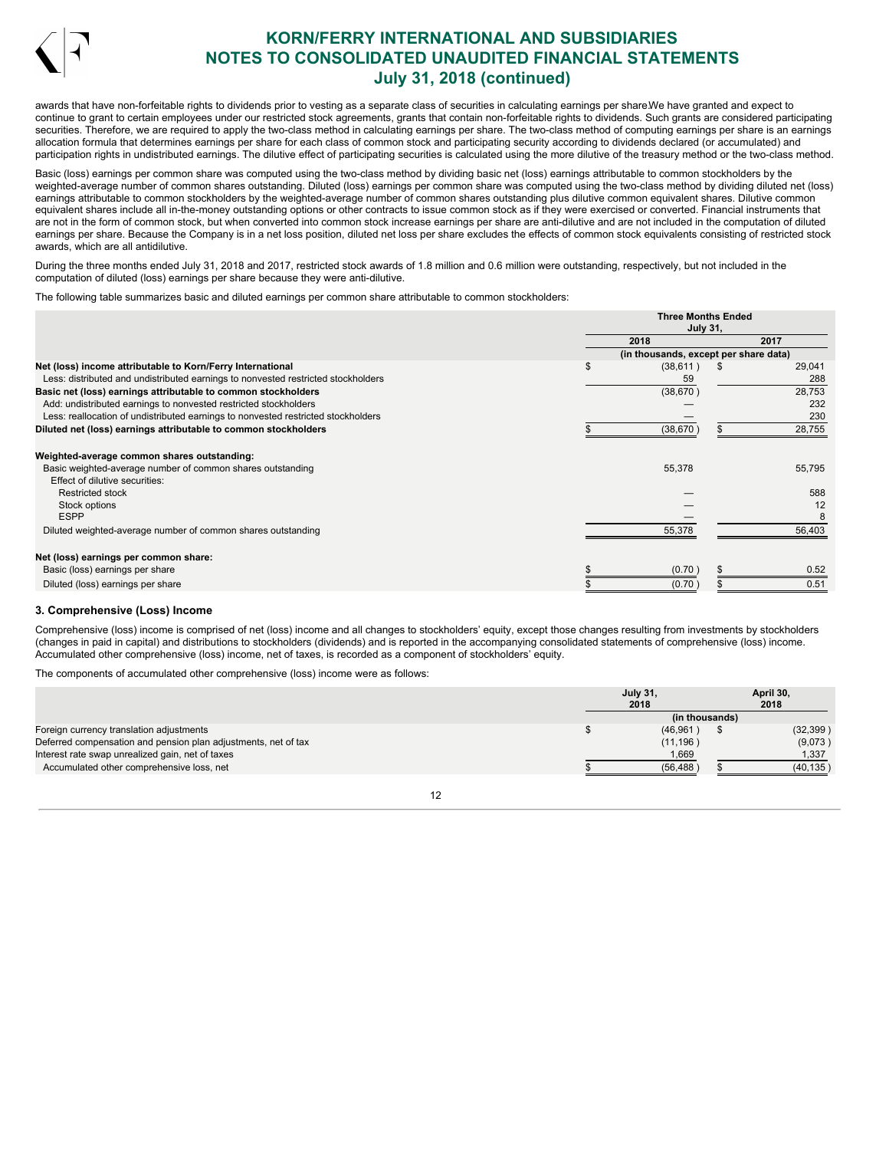

awards that have non-forfeitable rights to dividends prior to vesting as a separate class of securities in calculating earnings per share.We have granted and expect to continue to grant to certain employees under our restricted stock agreements, grants that contain non-forfeitable rights to dividends. Such grants are considered participating securities. Therefore, we are required to apply the two-class method in calculating earnings per share. The two-class method of computing earnings per share is an earnings allocation formula that determines earnings per share for each class of common stock and participating security according to dividends declared (or accumulated) and participation rights in undistributed earnings. The dilutive effect of participating securities is calculated using the more dilutive of the treasury method or the two-class method.

Basic (loss) earnings per common share was computed using the two-class method by dividing basic net (loss) earnings attributable to common stockholders by the weighted-average number of common shares outstanding. Diluted (loss) earnings per common share was computed using the two-class method by dividing diluted net (loss) earnings attributable to common stockholders by the weighted-average number of common shares outstanding plus dilutive common equivalent shares. Dilutive common equivalent shares include all in-the-money outstanding options or other contracts to issue common stock as if they were exercised or converted. Financial instruments that are not in the form of common stock, but when converted into common stock increase earnings per share are anti-dilutive and are not included in the computation of diluted earnings per share. Because the Company is in a net loss position, diluted net loss per share excludes the effects of common stock equivalents consisting of restricted stock awards, which are all antidilutive.

During the three months ended July 31, 2018 and 2017, restricted stock awards of 1.8 million and 0.6 million were outstanding, respectively, but not included in the computation of diluted (loss) earnings per share because they were anti-dilutive.

The following table summarizes basic and diluted earnings per common share attributable to common stockholders:

|                                                                                   |           | <b>Three Months Ended</b><br><b>July 31,</b> |
|-----------------------------------------------------------------------------------|-----------|----------------------------------------------|
|                                                                                   | 2018      | 2017                                         |
|                                                                                   |           | (in thousands, except per share data)        |
| Net (loss) income attributable to Korn/Ferry International                        | (38, 611) | 29,041                                       |
| Less: distributed and undistributed earnings to nonvested restricted stockholders | 59        | 288                                          |
| Basic net (loss) earnings attributable to common stockholders                     | (38, 670) | 28,753                                       |
| Add: undistributed earnings to nonvested restricted stockholders                  |           | 232                                          |
| Less: reallocation of undistributed earnings to nonvested restricted stockholders |           | 230                                          |
| Diluted net (loss) earnings attributable to common stockholders                   | (38, 670) | 28,755                                       |
| Weighted-average common shares outstanding:                                       |           |                                              |
| Basic weighted-average number of common shares outstanding                        | 55,378    | 55,795                                       |
| Effect of dilutive securities:                                                    |           |                                              |
| <b>Restricted stock</b>                                                           |           | 588                                          |
| Stock options                                                                     |           | 12                                           |
| <b>ESPP</b>                                                                       |           |                                              |
| Diluted weighted-average number of common shares outstanding                      | 55,378    | 56,403                                       |
| Net (loss) earnings per common share:                                             |           |                                              |
| Basic (loss) earnings per share                                                   | (0.70)    | 0.52                                         |
| Diluted (loss) earnings per share                                                 | (0.70)    | 0.51                                         |

## **3. Comprehensive (Loss) Income**

Comprehensive (loss) income is comprised of net (loss) income and all changes to stockholders' equity, except those changes resulting from investments by stockholders (changes in paid in capital) and distributions to stockholders (dividends) and is reported in the accompanying consolidated statements of comprehensive (loss) income. Accumulated other comprehensive (loss) income, net of taxes, is recorded as a component of stockholders' equity.

The components of accumulated other comprehensive (loss) income were as follows:

|                                                                | <b>July 31,</b><br>2018 | April 30,<br>2018 |
|----------------------------------------------------------------|-------------------------|-------------------|
|                                                                | (in thousands)          |                   |
| Foreign currency translation adjustments                       | (46, 961)               | (32, 399)         |
| Deferred compensation and pension plan adjustments, net of tax | (11, 196)               | (9,073)           |
| Interest rate swap unrealized gain, net of taxes               | 1.669                   | 1,337             |
| Accumulated other comprehensive loss, net                      | (56, 488)               | (40, 135)         |
|                                                                |                         |                   |

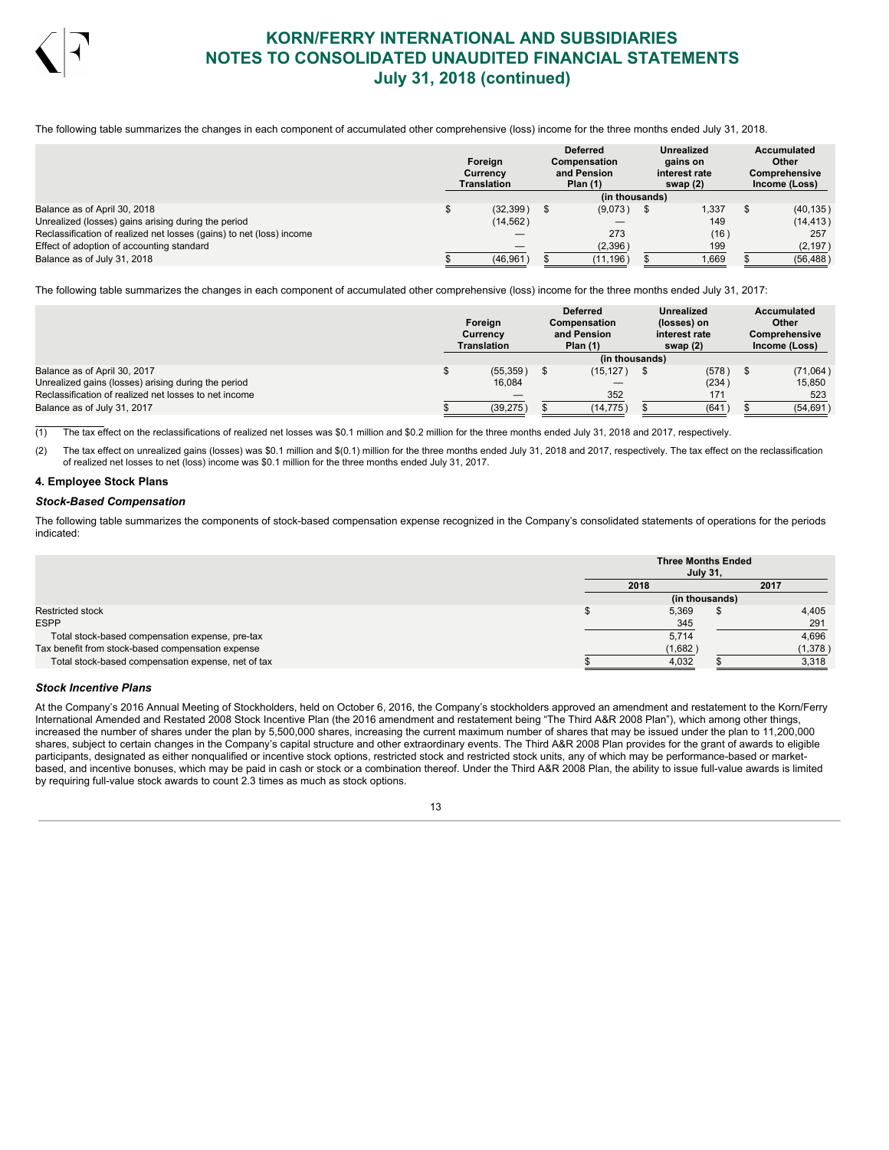

The following table summarizes the changes in each component of accumulated other comprehensive (loss) income for the three months ended July 31, 2018.

|                                                                      |    | Foreign<br>Currency<br>Translation |  | <b>Deferred</b><br>Compensation<br>and Pension<br>Plan $(1)$<br>(in thousands) |  | <b>Unrealized</b><br>gains on<br>interest rate<br>swap $(2)$ |      | Accumulated<br>Other<br>Comprehensive<br>Income (Loss) |
|----------------------------------------------------------------------|----|------------------------------------|--|--------------------------------------------------------------------------------|--|--------------------------------------------------------------|------|--------------------------------------------------------|
| Balance as of April 30, 2018                                         | £. | (32, 399)                          |  | (9,073)                                                                        |  | 1,337                                                        | - \$ | (40, 135)                                              |
| Unrealized (losses) gains arising during the period                  |    | (14, 562)                          |  |                                                                                |  | 149                                                          |      | (14, 413)                                              |
| Reclassification of realized net losses (gains) to net (loss) income |    | __                                 |  | 273                                                                            |  | (16)                                                         |      | 257                                                    |
| Effect of adoption of accounting standard                            |    | –                                  |  | (2,396)                                                                        |  | 199                                                          |      | (2, 197)                                               |
| Balance as of July 31, 2018                                          |    | (46, 961)                          |  | (11, 196)                                                                      |  | 1,669                                                        |      | (56, 488)                                              |

The following table summarizes the changes in each component of accumulated other comprehensive (loss) income for the three months ended July 31, 2017:

|                                                       |  | Foreign<br>Currencv |  | <b>Deferred</b><br>Compensation |               | Unrealized<br>(losses) on | <b>Accumulated</b><br>Other |
|-------------------------------------------------------|--|---------------------|--|---------------------------------|---------------|---------------------------|-----------------------------|
|                                                       |  |                     |  | and Pension                     | interest rate |                           | <b>Comprehensive</b>        |
|                                                       |  | <b>Translation</b>  |  | Plan $(1)$                      |               | swap $(2)$                | Income (Loss)               |
|                                                       |  |                     |  | (in thousands)                  |               |                           |                             |
| Balance as of April 30, 2017                          |  | (55,359)            |  | (15, 127)                       |               | (578)                     | (71,064)                    |
| Unrealized gains (losses) arising during the period   |  | 16,084              |  |                                 |               | (234)                     | 15.850                      |
| Reclassification of realized net losses to net income |  |                     |  | 352                             |               | 171                       | 523                         |
| Balance as of July 31, 2017                           |  | (39, 275)           |  | (14, 775)                       |               | (641)                     | (54, 691)                   |

 $(1)$  The tax effect on the reclassifications of realized net losses was \$0.1 million and \$0.2 million for the three months ended July 31, 2018 and 2017, respectively.

(2) The tax effect on unrealized gains (losses) was \$0.1 million and \$(0.1) million for the three months ended July 31, 2018 and 2017, respectively. The tax effect on the reclassification of realized net losses to net (loss) income was \$0.1 million for the three months ended July 31, 2017.

#### **4. Employee Stock Plans**

### *Stock-Based Compensation*

The following table summarizes the components of stock-based compensation expense recognized in the Company's consolidated statements of operations for the periods indicated:

|                                                    | <b>Three Months Ended</b><br>July 31, |  |         |  |  |  |  |  |
|----------------------------------------------------|---------------------------------------|--|---------|--|--|--|--|--|
|                                                    | 2018<br>2017                          |  |         |  |  |  |  |  |
|                                                    | (in thousands)                        |  |         |  |  |  |  |  |
| <b>Restricted stock</b>                            | 5,369                                 |  | 4,405   |  |  |  |  |  |
| <b>ESPP</b>                                        | 345                                   |  | 291     |  |  |  |  |  |
| Total stock-based compensation expense, pre-tax    | 5,714                                 |  | 4,696   |  |  |  |  |  |
| Tax benefit from stock-based compensation expense  | (1,682)                               |  | (1,378) |  |  |  |  |  |
| Total stock-based compensation expense, net of tax | 4,032                                 |  | 3,318   |  |  |  |  |  |

## *Stock Incentive Plans*

At the Company's 2016 Annual Meeting of Stockholders, held on October 6, 2016, the Company's stockholders approved an amendment and restatement to the Korn/Ferry International Amended and Restated 2008 Stock Incentive Plan (the 2016 amendment and restatement being "The Third A&R 2008 Plan"), which among other things, increased the number of shares under the plan by 5,500,000 shares, increasing the current maximum number of shares that may be issued under the plan to 11,200,000 shares, subject to certain changes in the Company's capital structure and other extraordinary events. The Third A&R 2008 Plan provides for the grant of awards to eligible participants, designated as either nonqualified or incentive stock options, restricted stock and restricted stock units, any of which may be performance-based or marketbased, and incentive bonuses, which may be paid in cash or stock or a combination thereof. Under the Third A&R 2008 Plan, the ability to issue full-value awards is limited by requiring full-value stock awards to count 2.3 times as much as stock options.

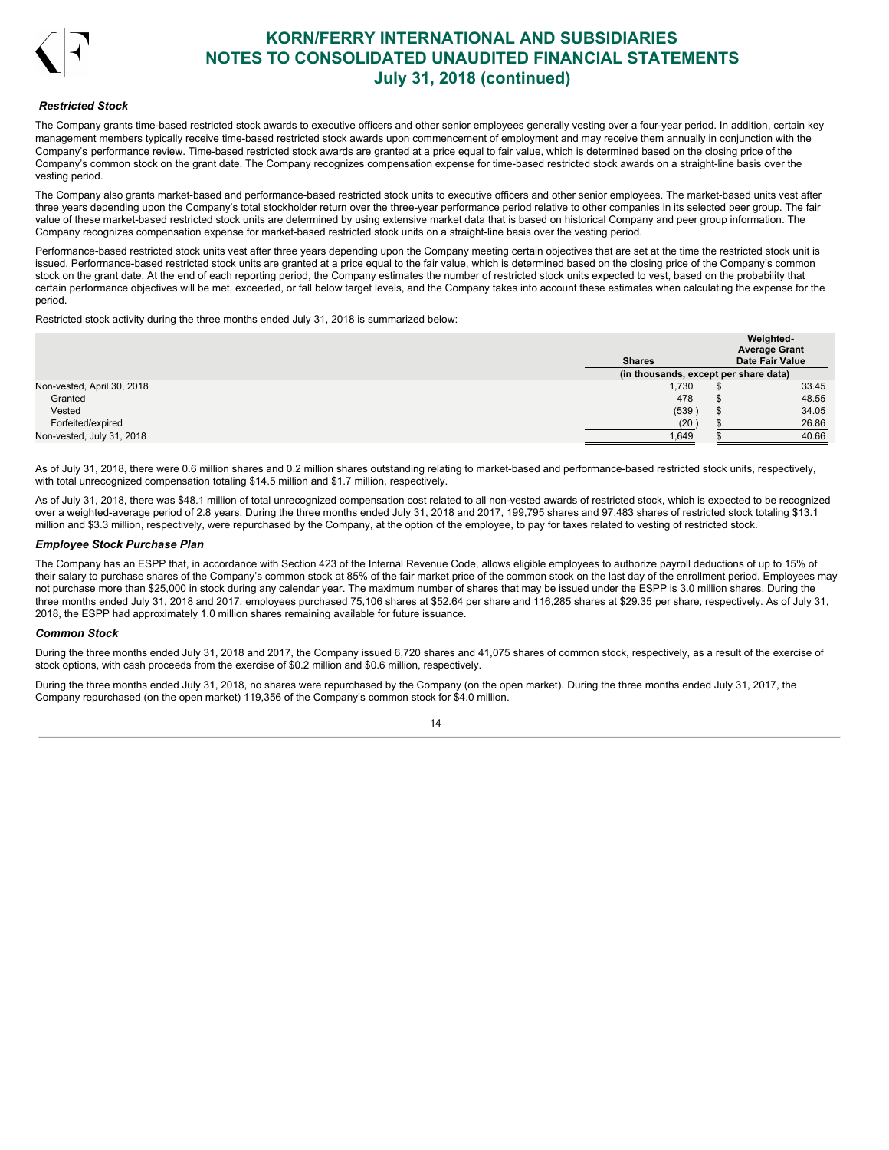

## *Restricted Stock*

The Company grants time-based restricted stock awards to executive officers and other senior employees generally vesting over a four-year period. In addition, certain key management members typically receive time-based restricted stock awards upon commencement of employment and may receive them annually in conjunction with the Company's performance review. Time-based restricted stock awards are granted at a price equal to fair value, which is determined based on the closing price of the Company's common stock on the grant date. The Company recognizes compensation expense for time-based restricted stock awards on a straight-line basis over the vesting period.

The Company also grants market-based and performance-based restricted stock units to executive officers and other senior employees. The market-based units vest after three years depending upon the Company's total stockholder return over the three-year performance period relative to other companies in its selected peer group. The fair value of these market-based restricted stock units are determined by using extensive market data that is based on historical Company and peer group information. The Company recognizes compensation expense for market-based restricted stock units on a straight-line basis over the vesting period.

Performance-based restricted stock units vest after three years depending upon the Company meeting certain objectives that are set at the time the restricted stock unit is issued. Performance-based restricted stock units are granted at a price equal to the fair value, which is determined based on the closing price of the Company's common stock on the grant date. At the end of each reporting period, the Company estimates the number of restricted stock units expected to vest, based on the probability that certain performance objectives will be met, exceeded, or fall below target levels, and the Company takes into account these estimates when calculating the expense for the period.

Restricted stock activity during the three months ended July 31, 2018 is summarized below:

|                            | <b>Shares</b>                         | Weighted-<br><b>Average Grant</b><br><b>Date Fair Value</b> |
|----------------------------|---------------------------------------|-------------------------------------------------------------|
|                            | (in thousands, except per share data) |                                                             |
| Non-vested, April 30, 2018 | 1,730                                 | 33.45                                                       |
| Granted                    | 478                                   | 48.55                                                       |
| Vested                     | (539)                                 | 34.05                                                       |
| Forfeited/expired          | (20)                                  | 26.86                                                       |
| Non-vested, July 31, 2018  | 1,649                                 | 40.66                                                       |

As of July 31, 2018, there were 0.6 million shares and 0.2 million shares outstanding relating to market-based and performance-based restricted stock units, respectively, with total unrecognized compensation totaling \$14.5 million and \$1.7 million, respectively.

As of July 31, 2018, there was \$48.1 million of total unrecognized compensation cost related to all non-vested awards of restricted stock, which is expected to be recognized over a weighted-average period of 2.8 years. During the three months ended July 31, 2018 and 2017, 199,795 shares and 97,483 shares of restricted stock totaling \$13.1 million and \$3.3 million, respectively, were repurchased by the Company, at the option of the employee, to pay for taxes related to vesting of restricted stock.

### *Employee Stock Purchase Plan*

The Company has an ESPP that, in accordance with Section 423 of the Internal Revenue Code, allows eligible employees to authorize payroll deductions of up to 15% of their salary to purchase shares of the Company's common stock at 85% of the fair market price of the common stock on the last day of the enrollment period. Employees may not purchase more than \$25,000 in stock during any calendar year. The maximum number of shares that may be issued under the ESPP is 3.0 million shares. During the three months ended July 31, 2018 and 2017, employees purchased 75,106 shares at \$52.64 per share and 116,285 shares at \$29.35 per share, respectively. As of July 31, 2018, the ESPP had approximately 1.0 million shares remaining available for future issuance.

#### *Common Stock*

During the three months ended July 31, 2018 and 2017, the Company issued 6,720 shares and 41,075 shares of common stock, respectively, as a result of the exercise of stock options, with cash proceeds from the exercise of \$0.2 million and \$0.6 million, respectively.

During the three months ended July 31, 2018, no shares were repurchased by the Company (on the open market). During the three months ended July 31, 2017, the Company repurchased (on the open market) 119,356 of the Company's common stock for \$4.0 million.

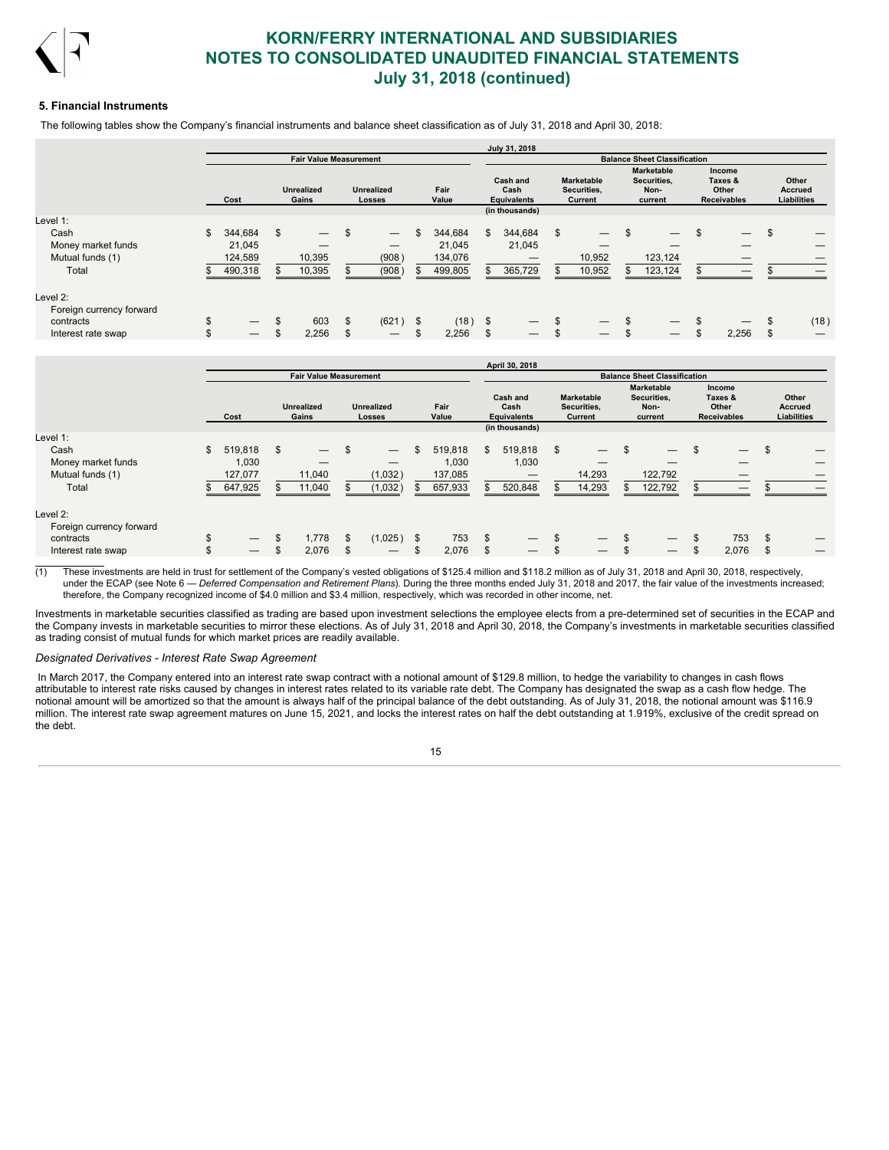

## **5. Financial Instruments**

The following tables show the Company's financial instruments and balance sheet classification as of July 31, 2018 and April 30, 2018:

|                                                                         |          |                                         |     |                               |           |                                                 |           |                                         |                                     | July 31, 2018                                               |    |                                                    |    |                                                     |    |                                                  |          |                                               |
|-------------------------------------------------------------------------|----------|-----------------------------------------|-----|-------------------------------|-----------|-------------------------------------------------|-----------|-----------------------------------------|-------------------------------------|-------------------------------------------------------------|----|----------------------------------------------------|----|-----------------------------------------------------|----|--------------------------------------------------|----------|-----------------------------------------------|
|                                                                         |          |                                         |     | <b>Fair Value Measurement</b> |           |                                                 |           |                                         | <b>Balance Sheet Classification</b> |                                                             |    |                                                    |    |                                                     |    |                                                  |          |                                               |
|                                                                         |          | Cost                                    |     | <b>Unrealized</b><br>Gains    |           | <b>Unrealized</b><br>Losses                     |           | Fair<br>Value                           |                                     | Cash and<br>Cash<br><b>Equivalents</b>                      |    | <b>Marketable</b><br>Securities,<br>Current        |    | <b>Marketable</b><br>Securities,<br>Non-<br>current |    | Income<br>Taxes &<br>Other<br><b>Receivables</b> |          | Other<br><b>Accrued</b><br><b>Liabilities</b> |
| Level 1:                                                                |          |                                         |     |                               |           |                                                 |           |                                         |                                     | (in thousands)                                              |    |                                                    |    |                                                     |    |                                                  |          |                                               |
| Cash<br>Money market funds<br>Mutual funds (1)<br>Total                 | \$       | 344,684<br>21,045<br>124,589<br>490,318 | \$. | —<br>10,395<br>10,395         |           | $\overline{\phantom{m}}$<br>—<br>(908)<br>(908) | \$<br>SS. | 344,684<br>21,045<br>134,076<br>499,805 | \$                                  | 344,684<br>21,045<br>365,729                                | \$ | $\overline{\phantom{0}}$<br>__<br>10,952<br>10,952 | £. | 123,124<br>123,124                                  | \$ | $\overline{\phantom{0}}$<br>—                    | \$.      |                                               |
| Level 2:<br>Foreign currency forward<br>contracts<br>Interest rate swap | \$<br>\$ | $\overline{\phantom{m}}$                | 55  | 603<br>2,256                  | \$<br>Э'n | (621)<br>$\overline{\phantom{m}}$               | \$<br>\$  | (18)<br>2,256                           | -\$<br>\$                           | $\hspace{0.1mm}-\hspace{0.1mm}$<br>$\overline{\phantom{m}}$ |    | $\overline{\phantom{0}}$                           |    | $\overline{\phantom{m}}$                            |    | 2,256                                            | \$.<br>S | (18)                                          |

|                                                                         |          |                                        |          |                                              |           |                             |                                              |                                     | April 30, 2018                         |          |                                             |    |                                                      |   |                                                  |            |                                               |
|-------------------------------------------------------------------------|----------|----------------------------------------|----------|----------------------------------------------|-----------|-----------------------------|----------------------------------------------|-------------------------------------|----------------------------------------|----------|---------------------------------------------|----|------------------------------------------------------|---|--------------------------------------------------|------------|-----------------------------------------------|
|                                                                         |          |                                        |          | <b>Fair Value Measurement</b>                |           |                             |                                              | <b>Balance Sheet Classification</b> |                                        |          |                                             |    |                                                      |   |                                                  |            |                                               |
|                                                                         |          | Cost                                   |          | <b>Unrealized</b><br>Gains                   |           | <b>Unrealized</b><br>Losses | Fair<br>Value                                |                                     | Cash and<br>Cash<br><b>Equivalents</b> |          | <b>Marketable</b><br>Securities,<br>Current |    | <b>Marketable</b><br>Securities,<br>Non-<br>current  |   | Income<br>Taxes &<br>Other<br><b>Receivables</b> |            | Other<br><b>Accrued</b><br><b>Liabilities</b> |
|                                                                         |          |                                        |          |                                              |           |                             |                                              |                                     | (in thousands)                         |          |                                             |    |                                                      |   |                                                  |            |                                               |
| Level 1:<br>Cash<br>Money market funds<br>Mutual funds (1)<br>Total     | \$<br>\$ | 519,818<br>1.030<br>127,077<br>647,925 | \$       | $\overline{\phantom{a}}$<br>11,040<br>11,040 | \$        | (1,032)<br>(1,032)          | \$<br>519,818<br>1.030<br>137,085<br>657,933 | \$                                  | 519,818<br>1,030<br>520,848            | \$<br>ж. | 14,293<br>14,293                            | \$ | $\overline{\phantom{m}}$<br>122,792<br>122,792       | S | —<br>—                                           | -\$        | __                                            |
| Level 2:<br>Foreign currency forward<br>contracts<br>Interest rate swap | \$<br>\$ | $\overline{\phantom{m}}$               | \$<br>\$ | 1,778<br>2,076                               | \$<br>\$. | (1,025)                     | \$<br>753<br>2,076                           | \$<br>\$                            |                                        | \$       |                                             | \$ | $\overline{\phantom{m}}$<br>$\overline{\phantom{m}}$ |   | 753<br>2,076                                     | \$.<br>\$. |                                               |

 $\overline{(1)}$  These investments are held in trust for settlement of the Company's vested obligations of \$125.4 million and \$118.2 million as of July 31, 2018 and April 30, 2018, respectively, under the ECAP (see Note 6 — *Deferred Compensation and Retirement Plans*). During the three months ended July 31, 2018 and 2017, the fair value of the investments increased; therefore, the Company recognized income of \$4.0 million and \$3.4 million, respectively, which was recorded in other income, net.

Investments in marketable securities classified as trading are based upon investment selections the employee elects from a pre-determined set of securities in the ECAP and the Company invests in marketable securities to mirror these elections. As of July 31, 2018 and April 30, 2018, the Company's investments in marketable securities classified as trading consist of mutual funds for which market prices are readily available.

#### *Designated Derivatives - Interest Rate Swap Agreement*

In March 2017, the Company entered into an interest rate swap contract with a notional amount of \$129.8 million, to hedge the variability to changes in cash flows attributable to interest rate risks caused by changes in interest rates related to its variable rate debt. The Company has designated the swap as a cash flow hedge. The notional amount will be amortized so that the amount is always half of the principal balance of the debt outstanding. As of July 31, 2018, the notional amount was \$116.9 million. The interest rate swap agreement matures on June 15, 2021, and locks the interest rates on half the debt outstanding at 1.919%, exclusive of the credit spread on the debt.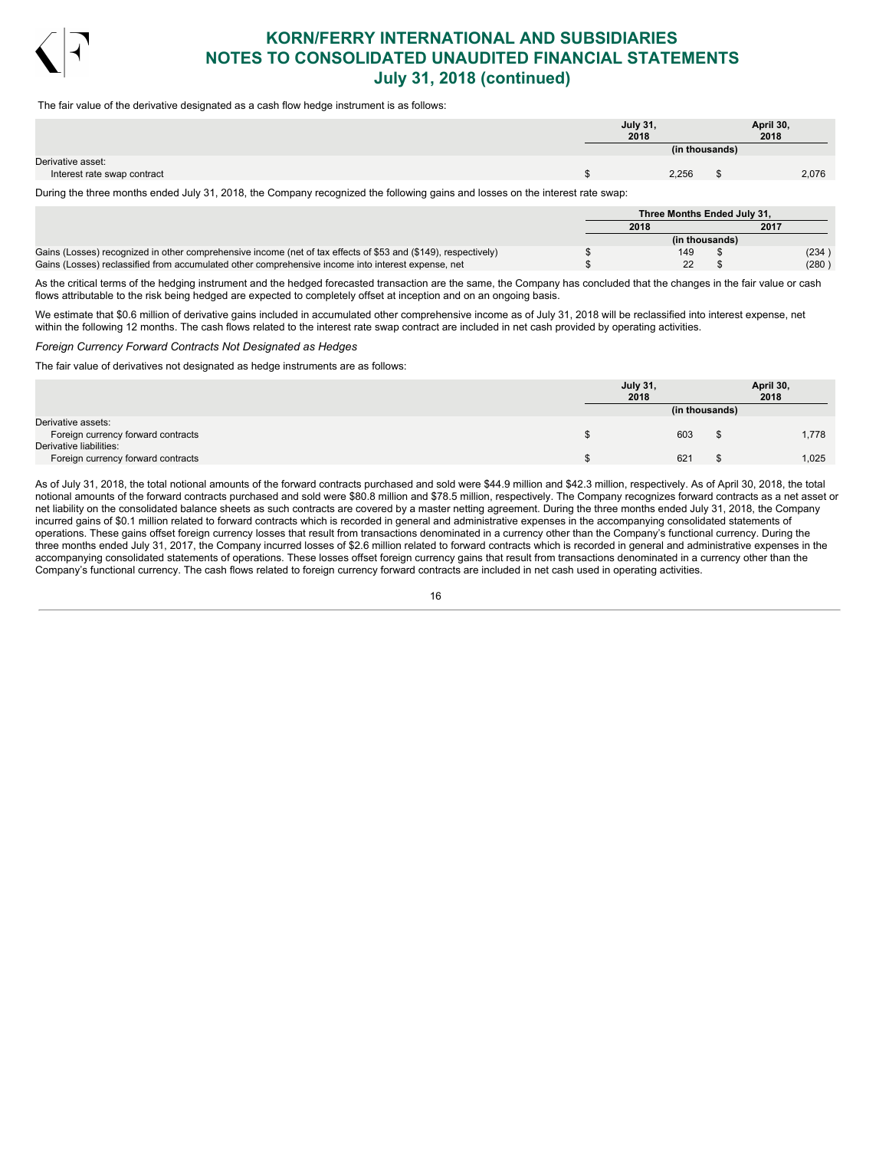

The fair value of the derivative designated as a cash flow hedge instrument is as follows:

|                                                                                                                               | <b>July 31,</b><br>2018     | April 30,<br>2018 |       |
|-------------------------------------------------------------------------------------------------------------------------------|-----------------------------|-------------------|-------|
|                                                                                                                               | (in thousands)              |                   |       |
| Derivative asset:                                                                                                             |                             |                   |       |
| Interest rate swap contract                                                                                                   | 2.256                       |                   | 2,076 |
| During the three months ended July 31, 2018, the Company recognized the following gains and losses on the interest rate swap: |                             |                   |       |
|                                                                                                                               | Three Months Ended July 31, |                   |       |
|                                                                                                                               | $\cdots$                    | $\cdots$          |       |

**2018 2017 (in thousands)** Gains (Losses) recognized in other comprehensive income (net of tax effects of \$53 and (\$149), respectively) \$ 149 \$ (234 )<br>
Gains (Losses) reclassified from accumulated other comprehensive income into interest expense, ne Gains (Losses) reclassified from accumulated other comprehensive income into interest expense, net \$ \$ 22 \$

As the critical terms of the hedging instrument and the hedged forecasted transaction are the same, the Company has concluded that the changes in the fair value or cash flows attributable to the risk being hedged are expected to completely offset at inception and on an ongoing basis.

We estimate that \$0.6 million of derivative gains included in accumulated other comprehensive income as of July 31, 2018 will be reclassified into interest expense, net within the following 12 months. The cash flows related to the interest rate swap contract are included in net cash provided by operating activities.

*Foreign Currency Forward Contracts Not Designated as Hedges*

The fair value of derivatives not designated as hedge instruments are as follows:

|                                    | <b>July 31,</b><br>2018 |                 | April 30,<br>2018 |       |
|------------------------------------|-------------------------|-----------------|-------------------|-------|
|                                    |                         | (in thousands)  |                   |       |
| Derivative assets:                 |                         |                 |                   |       |
| Foreign currency forward contracts |                         | 603             |                   | 1.778 |
| Derivative liabilities:            |                         |                 |                   |       |
| Foreign currency forward contracts |                         | 62 <sup>2</sup> |                   | 1,025 |

As of July 31, 2018, the total notional amounts of the forward contracts purchased and sold were \$44.9 million and \$42.3 million, respectively. As of April 30, 2018, the total notional amounts of the forward contracts purchased and sold were \$80.8 million and \$78.5 million, respectively. The Company recognizes forward contracts as a net asset or net liability on the consolidated balance sheets as such contracts are covered by a master netting agreement. During the three months ended July 31, 2018, the Company incurred gains of \$0.1 million related to forward contracts which is recorded in general and administrative expenses in the accompanying consolidated statements of operations. These gains offset foreign currency losses that result from transactions denominated in a currency other than the Company's functional currency. During the three months ended July 31, 2017, the Company incurred losses of \$2.6 million related to forward contracts which is recorded in general and administrative expenses in the accompanying consolidated statements of operations. These losses offset foreign currency gains that result from transactions denominated in a currency other than the Company's functional currency. The cash flows related to foreign currency forward contracts are included in net cash used in operating activities.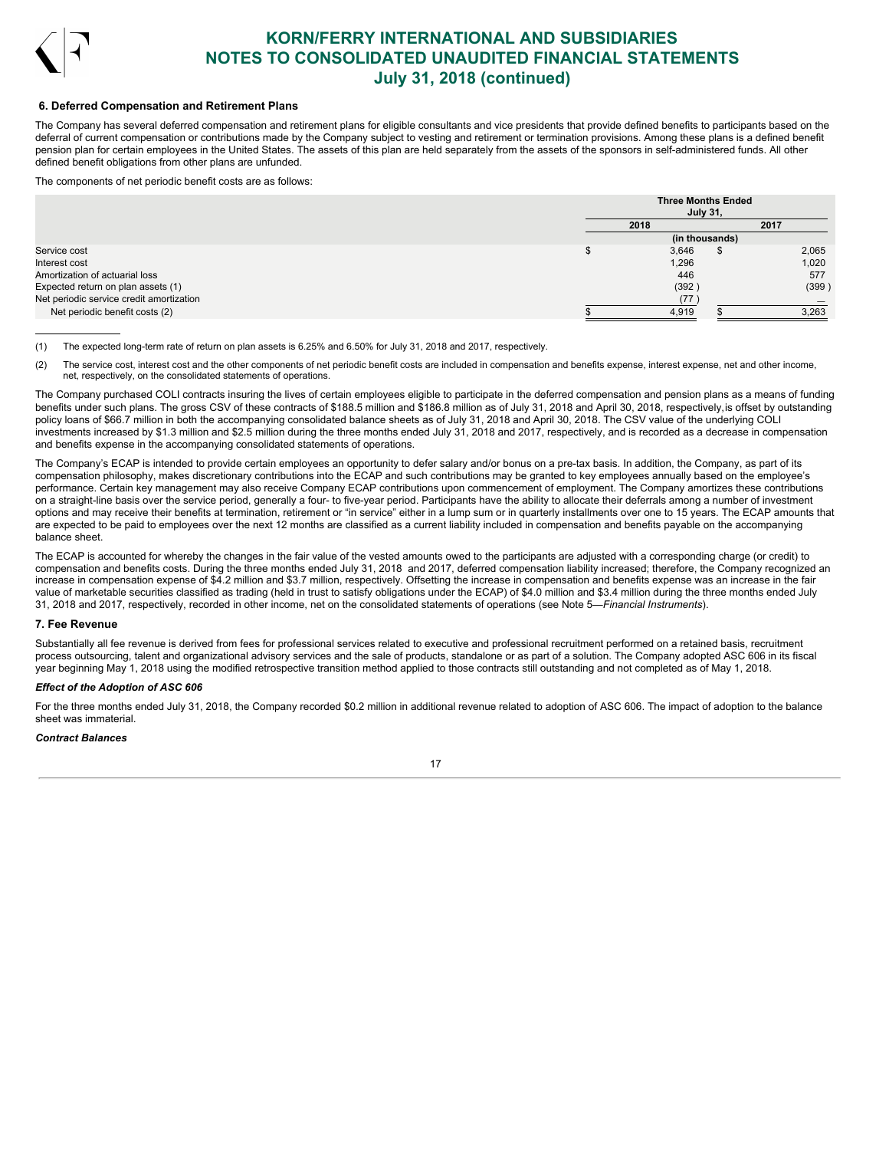

## **6. Deferred Compensation and Retirement Plans**

The Company has several deferred compensation and retirement plans for eligible consultants and vice presidents that provide defined benefits to participants based on the deferral of current compensation or contributions made by the Company subject to vesting and retirement or termination provisions. Among these plans is a defined benefit pension plan for certain employees in the United States. The assets of this plan are held separately from the assets of the sponsors in self-administered funds. All other defined benefit obligations from other plans are unfunded.

The components of net periodic benefit costs are as follows:

|                                          | <b>Three Months Ended</b><br><b>July 31,</b> |  |       |  |  |  |  |
|------------------------------------------|----------------------------------------------|--|-------|--|--|--|--|
|                                          | 2017<br>2018                                 |  |       |  |  |  |  |
|                                          | (in thousands)                               |  |       |  |  |  |  |
| Service cost                             | 3,646                                        |  | 2,065 |  |  |  |  |
| Interest cost                            | 1,296                                        |  | 1,020 |  |  |  |  |
| Amortization of actuarial loss           | 446                                          |  | 577   |  |  |  |  |
| Expected return on plan assets (1)       | (392)                                        |  | (399) |  |  |  |  |
| Net periodic service credit amortization | (77)                                         |  |       |  |  |  |  |
| Net periodic benefit costs (2)           | 4.919                                        |  | 3,263 |  |  |  |  |

(1) The expected long-term rate of return on plan assets is 6.25% and 6.50% for July 31, 2018 and 2017, respectively.

(2) The service cost, interest cost and the other components of net periodic benefit costs are included in compensation and benefits expense, interest expense, net and other income, net, respectively, on the consolidated statements of operations.

The Company purchased COLI contracts insuring the lives of certain employees eligible to participate in the deferred compensation and pension plans as a means of funding benefits under such plans. The gross CSV of these contracts of \$188.5 million and \$186.8 million as of July 31, 2018 and April 30, 2018, respectively, is offset by outstanding policy loans of \$66.7 million in both the accompanying consolidated balance sheets as of July 31, 2018 and April 30, 2018. The CSV value of the underlying COLI investments increased by \$1.3 million and \$2.5 million during the three months ended July 31, 2018 and 2017, respectively, and is recorded as a decrease in compensation and benefits expense in the accompanying consolidated statements of operations.

The Company's ECAP is intended to provide certain employees an opportunity to defer salary and/or bonus on a pre-tax basis. In addition, the Company, as part of its compensation philosophy, makes discretionary contributions into the ECAP and such contributions may be granted to key employees annually based on the employee's performance. Certain key management may also receive Company ECAP contributions upon commencement of employment. The Company amortizes these contributions on a straight-line basis over the service period, generally a four- to five-year period. Participants have the ability to allocate their deferrals among a number of investment options and may receive their benefits at termination, retirement or "in service" either in a lump sum or in quarterly installments over one to 15 years. The ECAP amounts that are expected to be paid to employees over the next 12 months are classified as a current liability included in compensation and benefits payable on the accompanying balance sheet.

The ECAP is accounted for whereby the changes in the fair value of the vested amounts owed to the participants are adjusted with a corresponding charge (or credit) to compensation and benefits costs. During the three months ended July 31, 2018 and 2017, deferred compensation liability increased; therefore, the Company recognized an increase in compensation expense of \$4.2 million and \$3.7 million, respectively. Offsetting the increase in compensation and benefits expense was an increase in the fair value of marketable securities classified as trading (held in trust to satisfy obligations under the ECAP) of \$4.0 million and \$3.4 million during the three months ended July 31, 2018 and 2017, respectively, recorded in other income, net on the consolidated statements of operations (see Note 5—*Financial Instruments*).

## **7. Fee Revenue**

Substantially all fee revenue is derived from fees for professional services related to executive and professional recruitment performed on a retained basis, recruitment process outsourcing, talent and organizational advisory services and the sale of products, standalone or as part of a solution. The Company adopted ASC 606 in its fiscal year beginning May 1, 2018 using the modified retrospective transition method applied to those contracts still outstanding and not completed as of May 1, 2018.

## *Effect of the Adoption of ASC 606*

For the three months ended July 31, 2018, the Company recorded \$0.2 million in additional revenue related to adoption of ASC 606. The impact of adoption to the balance sheet was immaterial.

#### *Contract Balances*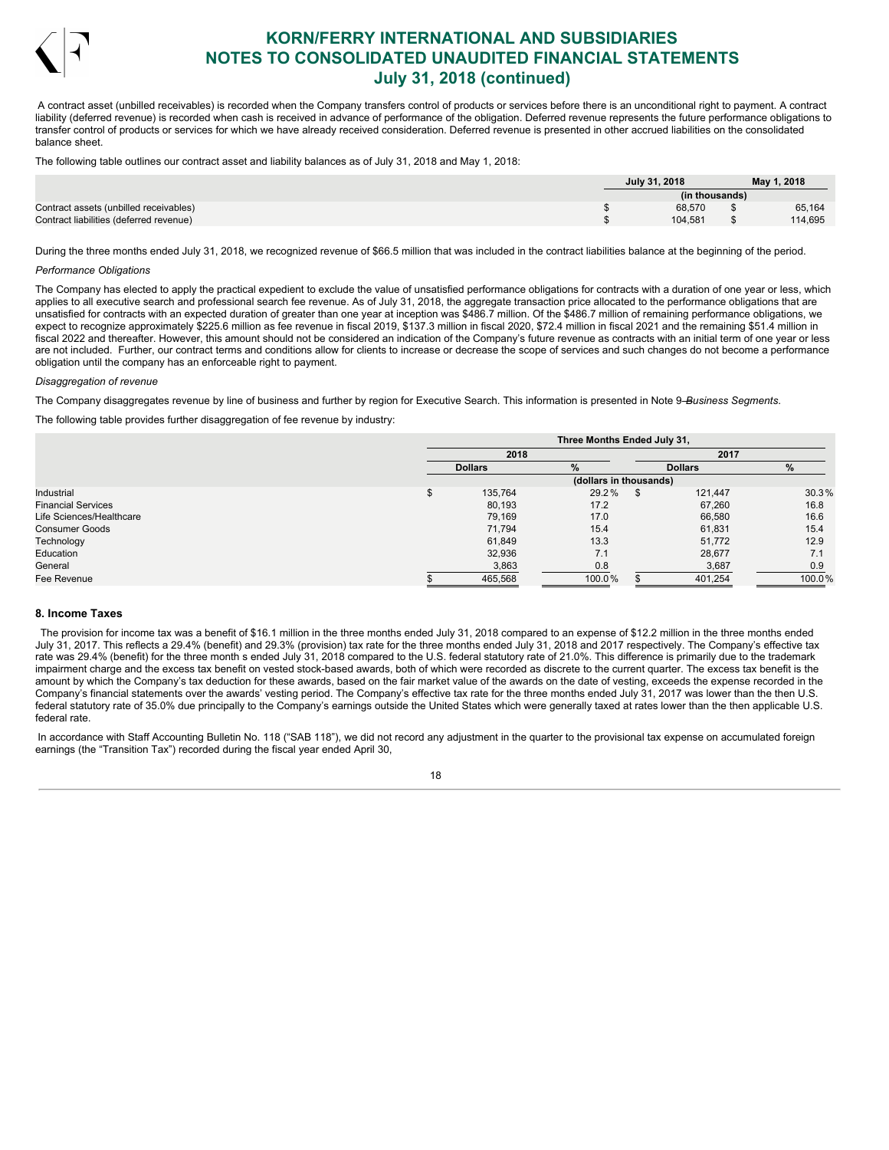

A contract asset (unbilled receivables) is recorded when the Company transfers control of products or services before there is an unconditional right to payment. A contract liability (deferred revenue) is recorded when cash is received in advance of performance of the obligation. Deferred revenue represents the future performance obligations to transfer control of products or services for which we have already received consideration. Deferred revenue is presented in other accrued liabilities on the consolidated balance sheet.

The following table outlines our contract asset and liability balances as of July 31, 2018 and May 1, 2018:

|                                         | July 31, 2018 |                | May 1, 2018 |
|-----------------------------------------|---------------|----------------|-------------|
|                                         |               | (in thousands) |             |
| Contract assets (unbilled receivables)  | 68.570        |                | 65.164      |
| Contract liabilities (deferred revenue) | 104.581       |                | 114.695     |

During the three months ended July 31, 2018, we recognized revenue of \$66.5 million that was included in the contract liabilities balance at the beginning of the period.

#### *Performance Obligations*

The Company has elected to apply the practical expedient to exclude the value of unsatisfied performance obligations for contracts with a duration of one year or less, which applies to all executive search and professional search fee revenue. As of July 31, 2018, the aggregate transaction price allocated to the performance obligations that are unsatisfied for contracts with an expected duration of greater than one year at inception was \$486.7 million. Of the \$486.7 million of remaining performance obligations, we expect to recognize approximately \$225.6 million as fee revenue in fiscal 2019, \$137.3 million in fiscal 2020, \$72.4 million in fiscal 2021 and the remaining \$51.4 million in fiscal 2022 and thereafter. However, this amount should not be considered an indication of the Company's future revenue as contracts with an initial term of one year or less are not included. Further, our contract terms and conditions allow for clients to increase or decrease the scope of services and such changes do not become a performance obligation until the company has an enforceable right to payment.

### *Disaggregation of revenue*

The Company disaggregates revenue by line of business and further by region for Executive Search. This information is presented in Note 9—*Business Segments*.

The following table provides further disaggregation of fee revenue by industry:

|                           | Three Months Ended July 31, |                        |                |        |  |  |  |  |  |
|---------------------------|-----------------------------|------------------------|----------------|--------|--|--|--|--|--|
|                           | 2018                        | 2017                   |                |        |  |  |  |  |  |
|                           | <b>Dollars</b>              | $\%$                   | <b>Dollars</b> | $\%$   |  |  |  |  |  |
|                           |                             | (dollars in thousands) |                |        |  |  |  |  |  |
| Industrial                | 135,764                     | 29.2%                  | 121,447        | 30.3%  |  |  |  |  |  |
| <b>Financial Services</b> | 80,193                      | 17.2                   | 67,260         | 16.8   |  |  |  |  |  |
| Life Sciences/Healthcare  | 79.169                      | 17.0                   | 66,580         | 16.6   |  |  |  |  |  |
| <b>Consumer Goods</b>     | 71.794                      | 15.4                   | 61,831         | 15.4   |  |  |  |  |  |
| Technology                | 61.849                      | 13.3                   | 51.772         | 12.9   |  |  |  |  |  |
| Education                 | 32,936                      | 7.1                    | 28,677         | 7.1    |  |  |  |  |  |
| General                   | 3,863                       | 0.8                    | 3,687          | 0.9    |  |  |  |  |  |
| Fee Revenue               | 465,568                     | 100.0%                 | 401,254        | 100.0% |  |  |  |  |  |

#### **8. Income Taxes**

The provision for income tax was a benefit of \$16.1 million in the three months ended July 31, 2018 compared to an expense of \$12.2 million in the three months ended July 31, 2017. This reflects a 29.4% (benefit) and 29.3% (provision) tax rate for the three months ended July 31, 2018 and 2017 respectively. The Company's effective tax rate was 29.4% (benefit) for the three month s ended July 31, 2018 compared to the U.S. federal statutory rate of 21.0%. This difference is primarily due to the trademark impairment charge and the excess tax benefit on vested stock-based awards, both of which were recorded as discrete to the current quarter. The excess tax benefit is the amount by which the Company's tax deduction for these awards, based on the fair market value of the awards on the date of vesting, exceeds the expense recorded in the Company's financial statements over the awards' vesting period. The Company's effective tax rate for the three months ended July 31, 2017 was lower than the then U.S. federal statutory rate of 35.0% due principally to the Company's earnings outside the United States which were generally taxed at rates lower than the then applicable U.S. federal rate.

In accordance with Staff Accounting Bulletin No. 118 ("SAB 118"), we did not record any adjustment in the quarter to the provisional tax expense on accumulated foreign earnings (the "Transition Tax") recorded during the fiscal year ended April 30,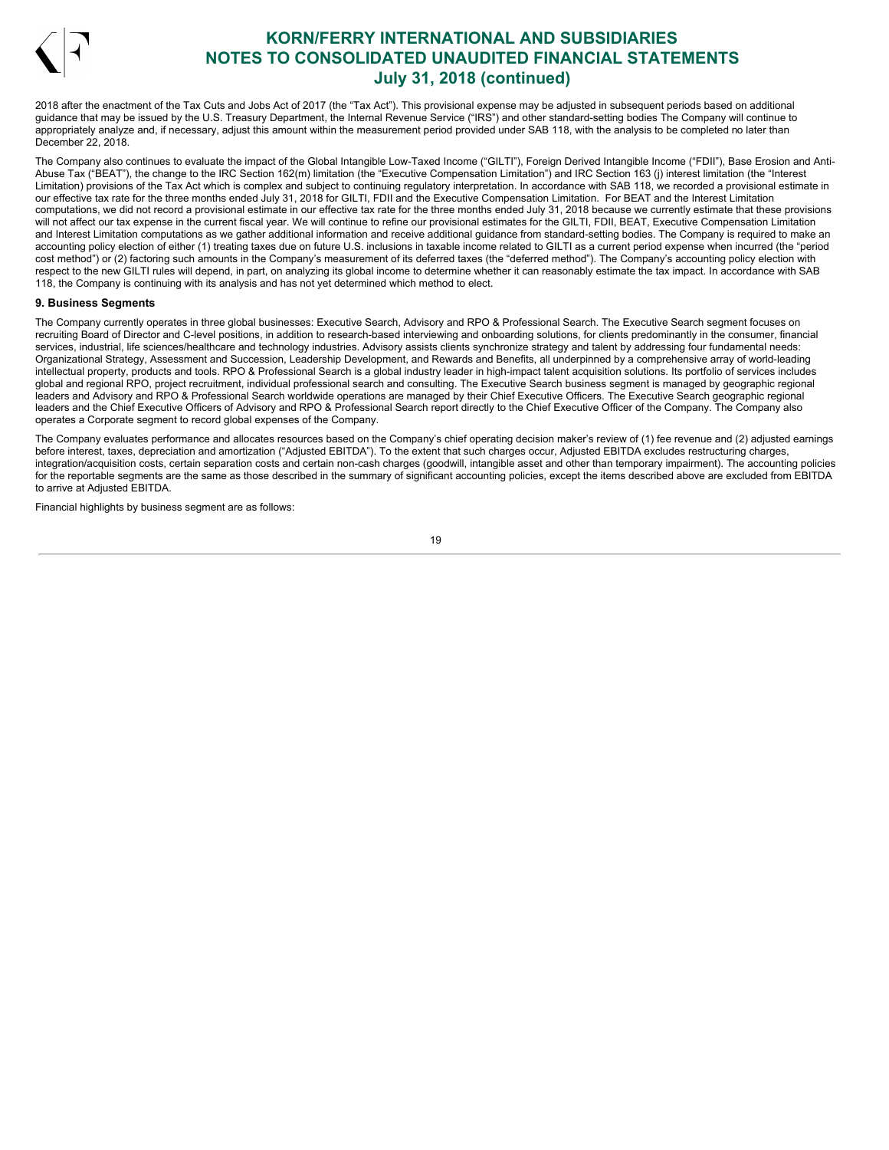

2018 after the enactment of the Tax Cuts and Jobs Act of 2017 (the "Tax Act"). This provisional expense may be adjusted in subsequent periods based on additional guidance that may be issued by the U.S. Treasury Department, the Internal Revenue Service ("IRS") and other standard-setting bodies The Company will continue to appropriately analyze and, if necessary, adjust this amount within the measurement period provided under SAB 118, with the analysis to be completed no later than December 22, 2018

The Company also continues to evaluate the impact of the Global Intangible Low-Taxed Income ("GILTI"), Foreign Derived Intangible Income ("FDII"), Base Erosion and Anti-Abuse Tax ("BEAT"), the change to the IRC Section 162(m) limitation (the "Executive Compensation Limitation") and IRC Section 163 (j) interest limitation (the "Interest Limitation) provisions of the Tax Act which is complex and subject to continuing regulatory interpretation. In accordance with SAB 118, we recorded a provisional estimate in our effective tax rate for the three months ended July 31, 2018 for GILTI, FDII and the Executive Compensation Limitation. For BEAT and the Interest Limitation computations, we did not record a provisional estimate in our effective tax rate for the three months ended July 31, 2018 because we currently estimate that these provisions will not affect our tax expense in the current fiscal year. We will continue to refine our provisional estimates for the GILTI, FDII, BEAT, Executive Compensation Limitation and Interest Limitation computations as we gather additional information and receive additional guidance from standard-setting bodies. The Company is required to make an accounting policy election of either (1) treating taxes due on future U.S. inclusions in taxable income related to GILTI as a current period expense when incurred (the "period cost method") or (2) factoring such amounts in the Company's measurement of its deferred taxes (the "deferred method"). The Company's accounting policy election with respect to the new GILTI rules will depend, in part, on analyzing its global income to determine whether it can reasonably estimate the tax impact. In accordance with SAB 118, the Company is continuing with its analysis and has not yet determined which method to elect.

### **9. Business Segments**

The Company currently operates in three global businesses: Executive Search, Advisory and RPO & Professional Search. The Executive Search segment focuses on recruiting Board of Director and C-level positions, in addition to research-based interviewing and onboarding solutions, for clients predominantly in the consumer, financial services, industrial, life sciences/healthcare and technology industries. Advisory assists clients synchronize strategy and talent by addressing four fundamental needs: Organizational Strategy, Assessment and Succession, Leadership Development, and Rewards and Benefits, all underpinned by a comprehensive array of world-leading intellectual property, products and tools. RPO & Professional Search is a global industry leader in high-impact talent acquisition solutions. Its portfolio of services includes global and regional RPO, project recruitment, individual professional search and consulting. The Executive Search business segment is managed by geographic regional leaders and Advisory and RPO & Professional Search worldwide operations are managed by their Chief Executive Officers. The Executive Search geographic regional leaders and the Chief Executive Officers of Advisory and RPO & Professional Search report directly to the Chief Executive Officer of the Company. The Company also operates a Corporate segment to record global expenses of the Company.

The Company evaluates performance and allocates resources based on the Company's chief operating decision maker's review of (1) fee revenue and (2) adjusted earnings before interest, taxes, depreciation and amortization ("Adjusted EBITDA"). To the extent that such charges occur, Adjusted EBITDA excludes restructuring charges, integration/acquisition costs, certain separation costs and certain non-cash charges (goodwill, intangible asset and other than temporary impairment). The accounting policies for the reportable segments are the same as those described in the summary of significant accounting policies, except the items described above are excluded from EBITDA to arrive at Adjusted EBITDA.

Financial highlights by business segment are as follows: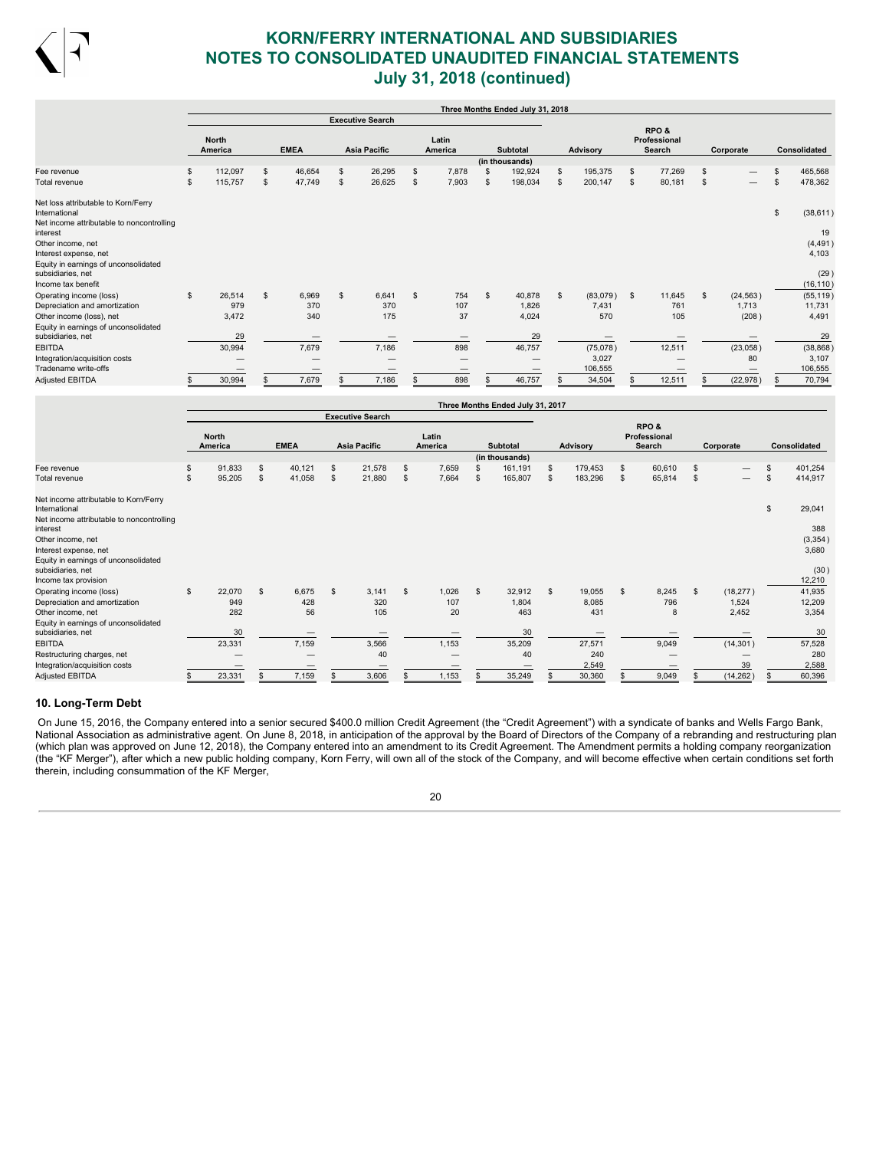

|                                                                                                   |                                        |    |                                 |                                                            |                         |    |       |   | Three Months Ended July 31, 2018 |    |               |                                       |        |           |           |                     |                   |
|---------------------------------------------------------------------------------------------------|----------------------------------------|----|---------------------------------|------------------------------------------------------------|-------------------------|----|-------|---|----------------------------------|----|---------------|---------------------------------------|--------|-----------|-----------|---------------------|-------------------|
|                                                                                                   |                                        |    |                                 |                                                            | <b>Executive Search</b> |    |       |   |                                  |    |               |                                       |        |           |           |                     |                   |
|                                                                                                   | <b>North</b><br><b>EMEA</b><br>America |    |                                 | Latin<br><b>Asia Pacific</b><br><b>Subtotal</b><br>America |                         |    |       |   | Advisory                         |    |               | RPO&<br>Professional<br><b>Search</b> |        | Corporate |           | <b>Consolidated</b> |                   |
|                                                                                                   |                                        |    |                                 |                                                            |                         |    |       |   | (in thousands)                   |    |               |                                       |        |           |           |                     |                   |
| Fee revenue                                                                                       | \$<br>112,097                          | s. | 46,654                          | \$                                                         | 26,295                  | \$ | 7,878 |   | 192,924                          | \$ | 195,375       | \$                                    | 77,269 | \$        | —         | \$                  | 465,568           |
| Total revenue                                                                                     | \$<br>115,757                          | s. | 47,749                          | \$                                                         | 26,625                  | s. | 7,903 | S | 198,034                          | \$ | 200,147       | \$                                    | 80,181 | \$        |           | \$                  | 478,362           |
| Net loss attributable to Korn/Ferry<br>International<br>Net income attributable to noncontrolling |                                        |    |                                 |                                                            |                         |    |       |   |                                  |    |               |                                       |        |           |           | \$                  | (38, 611)         |
| interest<br>Other income, net                                                                     |                                        |    |                                 |                                                            |                         |    |       |   |                                  |    |               |                                       |        |           |           |                     | 19<br>(4, 491)    |
| Interest expense, net<br>Equity in earnings of unconsolidated                                     |                                        |    |                                 |                                                            |                         |    |       |   |                                  |    |               |                                       |        |           |           |                     | 4,103             |
| subsidiaries, net<br>Income tax benefit                                                           |                                        |    |                                 |                                                            |                         |    |       |   |                                  |    |               |                                       |        |           |           |                     | (29)<br>(16, 110) |
| Operating income (loss)                                                                           | \$<br>26,514                           | \$ | 6,969                           | \$                                                         | 6,641                   | \$ | 754   | S | 40,878                           | \$ | $(83,079)$ \$ |                                       | 11,645 | \$        | (24, 563) |                     | (55, 119)         |
| Depreciation and amortization                                                                     | 979                                    |    | 370                             |                                                            | 370                     |    | 107   |   | 1,826                            |    | 7.431         |                                       | 761    |           | 1,713     |                     | 11,731            |
| Other income (loss), net                                                                          | 3,472                                  |    | 340                             |                                                            | 175                     |    | 37    |   | 4,024                            |    | 570           |                                       | 105    |           | (208)     |                     | 4,491             |
| Equity in earnings of unconsolidated<br>subsidiaries, net                                         | 29                                     |    | $\hspace{0.1mm}-\hspace{0.1mm}$ |                                                            |                         |    |       |   | 29                               |    |               |                                       |        |           |           |                     | 29                |
| <b>EBITDA</b>                                                                                     | 30,994                                 |    | 7,679                           |                                                            | 7,186                   |    | 898   |   | 46,757                           |    | (75,078)      |                                       | 12,511 |           | (23,058)  |                     | (38, 868)         |
| Integration/acquisition costs                                                                     |                                        |    |                                 |                                                            |                         |    |       |   |                                  |    | 3,027         |                                       |        |           | 80        |                     | 3,107             |
| Tradename write-offs                                                                              |                                        |    |                                 |                                                            |                         |    |       |   |                                  |    | 106,555       |                                       |        |           |           |                     | 106,555           |
| Adjusted EBITDA                                                                                   | 30,994                                 |    | 7,679                           |                                                            | 7,186                   |    | 898   |   | 46,757                           |    | 34,504        |                                       | 12,511 |           | (22, 978) |                     | 70,794            |

|                                                                                                                                                                                                       | Three Months Ended July 31, 2017 |                                        |     |                    |                     |                         |                  |                    |                 |                           |          |                        |                                |                   |           |                             |                     |                                    |
|-------------------------------------------------------------------------------------------------------------------------------------------------------------------------------------------------------|----------------------------------|----------------------------------------|-----|--------------------|---------------------|-------------------------|------------------|--------------------|-----------------|---------------------------|----------|------------------------|--------------------------------|-------------------|-----------|-----------------------------|---------------------|------------------------------------|
|                                                                                                                                                                                                       |                                  |                                        |     |                    |                     | <b>Executive Search</b> |                  |                    |                 |                           |          |                        |                                |                   |           |                             |                     |                                    |
|                                                                                                                                                                                                       |                                  | <b>North</b><br><b>EMEA</b><br>America |     |                    | <b>Asia Pacific</b> |                         | Latin<br>America |                    | <b>Subtotal</b> |                           | Advisory |                        | RPO&<br>Professional<br>Search |                   | Corporate |                             | <b>Consolidated</b> |                                    |
| Fee revenue                                                                                                                                                                                           | \$                               | 91,833                                 | S   | 40,121             | \$                  | 21,578                  |                  | 7,659              |                 | (in thousands)<br>161,191 | \$       | 179,453                | \$                             | 60,610            | \$        |                             | \$                  | 401,254                            |
| Total revenue                                                                                                                                                                                         | \$                               | 95,205                                 | S   | 41,058             | \$                  | 21,880                  | \$               | 7,664              |                 | 165,807                   | \$       | 183,296                | S                              | 65,814            | \$        |                             | $\mathfrak{s}$      | 414,917                            |
| Net income attributable to Korn/Ferry<br>International<br>Net income attributable to noncontrolling<br>interest<br>Other income, net<br>Interest expense, net<br>Equity in earnings of unconsolidated |                                  |                                        |     |                    |                     |                         |                  |                    |                 |                           |          |                        |                                |                   |           |                             | \$                  | 29,041<br>388<br>(3, 354)<br>3,680 |
| subsidiaries, net<br>Income tax provision                                                                                                                                                             |                                  |                                        |     |                    |                     |                         |                  |                    |                 |                           |          |                        |                                |                   |           |                             |                     | (30)<br>12,210                     |
| Operating income (loss)<br>Depreciation and amortization<br>Other income, net<br>Equity in earnings of unconsolidated                                                                                 | \$                               | 22,070<br>949<br>282                   | \$. | 6,675<br>428<br>56 | \$                  | 3,141<br>320<br>105     | \$               | 1,026<br>107<br>20 | $\mathfrak{s}$  | 32,912<br>1,804<br>463    | \$       | 19,055<br>8,085<br>431 | \$                             | 8,245<br>796<br>8 | \$        | (18, 277)<br>1,524<br>2,452 |                     | 41,935<br>12,209<br>3,354          |
| subsidiaries, net                                                                                                                                                                                     |                                  | 30                                     |     |                    |                     |                         |                  |                    |                 | 30                        |          |                        |                                |                   |           |                             |                     | 30                                 |
| <b>EBITDA</b>                                                                                                                                                                                         |                                  | 23,331                                 |     | 7,159              |                     | 3,566                   |                  | 1,153              |                 | 35,209                    |          | 27,571                 |                                | 9,049             |           | (14, 301)                   |                     | 57,528                             |
| Restructuring charges, net<br>Integration/acquisition costs                                                                                                                                           |                                  |                                        |     |                    |                     | 40                      |                  |                    |                 | 40                        |          | 240<br>2,549           |                                |                   |           | 39                          |                     | 280<br>2,588                       |
| <b>Adjusted EBITDA</b>                                                                                                                                                                                |                                  | 23,331                                 |     | 7,159              |                     | 3,606                   |                  | 1,153              |                 | 35,249                    |          | 30,360                 |                                | 9,049             |           | (14, 262)                   |                     | 60,396                             |

## **10. Long-Term Debt**

On June 15, 2016, the Company entered into a senior secured \$400.0 million Credit Agreement (the "Credit Agreement") with a syndicate of banks and Wells Fargo Bank, National Association as administrative agent. On June 8, 2018, in anticipation of the approval by the Board of Directors of the Company of a rebranding and restructuring plan (which plan was approved on June 12, 2018), the Company entered into an amendment to its Credit Agreement. The Amendment permits a holding company reorganization (the "KF Merger"), after which a new public holding company, Korn Ferry, will own all of the stock of the Company, and will become effective when certain conditions set forth therein, including consummation of the KF Merger,

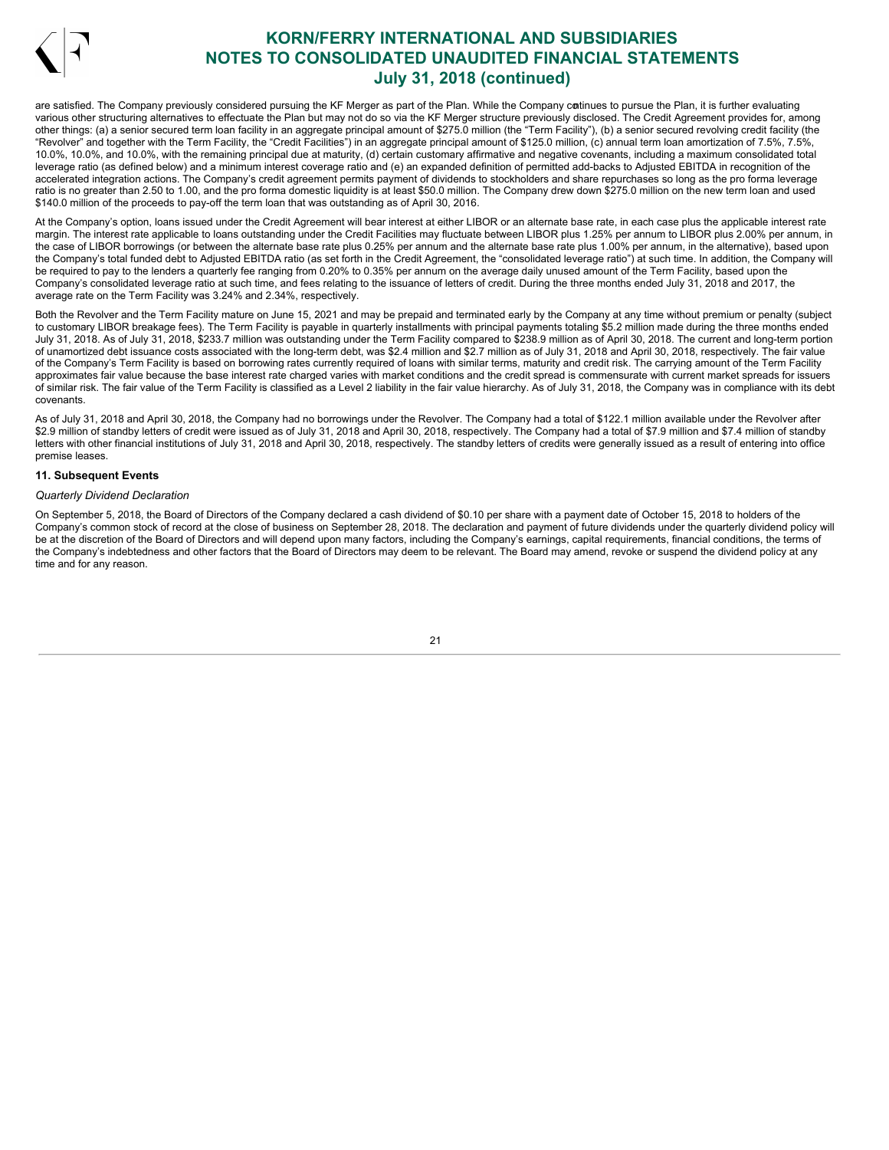

are satisfied. The Company previously considered pursuing the KF Merger as part of the Plan. While the Company catinues to pursue the Plan, it is further evaluating various other structuring alternatives to effectuate the Plan but may not do so via the KF Merger structure previously disclosed. The Credit Agreement provides for, among other things: (a) a senior secured term loan facility in an aggregate principal amount of \$275.0 million (the "Term Facility"), (b) a senior secured revolving credit facility (the "Revolver" and together with the Term Facility, the "Credit Facilities") in an aggregate principal amount of \$125.0 million, (c) annual term loan amortization of 7.5%, 7.5%, 10.0%, 10.0%, and 10.0%, with the remaining principal due at maturity, (d) certain customary affirmative and negative covenants, including a maximum consolidated total leverage ratio (as defined below) and a minimum interest coverage ratio and (e) an expanded definition of permitted add-backs to Adjusted EBITDA in recognition of the accelerated integration actions. The Company's credit agreement permits payment of dividends to stockholders and share repurchases so long as the pro forma leverage ratio is no greater than 2.50 to 1.00, and the pro forma domestic liquidity is at least \$50.0 million. The Company drew down \$275.0 million on the new term loan and used \$140.0 million of the proceeds to pay-off the term loan that was outstanding as of April 30, 2016.

At the Company's option, loans issued under the Credit Agreement will bear interest at either LIBOR or an alternate base rate, in each case plus the applicable interest rate margin. The interest rate applicable to loans outstanding under the Credit Facilities may fluctuate between LIBOR plus 1.25% per annum to LIBOR plus 2.00% per annum, in the case of LIBOR borrowings (or between the alternate base rate plus 0.25% per annum and the alternate base rate plus 1.00% per annum, in the alternative), based upon the Company's total funded debt to Adjusted EBITDA ratio (as set forth in the Credit Agreement, the "consolidated leverage ratio") at such time. In addition, the Company will be required to pay to the lenders a quarterly fee ranging from 0.20% to 0.35% per annum on the average daily unused amount of the Term Facility, based upon the Company's consolidated leverage ratio at such time, and fees relating to the issuance of letters of credit. During the three months ended July 31, 2018 and 2017, the average rate on the Term Facility was 3.24% and 2.34%, respectively.

Both the Revolver and the Term Facility mature on June 15, 2021 and may be prepaid and terminated early by the Company at any time without premium or penalty (subject to customary LIBOR breakage fees). The Term Facility is payable in quarterly installments with principal payments totaling \$5.2 million made during the three months ended July 31, 2018. As of July 31, 2018, \$233.7 million was outstanding under the Term Facility compared to \$238.9 million as of April 30, 2018. The current and long-term portion of unamortized debt issuance costs associated with the long-term debt, was \$2.4 million and \$2.7 million as of July 31, 2018 and April 30, 2018, respectively. The fair value of the Company's Term Facility is based on borrowing rates currently required of loans with similar terms, maturity and credit risk. The carrying amount of the Term Facility approximates fair value because the base interest rate charged varies with market conditions and the credit spread is commensurate with current market spreads for issuers of similar risk. The fair value of the Term Facility is classified as a Level 2 liability in the fair value hierarchy. As of July 31, 2018, the Company was in compliance with its debt covenants.

As of July 31, 2018 and April 30, 2018, the Company had no borrowings under the Revolver. The Company had a total of \$122.1 million available under the Revolver after \$2.9 million of standby letters of credit were issued as of July 31, 2018 and April 30, 2018, respectively. The Company had a total of \$7.9 million and \$7.4 million of standby letters with other financial institutions of July 31, 2018 and April 30, 2018, respectively. The standby letters of credits were generally issued as a result of entering into office premise leases.

## **11. Subsequent Events**

### *Quarterly Dividend Declaration*

On September 5, 2018, the Board of Directors of the Company declared a cash dividend of \$0.10 per share with a payment date of October 15, 2018 to holders of the Company's common stock of record at the close of business on September 28, 2018. The declaration and payment of future dividends under the quarterly dividend policy will be at the discretion of the Board of Directors and will depend upon many factors, including the Company's earnings, capital requirements, financial conditions, the terms of the Company's indebtedness and other factors that the Board of Directors may deem to be relevant. The Board may amend, revoke or suspend the dividend policy at any time and for any reason.

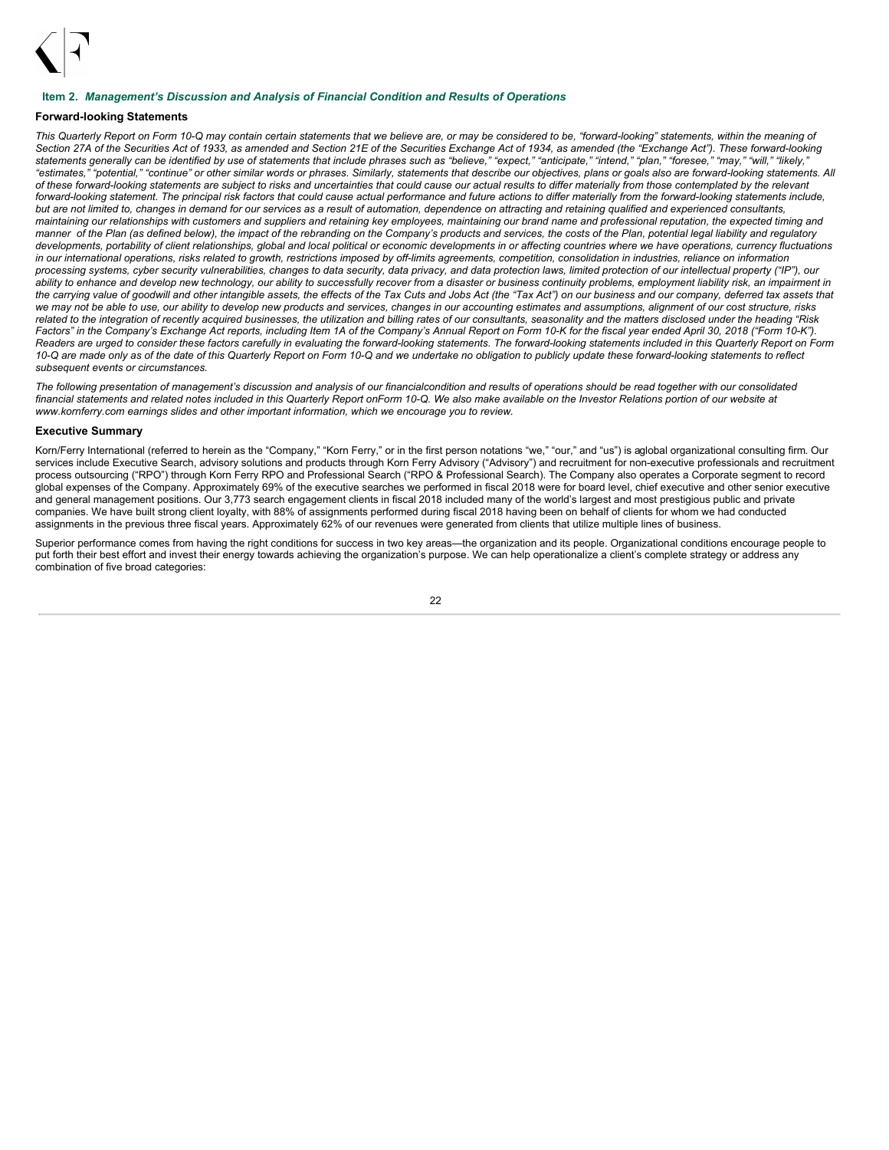

### <span id="page-23-0"></span>**Item 2.** *Management's Discussion and Analysis of Financial Condition and Results of Operations*

### **Forward-looking Statements**

This Quarterly Report on Form 10-Q may contain certain statements that we believe are, or may be considered to be, "forward-looking" statements, within the meaning of Section 27A of the Securities Act of 1933, as amended and Section 21E of the Securities Exchange Act of 1934, as amended (the "Exchange Act"). These forward-looking statements generally can be identified by use of statements that include phrases such as "believe," "expect," "anticipate," "intend," "plan," "foresee," "may," "will," "likely, "estimates," "potential," "continue" or other similar words or phrases. Similarly, statements that describe our objectives, plans or goals also are forward-looking statements. All of these forward-looking statements are subject to risks and uncertainties that could cause our actual results to differ materially from those contemplated by the relevant forward-looking statement. The principal risk factors that could cause actual performance and future actions to differ materially from the forward-looking statements include, but are not limited to, changes in demand for our services as a result of automation, dependence on attracting and retaining qualified and experienced consultants, maintaining our relationships with customers and suppliers and retaining key employees, maintaining our brand name and professional reputation, the expected timing and manner of the Plan (as defined below), the impact of the rebranding on the Company's products and services, the costs of the Plan, potential legal liability and regulatory developments, portability of client relationships, global and local political or economic developments in or affecting countries where we have operations, currency fluctuations in our international operations, risks related to growth, restrictions imposed by off-limits agreements, competition, consolidation in industries, reliance on information processing systems, cyber security vulnerabilities, changes to data security, data privacy, and data protection laws, limited protection of our intellectual property ("IP"), our ability to enhance and develop new technology, our ability to successfully recover from a disaster or business continuity problems, employment liability risk, an impairment in the carrying value of goodwill and other intangible assets, the effects of the Tax Cuts and Jobs Act (the "Tax Act") on our business and our company, deferred tax assets that we may not be able to use, our ability to develop new products and services, changes in our accounting estimates and assumptions, alignment of our cost structure, risks related to the integration of recently acquired businesses, the utilization and billing rates of our consultants, seasonality and the matters disclosed under the heading "Risk Factors" in the Company's Exchange Act reports, including Item 1A of the Company's Annual Report on Form 10-K for the fiscal year ended April 30, 2018 ("Form 10-K"). Readers are urged to consider these factors carefully in evaluating the forward-looking statements. The forward-looking statements included in this Quarterly Report on Form 10-Q are made only as of the date of this Quarterly Report on Form 10-Q and we undertake no obligation to publicly update these forward-looking statements to reflect *subsequent events or circumstances.*

The following presentation of management's discussion and analysis of our financialcondition and results of operations should be read together with our consolidated financial statements and related notes included in this Quarterly Report onForm 10-Q. We also make available on the Investor Relations portion of our website at *www.kornferry.com earnings slides and other important information, which we encourage you to review.*

## **Executive Summary**

Korn/Ferry International (referred to herein as the "Company," "Korn Ferry," or in the first person notations "we," "our," and "us") is aglobal organizational consulting firm. Our services include Executive Search, advisory solutions and products through Korn Ferry Advisory ("Advisory") and recruitment for non-executive professionals and recruitment process outsourcing ("RPO") through Korn Ferry RPO and Professional Search ("RPO & Professional Search). The Company also operates a Corporate segment to record global expenses of the Company. Approximately 69% of the executive searches we performed in fiscal 2018 were for board level, chief executive and other senior executive and general management positions. Our 3,773 search engagement clients in fiscal 2018 included many of the world's largest and most prestigious public and private companies. We have built strong client loyalty, with 88% of assignments performed during fiscal 2018 having been on behalf of clients for whom we had conducted assignments in the previous three fiscal years. Approximately 62% of our revenues were generated from clients that utilize multiple lines of business.

Superior performance comes from having the right conditions for success in two key areas—the organization and its people. Organizational conditions encourage people to put forth their best effort and invest their energy towards achieving the organization's purpose. We can help operationalize a client's complete strategy or address any combination of five broad categories:

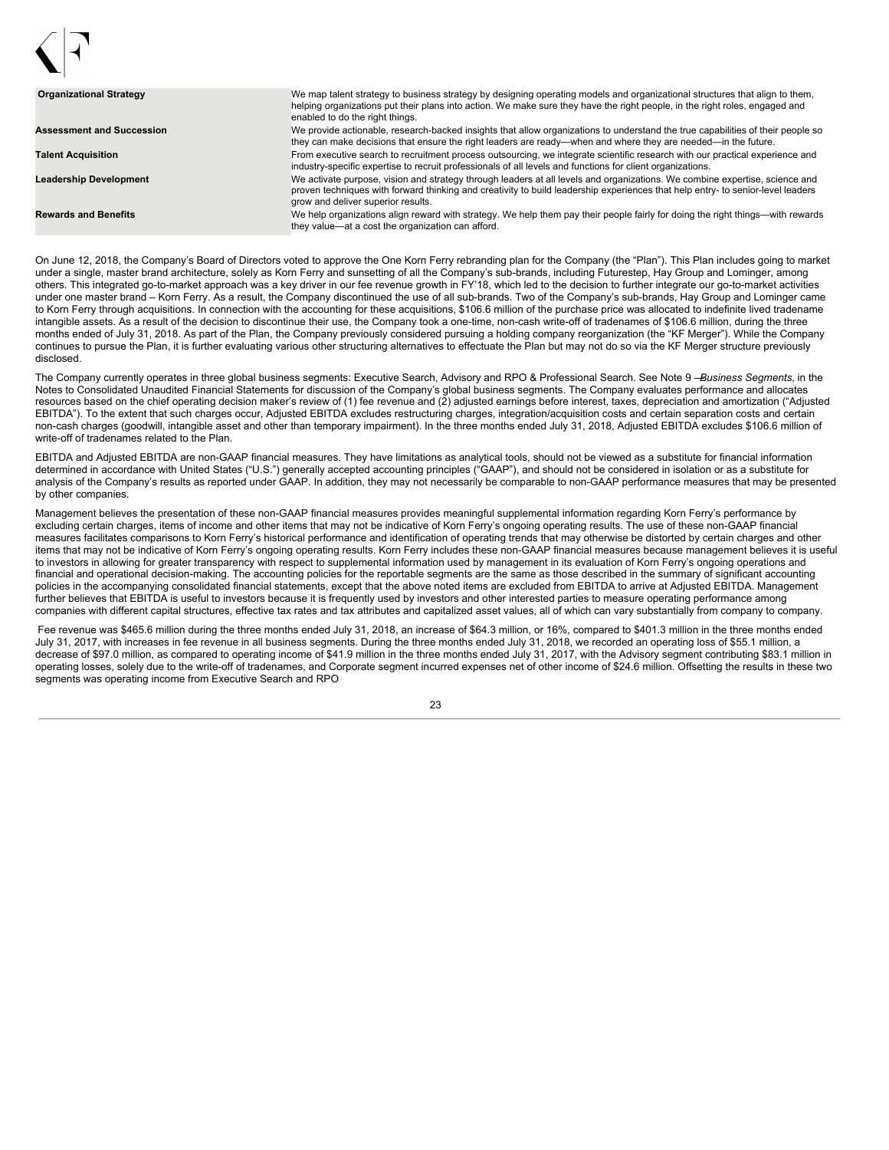| <b>Organizational Strategy</b>   | We map talent strategy to business strategy by designing operating models and organizational structures that align to them,<br>helping organizations put their plans into action. We make sure they have the right people, in the right roles, engaged and<br>enabled to do the right things.        |
|----------------------------------|------------------------------------------------------------------------------------------------------------------------------------------------------------------------------------------------------------------------------------------------------------------------------------------------------|
| <b>Assessment and Succession</b> | We provide actionable, research-backed insights that allow organizations to understand the true capabilities of their people so<br>they can make decisions that ensure the right leaders are ready—when and where they are needed—in the future.                                                     |
| <b>Talent Acquisition</b>        | From executive search to recruitment process outsourcing, we integrate scientific research with our practical experience and<br>industry-specific expertise to recruit professionals of all levels and functions for client organizations.                                                           |
| <b>Leadership Development</b>    | We activate purpose, vision and strategy through leaders at all levels and organizations. We combine expertise, science and<br>proven techniques with forward thinking and creativity to build leadership experiences that help entry- to senior-level leaders<br>grow and deliver superior results. |
| <b>Rewards and Benefits</b>      | We help organizations align reward with strategy. We help them pay their people fairly for doing the right things—with rewards<br>they value-at a cost the organization can afford.                                                                                                                  |

On June 12, 2018, the Company's Board of Directors voted to approve the One Korn Ferry rebranding plan for the Company (the "Plan"). This Plan includes going to market under a single, master brand architecture, solely as Korn Ferry and sunsetting of all the Company's sub-brands, including Futurestep, Hay Group and Lominger, among others. This integrated go-to-market approach was a key driver in our fee revenue growth in FY'18, which led to the decision to further integrate our go-to-market activities under one master brand – Korn Ferry. As a result, the Company discontinued the use of all sub-brands. Two of the Company's sub-brands, Hay Group and Lominger came to Korn Ferry through acquisitions. In connection with the accounting for these acquisitions, \$106.6 million of the purchase price was allocated to indefinite lived tradename intangible assets. As a result of the decision to discontinue their use, the Company took a one-time, non-cash write-off of tradenames of \$106.6 million, during the three months ended of July 31, 2018. As part of the Plan, the Company previously considered pursuing a holding company reorganization (the "KF Merger"). While the Company continues to pursue the Plan, it is further evaluating various other structuring alternatives to effectuate the Plan but may not do so via the KF Merger structure previously disclosed.

The Company currently operates in three global business segments: Executive Search, Advisory and RPO & Professional Search. See Note 9 —*Business Segments,* in the Notes to Consolidated Unaudited Financial Statements for discussion of the Company's global business segments. The Company evaluates performance and allocates resources based on the chief operating decision maker's review of (1) fee revenue and (2) adjusted earnings before interest, taxes, depreciation and amortization ("Adjusted EBITDA"). To the extent that such charges occur, Adjusted EBITDA excludes restructuring charges, integration/acquisition costs and certain separation costs and certain non-cash charges (goodwill, intangible asset and other than temporary impairment). In the three months ended July 31, 2018, Adjusted EBITDA excludes \$106.6 million of write-off of tradenames related to the Plan.

EBITDA and Adjusted EBITDA are non-GAAP financial measures. They have limitations as analytical tools, should not be viewed as a substitute for financial information determined in accordance with United States ("U.S.") generally accepted accounting principles ("GAAP"), and should not be considered in isolation or as a substitute for analysis of the Company's results as reported under GAAP. In addition, they may not necessarily be comparable to non-GAAP performance measures that may be presented by other companies.

Management believes the presentation of these non-GAAP financial measures provides meaningful supplemental information regarding Korn Ferry's performance by excluding certain charges, items of income and other items that may not be indicative of Korn Ferry's ongoing operating results. The use of these non-GAAP financial measures facilitates comparisons to Korn Ferry's historical performance and identification of operating trends that may otherwise be distorted by certain charges and other items that may not be indicative of Korn Ferry's ongoing operating results. Korn Ferry includes these non-GAAP financial measures because management believes it is useful to investors in allowing for greater transparency with respect to supplemental information used by management in its evaluation of Korn Ferry's ongoing operations and financial and operational decision-making. The accounting policies for the reportable segments are the same as those described in the summary of significant accounting policies in the accompanying consolidated financial statements, except that the above noted items are excluded from EBITDA to arrive at Adjusted EBITDA. Management further believes that EBITDA is useful to investors because it is frequently used by investors and other interested parties to measure operating performance among companies with different capital structures, effective tax rates and tax attributes and capitalized asset values, all of which can vary substantially from company to company.

Fee revenue was \$465.6 million during the three months ended July 31, 2018, an increase of \$64.3 million, or 16%, compared to \$401.3 million in the three months ended July 31, 2017, with increases in fee revenue in all business segments. During the three months ended July 31, 2018, we recorded an operating loss of \$55.1 million, a decrease of \$97.0 million, as compared to operating income of \$41.9 million in the three months ended July 31, 2017, with the Advisory segment contributing \$83.1 million in operating losses, solely due to the write-off of tradenames, and Corporate segment incurred expenses net of other income of \$24.6 million. Offsetting the results in these two segments was operating income from Executive Search and RPO

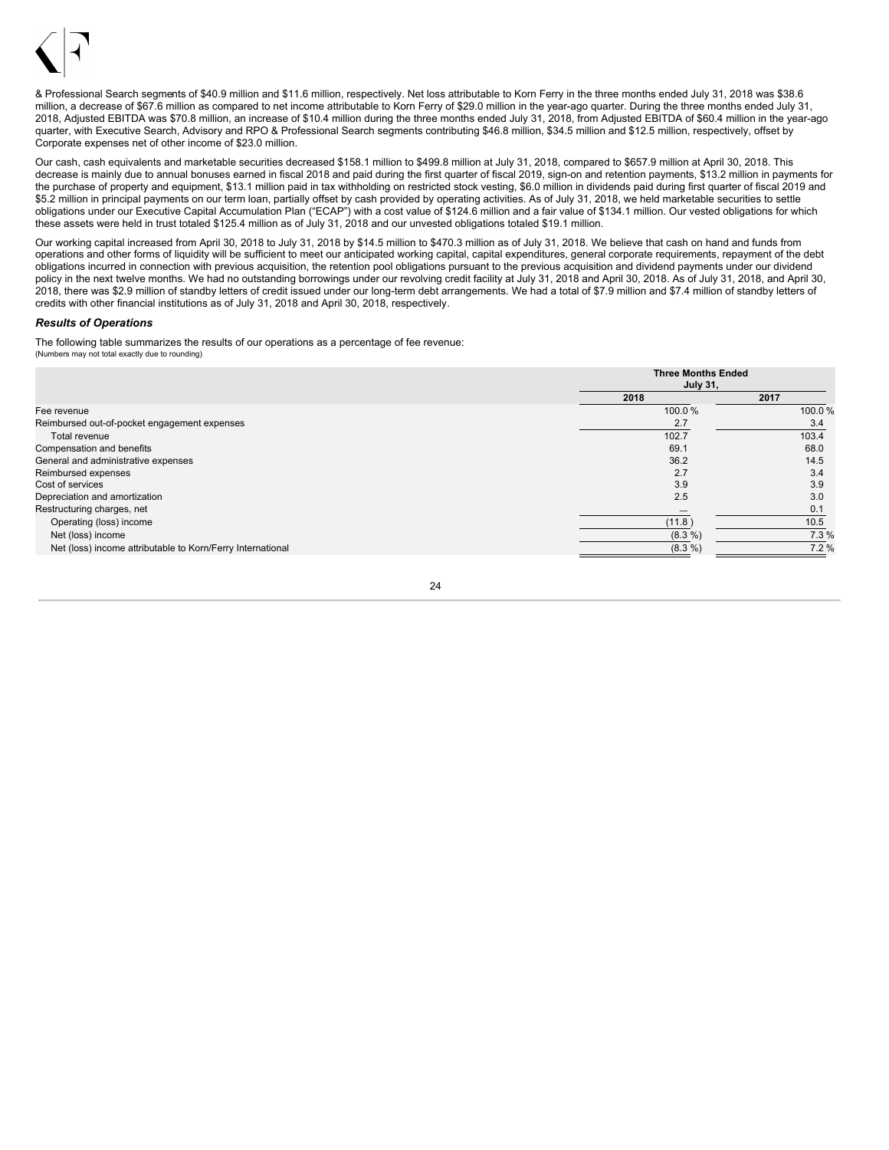

& Professional Search segments of \$40.9 million and \$11.6 million, respectively. Net loss attributable to Korn Ferry in the three months ended July 31, 2018 was \$38.6 million, a decrease of \$67.6 million as compared to net income attributable to Korn Ferry of \$29.0 million in the year-ago quarter. During the three months ended July 31, 2018, Adjusted EBITDA was \$70.8 million, an increase of \$10.4 million during the three months ended July 31, 2018, from Adjusted EBITDA of \$60.4 million in the year-ago quarter, with Executive Search, Advisory and RPO & Professional Search segments contributing \$46.8 million, \$34.5 million and \$12.5 million, respectively, offset by Corporate expenses net of other income of \$23.0 million.

Our cash, cash equivalents and marketable securities decreased \$158.1 million to \$499.8 million at July 31, 2018, compared to \$657.9 million at April 30, 2018. This decrease is mainly due to annual bonuses earned in fiscal 2018 and paid during the first quarter of fiscal 2019, sign-on and retention payments, \$13.2 million in payments for the purchase of property and equipment, \$13.1 million paid in tax withholding on restricted stock vesting, \$6.0 million in dividends paid during first quarter of fiscal 2019 and \$5.2 million in principal payments on our term loan, partially offset by cash provided by operating activities. As of July 31, 2018, we held marketable securities to settle obligations under our Executive Capital Accumulation Plan ("ECAP") with a cost value of \$124.6 million and a fair value of \$134.1 million. Our vested obligations for which these assets were held in trust totaled \$125.4 million as of July 31, 2018 and our unvested obligations totaled \$19.1 million.

Our working capital increased from April 30, 2018 to July 31, 2018 by \$14.5 million to \$470.3 million as of July 31, 2018. We believe that cash on hand and funds from operations and other forms of liquidity will be sufficient to meet our anticipated working capital, capital expenditures, general corporate requirements, repayment of the debt obligations incurred in connection with previous acquisition, the retention pool obligations pursuant to the previous acquisition and dividend payments under our dividend policy in the next twelve months. We had no outstanding borrowings under our revolving credit facility at July 31, 2018 and April 30, 2018. As of July 31, 2018, and April 30, 2018, there was \$2.9 million of standby letters of credit issued under our long-term debt arrangements. We had a total of \$7.9 million and \$7.4 million of standby letters of credits with other financial institutions as of July 31, 2018 and April 30, 2018, respectively*.*

## *Results of Operations*

The following table summarizes the results of our operations as a percentage of fee revenue: (Numbers may not total exactly due to rounding)

|                                                            | <b>July 31,</b> | <b>Three Months Ended</b> |  |  |  |
|------------------------------------------------------------|-----------------|---------------------------|--|--|--|
|                                                            | 2018            | 2017                      |  |  |  |
| Fee revenue                                                | 100.0%          | 100.0%                    |  |  |  |
| Reimbursed out-of-pocket engagement expenses               | 2.7             | 3.4                       |  |  |  |
| Total revenue                                              | 102.7           | 103.4                     |  |  |  |
| Compensation and benefits                                  | 69.1            | 68.0                      |  |  |  |
| General and administrative expenses                        | 36.2            | 14.5                      |  |  |  |
| Reimbursed expenses                                        | 2.7             | 3.4                       |  |  |  |
| Cost of services                                           | 3.9             | 3.9                       |  |  |  |
| Depreciation and amortization                              | 2.5             | 3.0                       |  |  |  |
| Restructuring charges, net                                 |                 | 0.1                       |  |  |  |
| Operating (loss) income                                    | (11.8)          | 10.5                      |  |  |  |
| Net (loss) income                                          | $(8.3\%)$       | 7.3%                      |  |  |  |
| Net (loss) income attributable to Korn/Ferry International | $(8.3\%)$       | 7.2%                      |  |  |  |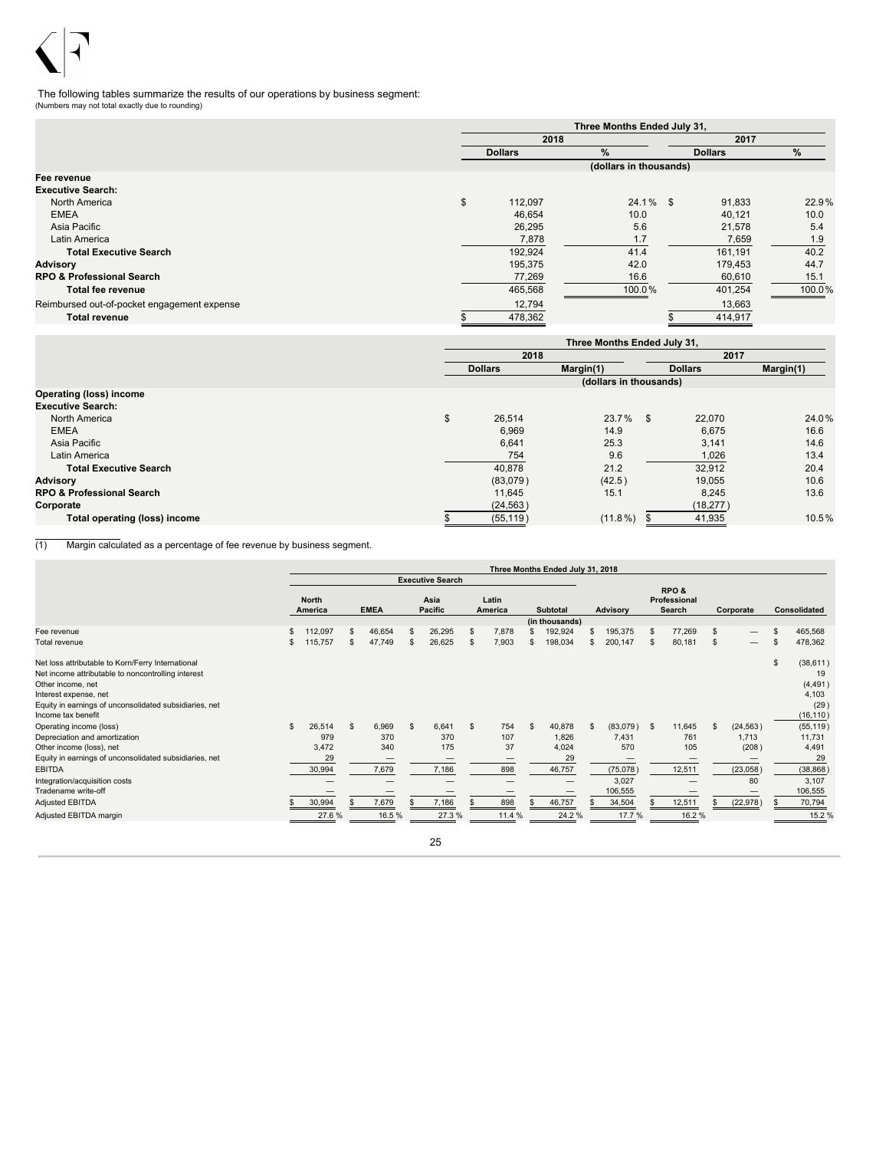

# The following tables summarize the results of our operations by business segment: (Numbers may not total exactly due to rounding)

|                                             | Three Months Ended July 31, |                        |                |        |  |  |  |  |
|---------------------------------------------|-----------------------------|------------------------|----------------|--------|--|--|--|--|
|                                             | 2018                        |                        | 2017           |        |  |  |  |  |
|                                             | <b>Dollars</b>              | $\frac{9}{6}$          | <b>Dollars</b> | %      |  |  |  |  |
|                                             |                             | (dollars in thousands) |                |        |  |  |  |  |
| Fee revenue                                 |                             |                        |                |        |  |  |  |  |
| <b>Executive Search:</b>                    |                             |                        |                |        |  |  |  |  |
| North America                               | \$<br>112.097               | 24.1% \$               | 91,833         | 22.9%  |  |  |  |  |
| <b>EMEA</b>                                 | 46.654                      | 10.0                   | 40.121         | 10.0   |  |  |  |  |
| Asia Pacific                                | 26,295                      | 5.6                    | 21,578         | 5.4    |  |  |  |  |
| Latin America                               | 7,878                       | 1.7                    | 7,659          | 1.9    |  |  |  |  |
| <b>Total Executive Search</b>               | 192,924                     | 41.4                   | 161.191        | 40.2   |  |  |  |  |
| <b>Advisory</b>                             | 195,375                     | 42.0                   | 179,453        | 44.7   |  |  |  |  |
| <b>RPO &amp; Professional Search</b>        | 77,269                      | 16.6                   | 60,610         | 15.1   |  |  |  |  |
| Total fee revenue                           | 465,568                     | 100.0%                 | 401,254        | 100.0% |  |  |  |  |
| Reimbursed out-of-pocket engagement expense | 12,794                      |                        | 13,663         |        |  |  |  |  |
| <b>Total revenue</b>                        | 478,362                     |                        | 414,917        |        |  |  |  |  |

|                                      | Three Months Ended July 31, |           |                        |                |           |           |  |  |
|--------------------------------------|-----------------------------|-----------|------------------------|----------------|-----------|-----------|--|--|
|                                      |                             | 2018      |                        | 2017           |           |           |  |  |
|                                      | <b>Dollars</b>              |           |                        | <b>Dollars</b> |           | Margin(1) |  |  |
|                                      |                             |           | (dollars in thousands) |                |           |           |  |  |
| <b>Operating (loss) income</b>       |                             |           |                        |                |           |           |  |  |
| <b>Executive Search:</b>             |                             |           |                        |                |           |           |  |  |
| North America                        | \$                          | 26.514    | $23.7\%$ \$            |                | 22,070    | 24.0%     |  |  |
| <b>EMEA</b>                          |                             | 6,969     | 14.9                   |                | 6.675     | 16.6      |  |  |
| Asia Pacific                         |                             | 6,641     | 25.3                   |                | 3,141     | 14.6      |  |  |
| Latin America                        |                             | 754       | 9.6                    |                | 1,026     | 13.4      |  |  |
| <b>Total Executive Search</b>        |                             | 40,878    | 21.2                   |                | 32,912    | 20.4      |  |  |
| <b>Advisory</b>                      |                             | (83,079)  | (42.5)                 |                | 19,055    | 10.6      |  |  |
| <b>RPO &amp; Professional Search</b> |                             | 11.645    | 15.1                   |                | 8,245     | 13.6      |  |  |
| Corporate                            |                             | (24, 563) |                        |                | (18, 277) |           |  |  |
| Total operating (loss) income        |                             | (55, 119) | $(11.8\%)$             |                | 41,935    | 10.5%     |  |  |

 $(1)$  Margin calculated as a percentage of fee revenue by business segment.

|                                                                                                                                                                                                                                                                      |   |                                                           |    |                                                |                    |                                                                            |    |                                          |    | Three Months Ended July 31, 2018                            |    |                                                                              |      |                                                   |     |                                                            |    |                                                                                         |
|----------------------------------------------------------------------------------------------------------------------------------------------------------------------------------------------------------------------------------------------------------------------|---|-----------------------------------------------------------|----|------------------------------------------------|--------------------|----------------------------------------------------------------------------|----|------------------------------------------|----|-------------------------------------------------------------|----|------------------------------------------------------------------------------|------|---------------------------------------------------|-----|------------------------------------------------------------|----|-----------------------------------------------------------------------------------------|
|                                                                                                                                                                                                                                                                      |   |                                                           |    |                                                |                    | <b>Executive Search</b>                                                    |    |                                          |    |                                                             |    |                                                                              |      |                                                   |     |                                                            |    |                                                                                         |
|                                                                                                                                                                                                                                                                      |   | <b>North</b><br><b>EMEA</b><br>America                    |    | Asia<br>Pacific                                |                    | Latin<br>America                                                           |    | <b>Subtotal</b><br>(in thousands)        |    | <b>Advisory</b>                                             |    | RPO&<br>Professional<br>Search                                               |      | Corporate                                         |     | <b>Consolidated</b>                                        |    |                                                                                         |
| Fee revenue                                                                                                                                                                                                                                                          |   | 112.097                                                   | \$ | 46,654                                         |                    | 26,295                                                                     | -S | 7,878                                    |    | 192,924                                                     |    | 195.375                                                                      | \$   | 77,269                                            | \$  |                                                            | \$ | 465,568                                                                                 |
| Total revenue                                                                                                                                                                                                                                                        | S | 115,757                                                   | \$ | 47,749                                         |                    | 26,625                                                                     | -S | 7,903                                    | £. | 198,034                                                     | S. | 200,147                                                                      | \$   | 80,181                                            | \$  |                                                            | \$ | 478,362                                                                                 |
| Net loss attributable to Korn/Ferry International<br>Net income attributable to noncontrolling interest<br>Other income, net<br>Interest expense, net<br>Equity in earnings of unconsolidated subsidiaries, net<br>Income tax benefit                                |   |                                                           |    |                                                |                    |                                                                            |    |                                          |    |                                                             |    |                                                                              |      |                                                   |     |                                                            | \$ | (38, 611)<br>19<br>(4, 491)<br>4,103<br>(29)<br>(16, 110)                               |
| Operating income (loss)<br>Depreciation and amortization<br>Other income (loss), net<br>Equity in earnings of unconsolidated subsidiaries, net<br><b>EBITDA</b><br>Integration/acquisition costs<br>Tradename write-off<br>Adjusted EBITDA<br>Adjusted EBITDA margin |   | 26,514<br>979<br>3,472<br>29<br>30,994<br>30,994<br>27.6% | \$ | 6,969<br>370<br>340<br>7,679<br>7,679<br>16.5% | $\mathbf{\hat{S}}$ | 6,641<br>370<br>175<br>$\overline{\phantom{m}}$<br>7,186<br>7,186<br>27.3% | -S | 754<br>107<br>37<br>898<br>898<br>11.4 % | £. | 40,878<br>1,826<br>4,024<br>29<br>46,757<br>46,757<br>24.2% |    | (83,079)<br>7.431<br>570<br>(75,078)<br>3,027<br>106,555<br>34,504<br>17.7 % | - \$ | 11,645<br>761<br>105<br>12,511<br>12,511<br>16.2% | \$. | (24, 563)<br>1,713<br>(208)<br>(23,058)<br>80<br>(22, 978) |    | (55, 119)<br>11,731<br>4,491<br>29<br>(38, 868)<br>3,107<br>106,555<br>70,794<br>15.2 % |
|                                                                                                                                                                                                                                                                      |   |                                                           |    |                                                |                    | 25                                                                         |    |                                          |    |                                                             |    |                                                                              |      |                                                   |     |                                                            |    |                                                                                         |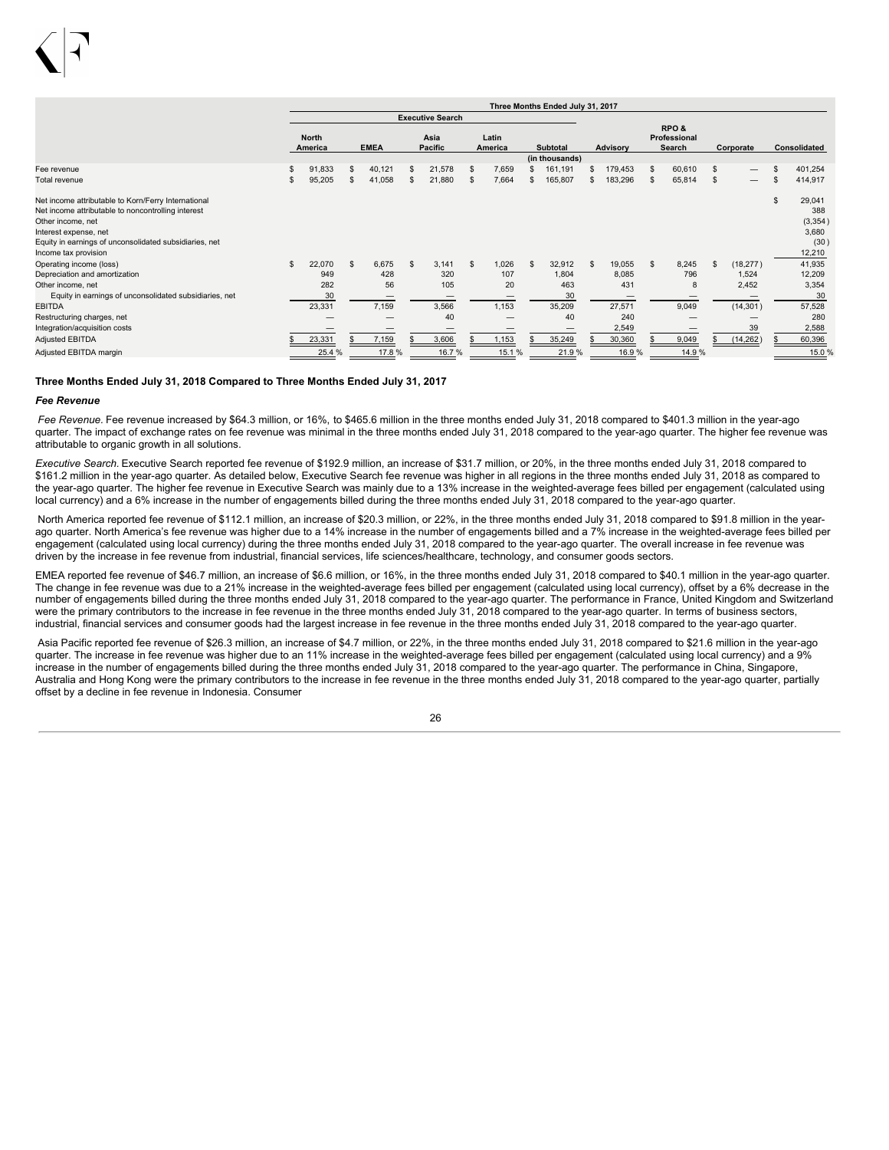|                                                                                                                                                                                                                                           | Three Months Ended July 31, 2017 |                                        |    |        |                 |        |                  |       |                                   |         |          |         |                                |        |                |                          |              |                                                      |
|-------------------------------------------------------------------------------------------------------------------------------------------------------------------------------------------------------------------------------------------|----------------------------------|----------------------------------------|----|--------|-----------------|--------|------------------|-------|-----------------------------------|---------|----------|---------|--------------------------------|--------|----------------|--------------------------|--------------|------------------------------------------------------|
|                                                                                                                                                                                                                                           |                                  | <b>Executive Search</b>                |    |        |                 |        |                  |       |                                   |         |          |         |                                |        |                |                          |              |                                                      |
|                                                                                                                                                                                                                                           |                                  | <b>North</b><br><b>EMEA</b><br>America |    |        | Asia<br>Pacific |        | Latin<br>America |       | <b>Subtotal</b><br>(in thousands) |         | Advisory |         | RPO&<br>Professional<br>Search |        | Corporate      |                          | Consolidated |                                                      |
| Fee revenue                                                                                                                                                                                                                               |                                  | 91,833                                 | \$ | 40,121 |                 | 21,578 |                  | 7,659 |                                   | 161,191 |          | 179,453 | \$.                            | 60,610 | \$             | $\overline{\phantom{0}}$ |              | 401,254                                              |
| Total revenue                                                                                                                                                                                                                             | S                                | 95,205                                 | \$ | 41,058 |                 | 21,880 | -S               | 7,664 |                                   | 165,807 | S        | 183,296 | \$.                            | 65,814 |                | $\overline{\phantom{0}}$ | \$           | 414,917                                              |
| Net income attributable to Korn/Ferry International<br>Net income attributable to noncontrolling interest<br>Other income, net<br>Interest expense, net<br>Equity in earnings of unconsolidated subsidiaries, net<br>Income tax provision |                                  |                                        |    |        |                 |        |                  |       |                                   |         |          |         |                                |        |                |                          | \$           | 29,041<br>388<br>(3, 354)<br>3,680<br>(30)<br>12,210 |
| Operating income (loss)                                                                                                                                                                                                                   | \$.                              | 22,070                                 | \$ | 6,675  | $\mathfrak{s}$  | 3,141  | $\mathbf{s}$     | 1,026 |                                   | 32,912  | S        | 19,055  | $\mathfrak{L}$                 | 8,245  | $\mathfrak{L}$ | (18, 277)                |              | 41,935                                               |
| Depreciation and amortization                                                                                                                                                                                                             |                                  | 949                                    |    | 428    |                 | 320    |                  | 107   |                                   | 1,804   |          | 8,085   |                                | 796    |                | 1,524                    |              | 12,209                                               |
| Other income, net                                                                                                                                                                                                                         |                                  | 282                                    |    | 56     |                 | 105    |                  | 20    |                                   | 463     |          | 431     |                                | 8      |                | 2,452                    |              | 3,354                                                |
| Equity in earnings of unconsolidated subsidiaries, net                                                                                                                                                                                    |                                  | 30                                     |    |        |                 |        |                  |       |                                   | 30      |          |         |                                |        |                |                          |              | 30                                                   |
| <b>EBITDA</b>                                                                                                                                                                                                                             |                                  | 23,331                                 |    | 7,159  |                 | 3,566  |                  | 1,153 |                                   | 35,209  |          | 27,571  |                                | 9,049  |                | (14, 301)                |              | 57,528                                               |
| Restructuring charges, net                                                                                                                                                                                                                |                                  |                                        |    |        |                 | 40     |                  |       |                                   | 40      |          | 240     |                                |        |                |                          |              | 280                                                  |
| Integration/acquisition costs                                                                                                                                                                                                             |                                  |                                        |    |        |                 |        |                  |       |                                   |         |          | 2,549   |                                |        |                | 39                       |              | 2,588                                                |
| <b>Adjusted EBITDA</b>                                                                                                                                                                                                                    |                                  | 23,331                                 |    | 7,159  |                 | 3,606  |                  | 1,153 |                                   | 35,249  |          | 30,360  |                                | 9,049  |                | (14, 262)                |              | 60,396                                               |
| Adjusted EBITDA margin                                                                                                                                                                                                                    |                                  | 25.4 %                                 |    | 17.8%  |                 | 16.7%  |                  | 15.1% |                                   | 21.9%   |          | 16.9%   |                                | 14.9%  |                |                          |              | 15.0%                                                |

### **Three Months Ended July 31, 2018 Compared to Three Months Ended July 31, 2017**

#### *Fee Revenue*

*Fee Revenue.* Fee revenue increased by \$64.3 million, or 16%, to \$465.6 million in the three months ended July 31, 2018 compared to \$401.3 million in the year-ago quarter. The impact of exchange rates on fee revenue was minimal in the three months ended July 31, 2018 compared to the year-ago quarter. The higher fee revenue was attributable to organic growth in all solutions.

*Executive Search.* Executive Search reported fee revenue of \$192.9 million, an increase of \$31.7 million, or 20%, in the three months ended July 31, 2018 compared to \$161.2 million in the year-ago quarter. As detailed below, Executive Search fee revenue was higher in all regions in the three months ended July 31, 2018 as compared to the year-ago quarter. The higher fee revenue in Executive Search was mainly due to a 13% increase in the weighted-average fees billed per engagement (calculated using local currency) and a 6% increase in the number of engagements billed during the three months ended July 31, 2018 compared to the year-ago quarter.

North America reported fee revenue of \$112.1 million, an increase of \$20.3 million, or 22%, in the three months ended July 31, 2018 compared to \$91.8 million in the yearago quarter. North America's fee revenue was higher due to a 14% increase in the number of engagements billed and a 7% increase in the weighted-average fees billed per engagement (calculated using local currency) during the three months ended July 31, 2018 compared to the year-ago quarter. The overall increase in fee revenue was driven by the increase in fee revenue from industrial, financial services, life sciences/healthcare, technology, and consumer goods sectors.

EMEA reported fee revenue of \$46.7 million, an increase of \$6.6 million, or 16%, in the three months ended July 31, 2018 compared to \$40.1 million in the year-ago quarter. The change in fee revenue was due to a 21% increase in the weighted-average fees billed per engagement (calculated using local currency), offset by a 6% decrease in the number of engagements billed during the three months ended July 31, 2018 compared to the year-ago quarter. The performance in France, United Kingdom and Switzerland were the primary contributors to the increase in fee revenue in the three months ended July 31, 2018 compared to the year-ago quarter. In terms of business sectors, industrial, financial services and consumer goods had the largest increase in fee revenue in the three months ended July 31, 2018 compared to the year-ago quarter.

Asia Pacific reported fee revenue of \$26.3 million, an increase of \$4.7 million, or 22%, in the three months ended July 31, 2018 compared to \$21.6 million in the year-ago quarter. The increase in fee revenue was higher due to an 11% increase in the weighted-average fees billed per engagement (calculated using local currency) and a 9% increase in the number of engagements billed during the three months ended July 31, 2018 compared to the year-ago quarter. The performance in China, Singapore, Australia and Hong Kong were the primary contributors to the increase in fee revenue in the three months ended July 31, 2018 compared to the year-ago quarter, partially offset by a decline in fee revenue in Indonesia. Consumer

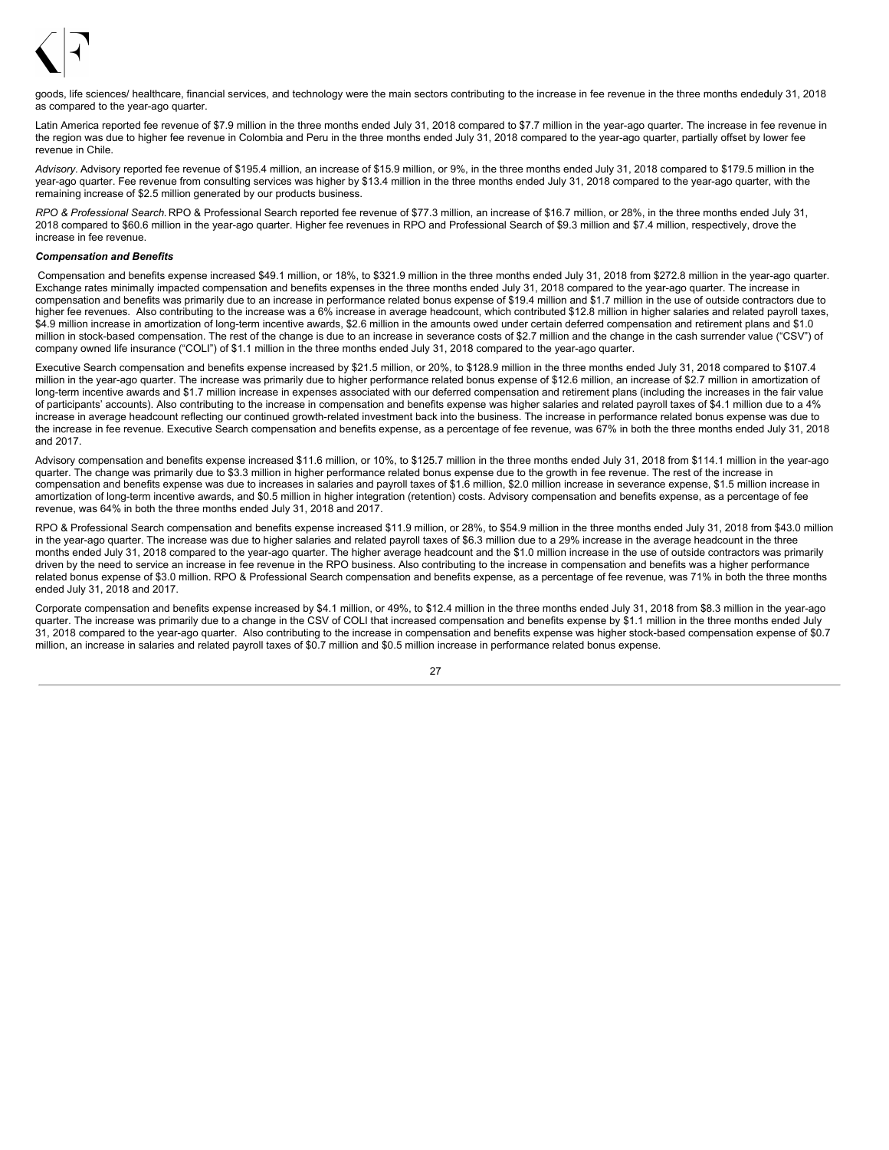

goods, life sciences/ healthcare, financial services, and technology were the main sectors contributing to the increase in fee revenue in the three months endeduly 31, 2018 as compared to the year-ago quarter.

Latin America reported fee revenue of \$7.9 million in the three months ended July 31, 2018 compared to \$7.7 million in the year-ago quarter. The increase in fee revenue in the region was due to higher fee revenue in Colombia and Peru in the three months ended July 31, 2018 compared to the year-ago quarter, partially offset by lower fee revenue in Chile.

*Advisory.* Advisory reported fee revenue of \$195.4 million, an increase of \$15.9 million, or 9%, in the three months ended July 31, 2018 compared to \$179.5 million in the year-ago quarter. Fee revenue from consulting services was higher by \$13.4 million in the three months ended July 31, 2018 compared to the year-ago quarter, with the remaining increase of \$2.5 million generated by our products business.

*RPO & Professional Search.* RPO & Professional Search reported fee revenue of \$77.3 million, an increase of \$16.7 million, or 28%, in the three months ended July 31, 2018 compared to \$60.6 million in the year-ago quarter. Higher fee revenues in RPO and Professional Search of \$9.3 million and \$7.4 million, respectively, drove the increase in fee revenue.

#### *Compensation and Benefits*

Compensation and benefits expense increased \$49.1 million, or 18%, to \$321.9 million in the three months ended July 31, 2018 from \$272.8 million in the year-ago quarter. Exchange rates minimally impacted compensation and benefits expenses in the three months ended July 31, 2018 compared to the year-ago quarter. The increase in compensation and benefits was primarily due to an increase in performance related bonus expense of \$19.4 million and \$1.7 million in the use of outside contractors due to higher fee revenues. Also contributing to the increase was a 6% increase in average headcount, which contributed \$12.8 million in higher salaries and related payroll taxes, \$4.9 million increase in amortization of long-term incentive awards, \$2.6 million in the amounts owed under certain deferred compensation and retirement plans and \$1.0 million in stock-based compensation. The rest of the change is due to an increase in severance costs of \$2.7 million and the change in the cash surrender value ("CSV") of company owned life insurance ("COLI") of \$1.1 million in the three months ended July 31, 2018 compared to the year-ago quarter.

Executive Search compensation and benefits expense increased by \$21.5 million, or 20%, to \$128.9 million in the three months ended July 31, 2018 compared to \$107.4 million in the year-ago quarter. The increase was primarily due to higher performance related bonus expense of \$12.6 million, an increase of \$2.7 million in amortization of long-term incentive awards and \$1.7 million increase in expenses associated with our deferred compensation and retirement plans (including the increases in the fair value of participants' accounts). Also contributing to the increase in compensation and benefits expense was higher salaries and related payroll taxes of \$4.1 million due to a 4% increase in average headcount reflecting our continued growth-related investment back into the business. The increase in performance related bonus expense was due to the increase in fee revenue. Executive Search compensation and benefits expense, as a percentage of fee revenue, was 67% in both the three months ended July 31, 2018 and 2017.

Advisory compensation and benefits expense increased \$11.6 million, or 10%, to \$125.7 million in the three months ended July 31, 2018 from \$114.1 million in the year-ago quarter. The change was primarily due to \$3.3 million in higher performance related bonus expense due to the growth in fee revenue. The rest of the increase in compensation and benefits expense was due to increases in salaries and payroll taxes of \$1.6 million, \$2.0 million increase in severance expense, \$1.5 million increase in amortization of long-term incentive awards, and \$0.5 million in higher integration (retention) costs. Advisory compensation and benefits expense, as a percentage of fee revenue, was 64% in both the three months ended July 31, 2018 and 2017.

RPO & Professional Search compensation and benefits expense increased \$11.9 million, or 28%, to \$54.9 million in the three months ended July 31, 2018 from \$43.0 million in the year-ago quarter. The increase was due to higher salaries and related payroll taxes of \$6.3 million due to a 29% increase in the average headcount in the three months ended July 31, 2018 compared to the year-ago quarter. The higher average headcount and the \$1.0 million increase in the use of outside contractors was primarily driven by the need to service an increase in fee revenue in the RPO business. Also contributing to the increase in compensation and benefits was a higher performance related bonus expense of \$3.0 million. RPO & Professional Search compensation and benefits expense, as a percentage of fee revenue, was 71% in both the three months ended July 31, 2018 and 2017.

Corporate compensation and benefits expense increased by \$4.1 million, or 49%, to \$12.4 million in the three months ended July 31, 2018 from \$8.3 million in the year-ago quarter. The increase was primarily due to a change in the CSV of COLI that increased compensation and benefits expense by \$1.1 million in the three months ended July 31, 2018 compared to the year-ago quarter. Also contributing to the increase in compensation and benefits expense was higher stock-based compensation expense of \$0.7 million, an increase in salaries and related payroll taxes of \$0.7 million and \$0.5 million increase in performance related bonus expense.

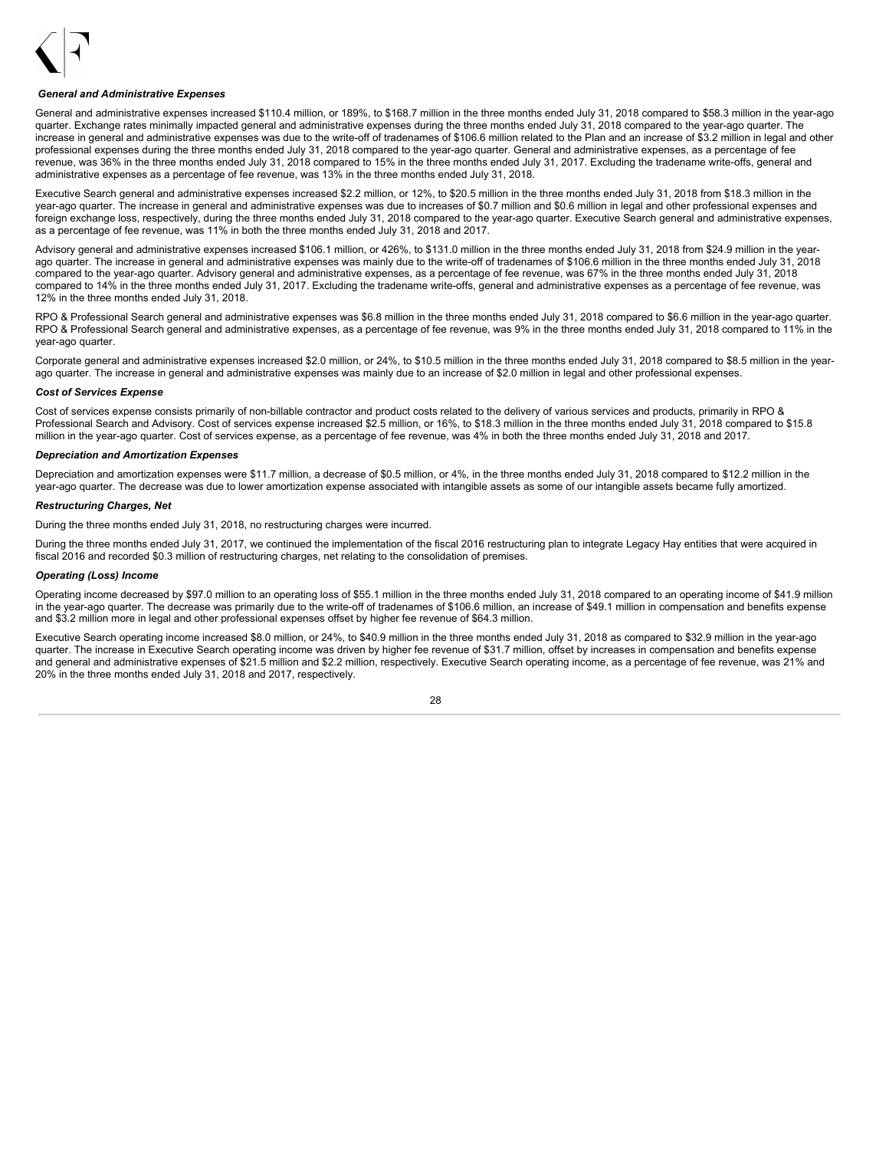

#### *General and Administrative Expenses*

General and administrative expenses increased \$110.4 million, or 189%, to \$168.7 million in the three months ended July 31, 2018 compared to \$58.3 million in the year-ago quarter. Exchange rates minimally impacted general and administrative expenses during the three months ended July 31, 2018 compared to the year-ago quarter. The increase in general and administrative expenses was due to the write-off of tradenames of \$106.6 million related to the Plan and an increase of \$3.2 million in legal and other professional expenses during the three months ended July 31, 2018 compared to the year-ago quarter. General and administrative expenses, as a percentage of fee revenue, was 36% in the three months ended July 31, 2018 compared to 15% in the three months ended July 31, 2017. Excluding the tradename write-offs, general and administrative expenses as a percentage of fee revenue, was 13% in the three months ended July 31, 2018.

Executive Search general and administrative expenses increased \$2.2 million, or 12%, to \$20.5 million in the three months ended July 31, 2018 from \$18.3 million in the year-ago quarter. The increase in general and administrative expenses was due to increases of \$0.7 million and \$0.6 million in legal and other professional expenses and foreign exchange loss, respectively, during the three months ended July 31, 2018 compared to the year-ago quarter. Executive Search general and administrative expenses, as a percentage of fee revenue, was 11% in both the three months ended July 31, 2018 and 2017.

Advisory general and administrative expenses increased \$106.1 million, or 426%, to \$131.0 million in the three months ended July 31, 2018 from \$24.9 million in the yearago quarter. The increase in general and administrative expenses was mainly due to the write-off of tradenames of \$106.6 million in the three months ended July 31, 2018 compared to the year-ago quarter. Advisory general and administrative expenses, as a percentage of fee revenue, was 67% in the three months ended July 31, 2018 compared to 14% in the three months ended July 31, 2017. Excluding the tradename write-offs, general and administrative expenses as a percentage of fee revenue, was 12% in the three months ended July 31, 2018.

RPO & Professional Search general and administrative expenses was \$6.8 million in the three months ended July 31, 2018 compared to \$6.6 million in the year-ago quarter. RPO & Professional Search general and administrative expenses, as a percentage of fee revenue, was 9% in the three months ended July 31, 2018 compared to 11% in the year-ago quarter.

Corporate general and administrative expenses increased \$2.0 million, or 24%, to \$10.5 million in the three months ended July 31, 2018 compared to \$8.5 million in the yearago quarter. The increase in general and administrative expenses was mainly due to an increase of \$2.0 million in legal and other professional expenses.

#### *Cost of Services Expense*

Cost of services expense consists primarily of non-billable contractor and product costs related to the delivery of various services and products, primarily in RPO & Professional Search and Advisory. Cost of services expense increased \$2.5 million, or 16%, to \$18.3 million in the three months ended July 31, 2018 compared to \$15.8 million in the year-ago quarter. Cost of services expense, as a percentage of fee revenue, was 4% in both the three months ended July 31, 2018 and 2017.

#### *Depreciation and Amortization Expenses*

Depreciation and amortization expenses were \$11.7 million, a decrease of \$0.5 million, or 4%, in the three months ended July 31, 2018 compared to \$12.2 million in the year-ago quarter. The decrease was due to lower amortization expense associated with intangible assets as some of our intangible assets became fully amortized.

#### *Restructuring Charges, Net*

During the three months ended July 31, 2018, no restructuring charges were incurred.

During the three months ended July 31, 2017, we continued the implementation of the fiscal 2016 restructuring plan to integrate Legacy Hay entities that were acquired in fiscal 2016 and recorded \$0.3 million of restructuring charges, net relating to the consolidation of premises.

#### *Operating (Loss) Income*

Operating income decreased by \$97.0 million to an operating loss of \$55.1 million in the three months ended July 31, 2018 compared to an operating income of \$41.9 million in the year-ago quarter. The decrease was primarily due to the write-off of tradenames of \$106.6 million, an increase of \$49.1 million in compensation and benefits expense and \$3.2 million more in legal and other professional expenses offset by higher fee revenue of \$64.3 million.

Executive Search operating income increased \$8.0 million, or 24%, to \$40.9 million in the three months ended July 31, 2018 as compared to \$32.9 million in the year-ago quarter. The increase in Executive Search operating income was driven by higher fee revenue of \$31.7 million, offset by increases in compensation and benefits expense and general and administrative expenses of \$21.5 million and \$2.2 million, respectively. Executive Search operating income, as a percentage of fee revenue, was 21% and 20% in the three months ended July 31, 2018 and 2017, respectively.

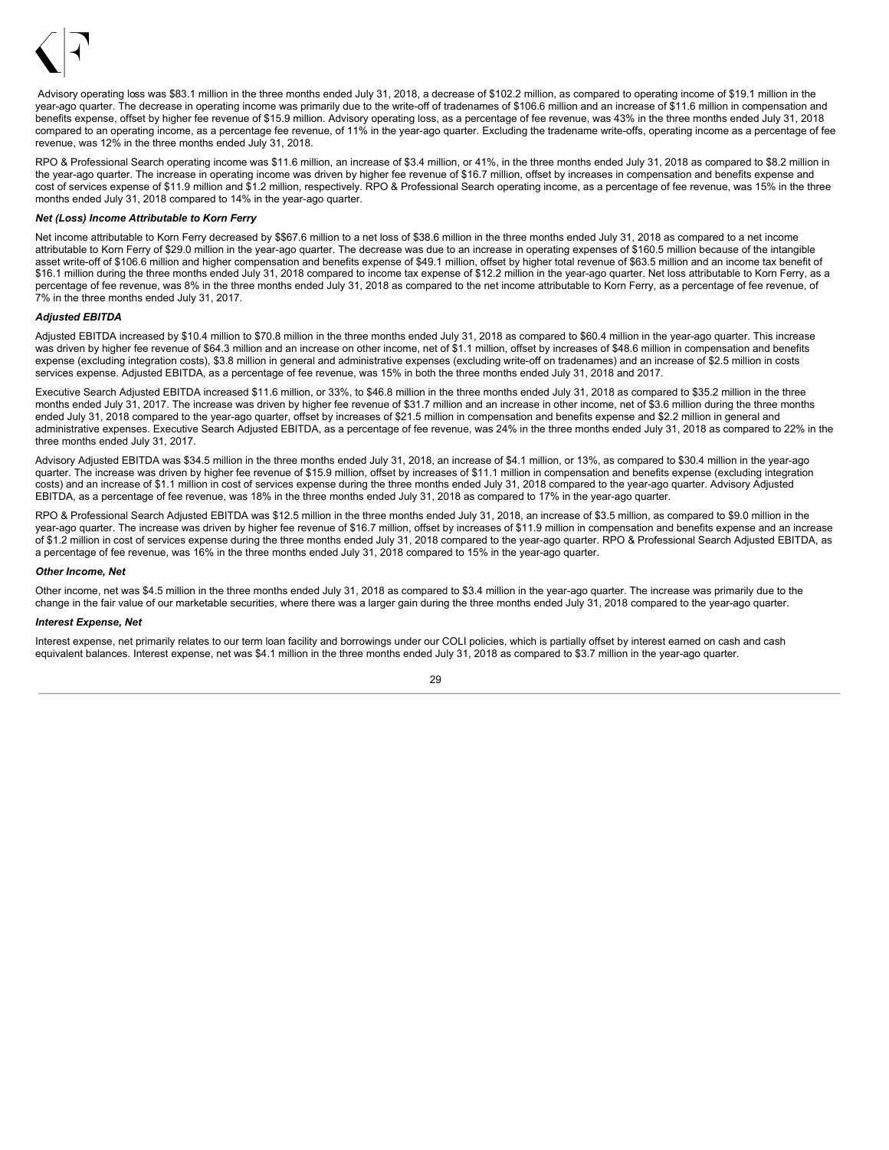

Advisory operating loss was \$83.1 million in the three months ended July 31, 2018, a decrease of \$102.2 million, as compared to operating income of \$19.1 million in the year-ago quarter. The decrease in operating income was primarily due to the write-off of tradenames of \$106.6 million and an increase of \$11.6 million in compensation and benefits expense, offset by higher fee revenue of \$15.9 million. Advisory operating loss, as a percentage of fee revenue, was 43% in the three months ended July 31, 2018 compared to an operating income, as a percentage fee revenue, of 11% in the year-ago quarter. Excluding the tradename write-offs, operating income as a percentage of fee revenue, was 12% in the three months ended July 31, 2018.

RPO & Professional Search operating income was \$11.6 million, an increase of \$3.4 million, or 41%, in the three months ended July 31, 2018 as compared to \$8.2 million in the year-ago quarter. The increase in operating income was driven by higher fee revenue of \$16.7 million, offset by increases in compensation and benefits expense and cost of services expense of \$11.9 million and \$1.2 million, respectively. RPO & Professional Search operating income, as a percentage of fee revenue, was 15% in the three months ended July 31, 2018 compared to 14% in the year-ago quarter.

### *Net (Loss) Income Attributable to Korn Ferry*

Net income attributable to Korn Ferry decreased by \$\$67.6 million to a net loss of \$38.6 million in the three months ended July 31, 2018 as compared to a net income attributable to Korn Ferry of \$29.0 million in the year-ago quarter. The decrease was due to an increase in operating expenses of \$160.5 million because of the intangible asset write-off of \$106.6 million and higher compensation and benefits expense of \$49.1 million, offset by higher total revenue of \$63.5 million and an income tax benefit of \$16.1 million during the three months ended July 31, 2018 compared to income tax expense of \$12.2 million in the year-ago quarter. Net loss attributable to Korn Ferry, as a percentage of fee revenue, was 8% in the three months ended July 31, 2018 as compared to the net income attributable to Korn Ferry, as a percentage of fee revenue, of 7% in the three months ended July 31, 2017.

### *Adjusted EBITDA*

Adjusted EBITDA increased by \$10.4 million to \$70.8 million in the three months ended July 31, 2018 as compared to \$60.4 million in the year-ago quarter. This increase was driven by higher fee revenue of \$64.3 million and an increase on other income, net of \$1.1 million, offset by increases of \$48.6 million in compensation and benefits expense (excluding integration costs), \$3.8 million in general and administrative expenses (excluding write-off on tradenames) and an increase of \$2.5 million in costs services expense. Adjusted EBITDA, as a percentage of fee revenue, was 15% in both the three months ended July 31, 2018 and 2017.

Executive Search Adjusted EBITDA increased \$11.6 million, or 33%, to \$46.8 million in the three months ended July 31, 2018 as compared to \$35.2 million in the three months ended July 31, 2017. The increase was driven by higher fee revenue of \$31.7 million and an increase in other income, net of \$3.6 million during the three months ended July 31, 2018 compared to the year-ago quarter, offset by increases of \$21.5 million in compensation and benefits expense and \$2.2 million in general and administrative expenses. Executive Search Adjusted EBITDA, as a percentage of fee revenue, was 24% in the three months ended July 31, 2018 as compared to 22% in the three months ended July 31, 2017.

Advisory Adjusted EBITDA was \$34.5 million in the three months ended July 31, 2018, an increase of \$4.1 million, or 13%, as compared to \$30.4 million in the year-ago quarter. The increase was driven by higher fee revenue of \$15.9 million, offset by increases of \$11.1 million in compensation and benefits expense (excluding integration costs) and an increase of \$1.1 million in cost of services expense during the three months ended July 31, 2018 compared to the year-ago quarter. Advisory Adjusted EBITDA, as a percentage of fee revenue, was 18% in the three months ended July 31, 2018 as compared to 17% in the year-ago quarter.

RPO & Professional Search Adjusted EBITDA was \$12.5 million in the three months ended July 31, 2018, an increase of \$3.5 million, as compared to \$9.0 million in the year-ago quarter. The increase was driven by higher fee revenue of \$16.7 million, offset by increases of \$11.9 million in compensation and benefits expense and an increase of \$1.2 million in cost of services expense during the three months ended July 31, 2018 compared to the year-ago quarter. RPO & Professional Search Adjusted EBITDA, as a percentage of fee revenue, was 16% in the three months ended July 31, 2018 compared to 15% in the year-ago quarter.

#### *Other Income, Net*

Other income, net was \$4.5 million in the three months ended July 31, 2018 as compared to \$3.4 million in the year-ago quarter. The increase was primarily due to the change in the fair value of our marketable securities, where there was a larger gain during the three months ended July 31, 2018 compared to the year-ago quarter.

#### *Interest Expense, Net*

Interest expense, net primarily relates to our term loan facility and borrowings under our COLI policies, which is partially offset by interest earned on cash and cash equivalent balances. Interest expense, net was \$4.1 million in the three months ended July 31, 2018 as compared to \$3.7 million in the year-ago quarter.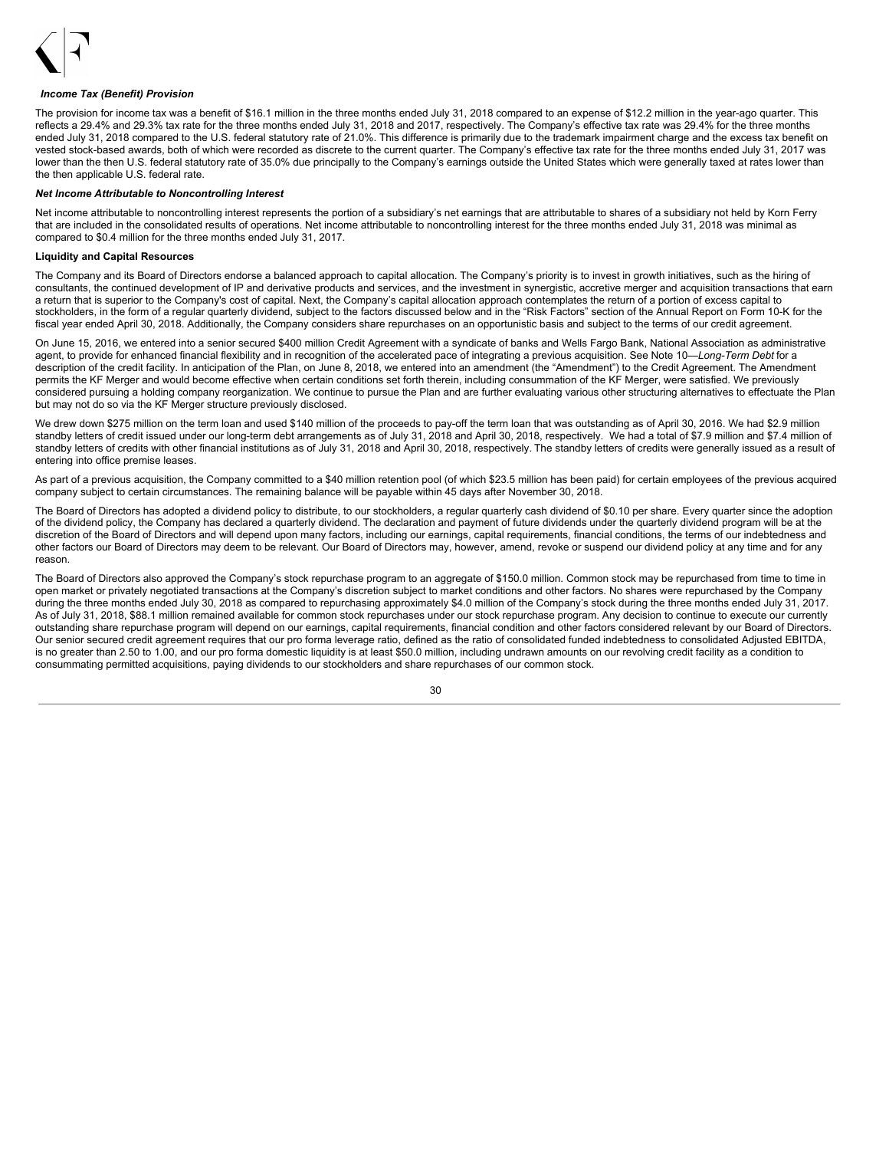

#### *Income Tax (Benefit) Provision*

The provision for income tax was a benefit of \$16.1 million in the three months ended July 31, 2018 compared to an expense of \$12.2 million in the year-ago quarter. This reflects a 29.4% and 29.3% tax rate for the three months ended July 31, 2018 and 2017, respectively. The Company's effective tax rate was 29.4% for the three months ended July 31, 2018 compared to the U.S. federal statutory rate of 21.0%. This difference is primarily due to the trademark impairment charge and the excess tax benefit on vested stock-based awards, both of which were recorded as discrete to the current quarter. The Company's effective tax rate for the three months ended July 31, 2017 was lower than the then U.S. federal statutory rate of 35.0% due principally to the Company's earnings outside the United States which were generally taxed at rates lower than the then applicable U.S. federal rate.

### *Net Income Attributable to Noncontrolling Interest*

Net income attributable to noncontrolling interest represents the portion of a subsidiary's net earnings that are attributable to shares of a subsidiary not held by Korn Ferry that are included in the consolidated results of operations. Net income attributable to noncontrolling interest for the three months ended July 31, 2018 was minimal as compared to \$0.4 million for the three months ended July 31, 2017.

## **Liquidity and Capital Resources**

The Company and its Board of Directors endorse a balanced approach to capital allocation. The Company's priority is to invest in growth initiatives, such as the hiring of consultants, the continued development of IP and derivative products and services, and the investment in synergistic, accretive merger and acquisition transactions that earn a return that is superior to the Company's cost of capital. Next, the Company's capital allocation approach contemplates the return of a portion of excess capital to stockholders, in the form of a regular quarterly dividend, subject to the factors discussed below and in the "Risk Factors" section of the Annual Report on Form 10-K for the fiscal year ended April 30, 2018. Additionally, the Company considers share repurchases on an opportunistic basis and subject to the terms of our credit agreement.

On June 15, 2016, we entered into a senior secured \$400 million Credit Agreement with a syndicate of banks and Wells Fargo Bank, National Association as administrative agent, to provide for enhanced financial flexibility and in recognition of the accelerated pace of integrating a previous acquisition. See Note 10—*Long-Term Debt* for a description of the credit facility. In anticipation of the Plan, on June 8, 2018, we entered into an amendment (the "Amendment") to the Credit Agreement. The Amendment permits the KF Merger and would become effective when certain conditions set forth therein, including consummation of the KF Merger, were satisfied. We previously considered pursuing a holding company reorganization. We continue to pursue the Plan and are further evaluating various other structuring alternatives to effectuate the Plan but may not do so via the KF Merger structure previously disclosed.

We drew down \$275 million on the term loan and used \$140 million of the proceeds to pay-off the term loan that was outstanding as of April 30, 2016. We had \$2.9 million standby letters of credit issued under our long-term debt arrangements as of July 31, 2018 and April 30, 2018, respectively. We had a total of \$7.9 million and \$7.4 million of standby letters of credits with other financial institutions as of July 31, 2018 and April 30, 2018, respectively. The standby letters of credits were generally issued as a result of entering into office premise leases.

As part of a previous acquisition, the Company committed to a \$40 million retention pool (of which \$23.5 million has been paid) for certain employees of the previous acquired company subject to certain circumstances. The remaining balance will be payable within 45 days after November 30, 2018.

The Board of Directors has adopted a dividend policy to distribute, to our stockholders, a regular quarterly cash dividend of \$0.10 per share. Every quarter since the adoption of the dividend policy, the Company has declared a quarterly dividend. The declaration and payment of future dividends under the quarterly dividend program will be at the discretion of the Board of Directors and will depend upon many factors, including our earnings, capital requirements, financial conditions, the terms of our indebtedness and other factors our Board of Directors may deem to be relevant. Our Board of Directors may, however, amend, revoke or suspend our dividend policy at any time and for any reason.

The Board of Directors also approved the Company's stock repurchase program to an aggregate of \$150.0 million. Common stock may be repurchased from time to time in open market or privately negotiated transactions at the Company's discretion subject to market conditions and other factors. No shares were repurchased by the Company during the three months ended July 30, 2018 as compared to repurchasing approximately \$4.0 million of the Company's stock during the three months ended July 31, 2017. As of July 31, 2018, \$88.1 million remained available for common stock repurchases under our stock repurchase program. Any decision to continue to execute our currently outstanding share repurchase program will depend on our earnings, capital requirements, financial condition and other factors considered relevant by our Board of Directors. Our senior secured credit agreement requires that our pro forma leverage ratio, defined as the ratio of consolidated funded indebtedness to consolidated Adjusted EBITDA, is no greater than 2.50 to 1.00, and our pro forma domestic liquidity is at least \$50.0 million, including undrawn amounts on our revolving credit facility as a condition to consummating permitted acquisitions, paying dividends to our stockholders and share repurchases of our common stock.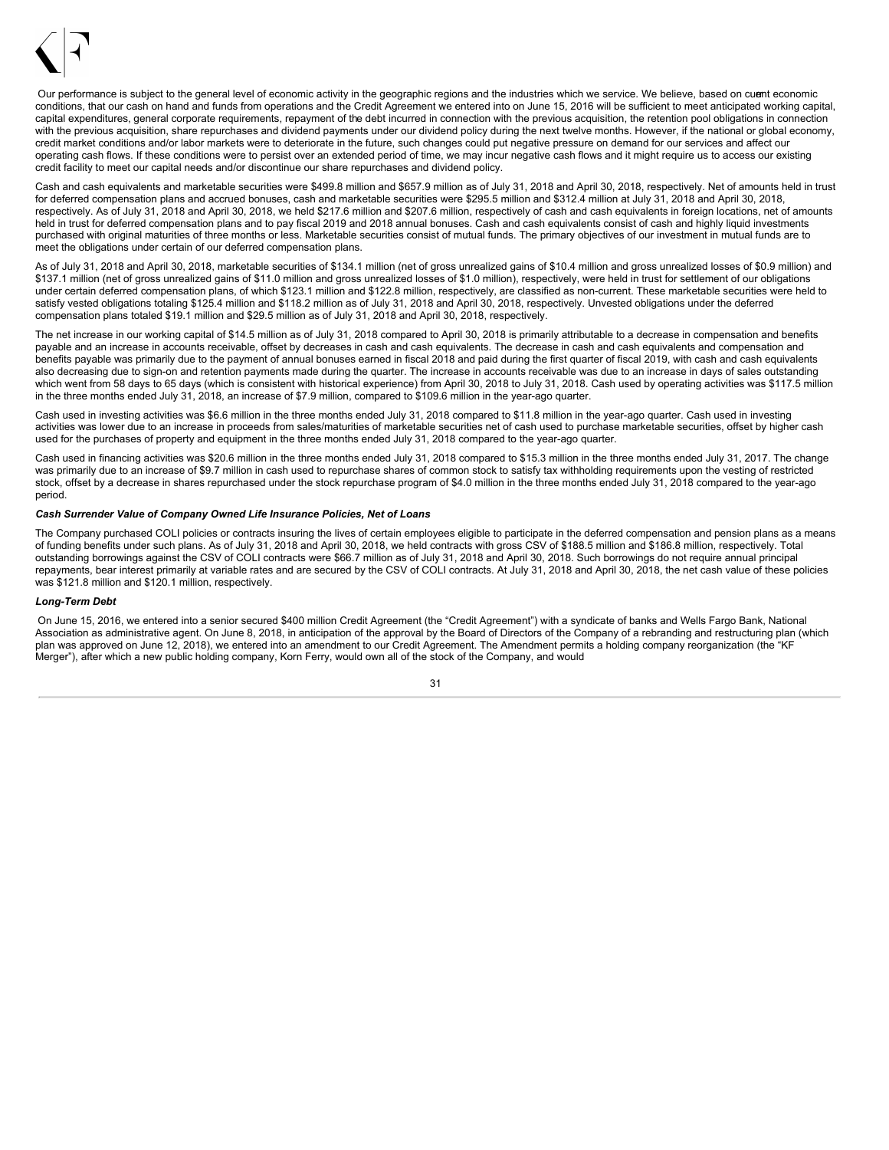

Our performance is subject to the general level of economic activity in the geographic regions and the industries which we service. We believe, based on cuent economic conditions, that our cash on hand and funds from operations and the Credit Agreement we entered into on June 15, 2016 will be sufficient to meet anticipated working capital, capital expenditures, general corporate requirements, repayment of the debt incurred in connection with the previous acquisition, the retention pool obligations in connection with the previous acquisition, share repurchases and dividend payments under our dividend policy during the next twelve months. However, if the national or global economy, credit market conditions and/or labor markets were to deteriorate in the future, such changes could put negative pressure on demand for our services and affect our operating cash flows. If these conditions were to persist over an extended period of time, we may incur negative cash flows and it might require us to access our existing credit facility to meet our capital needs and/or discontinue our share repurchases and dividend policy.

Cash and cash equivalents and marketable securities were \$499.8 million and \$657.9 million as of July 31, 2018 and April 30, 2018, respectively. Net of amounts held in trust for deferred compensation plans and accrued bonuses, cash and marketable securities were \$295.5 million and \$312.4 million at July 31, 2018 and April 30, 2018, respectively. As of July 31, 2018 and April 30, 2018, we held \$217.6 million and \$207.6 million, respectively of cash and cash equivalents in foreign locations, net of amounts held in trust for deferred compensation plans and to pay fiscal 2019 and 2018 annual bonuses. Cash and cash equivalents consist of cash and highly liquid investments purchased with original maturities of three months or less. Marketable securities consist of mutual funds. The primary objectives of our investment in mutual funds are to meet the obligations under certain of our deferred compensation plans.

As of July 31, 2018 and April 30, 2018, marketable securities of \$134.1 million (net of gross unrealized gains of \$10.4 million and gross unrealized losses of \$0.9 million) and \$137.1 million (net of gross unrealized gains of \$11.0 million and gross unrealized losses of \$1.0 million), respectively, were held in trust for settlement of our obligations under certain deferred compensation plans, of which \$123.1 million and \$122.8 million, respectively, are classified as non-current. These marketable securities were held to satisfy vested obligations totaling \$125.4 million and \$118.2 million as of July 31, 2018 and April 30, 2018, respectively. Unvested obligations under the deferred compensation plans totaled \$19.1 million and \$29.5 million as of July 31, 2018 and April 30, 2018, respectively.

The net increase in our working capital of \$14.5 million as of July 31, 2018 compared to April 30, 2018 is primarily attributable to a decrease in compensation and benefits payable and an increase in accounts receivable, offset by decreases in cash and cash equivalents. The decrease in cash and cash equivalents and compensation and benefits payable was primarily due to the payment of annual bonuses earned in fiscal 2018 and paid during the first quarter of fiscal 2019, with cash and cash equivalents also decreasing due to sign-on and retention payments made during the quarter. The increase in accounts receivable was due to an increase in days of sales outstanding which went from 58 days to 65 days (which is consistent with historical experience) from April 30, 2018 to July 31, 2018. Cash used by operating activities was \$117.5 million in the three months ended July 31, 2018, an increase of \$7.9 million, compared to \$109.6 million in the year-ago quarter.

Cash used in investing activities was \$6.6 million in the three months ended July 31, 2018 compared to \$11.8 million in the year-ago quarter. Cash used in investing activities was lower due to an increase in proceeds from sales/maturities of marketable securities net of cash used to purchase marketable securities, offset by higher cash used for the purchases of property and equipment in the three months ended July 31, 2018 compared to the year-ago quarter.

Cash used in financing activities was \$20.6 million in the three months ended July 31, 2018 compared to \$15.3 million in the three months ended July 31, 2017. The change was primarily due to an increase of \$9.7 million in cash used to repurchase shares of common stock to satisfy tax withholding requirements upon the vesting of restricted stock, offset by a decrease in shares repurchased under the stock repurchase program of \$4.0 million in the three months ended July 31, 2018 compared to the year-ago period.

## *Cash Surrender Value of Company Owned Life Insurance Policies, Net of Loans*

The Company purchased COLI policies or contracts insuring the lives of certain employees eligible to participate in the deferred compensation and pension plans as a means of funding benefits under such plans. As of July 31, 2018 and April 30, 2018, we held contracts with gross CSV of \$188.5 million and \$186.8 million, respectively. Total outstanding borrowings against the CSV of COLI contracts were \$66.7 million as of July 31, 2018 and April 30, 2018. Such borrowings do not require annual principal repayments, bear interest primarily at variable rates and are secured by the CSV of COLI contracts. At July 31, 2018 and April 30, 2018, the net cash value of these policies was \$121.8 million and \$120.1 million, respectively.

#### *Long-Term Debt*

On June 15, 2016, we entered into a senior secured \$400 million Credit Agreement (the "Credit Agreement") with a syndicate of banks and Wells Fargo Bank, National Association as administrative agent. On June 8, 2018, in anticipation of the approval by the Board of Directors of the Company of a rebranding and restructuring plan (which plan was approved on June 12, 2018), we entered into an amendment to our Credit Agreement. The Amendment permits a holding company reorganization (the "KF Merger"), after which a new public holding company, Korn Ferry, would own all of the stock of the Company, and would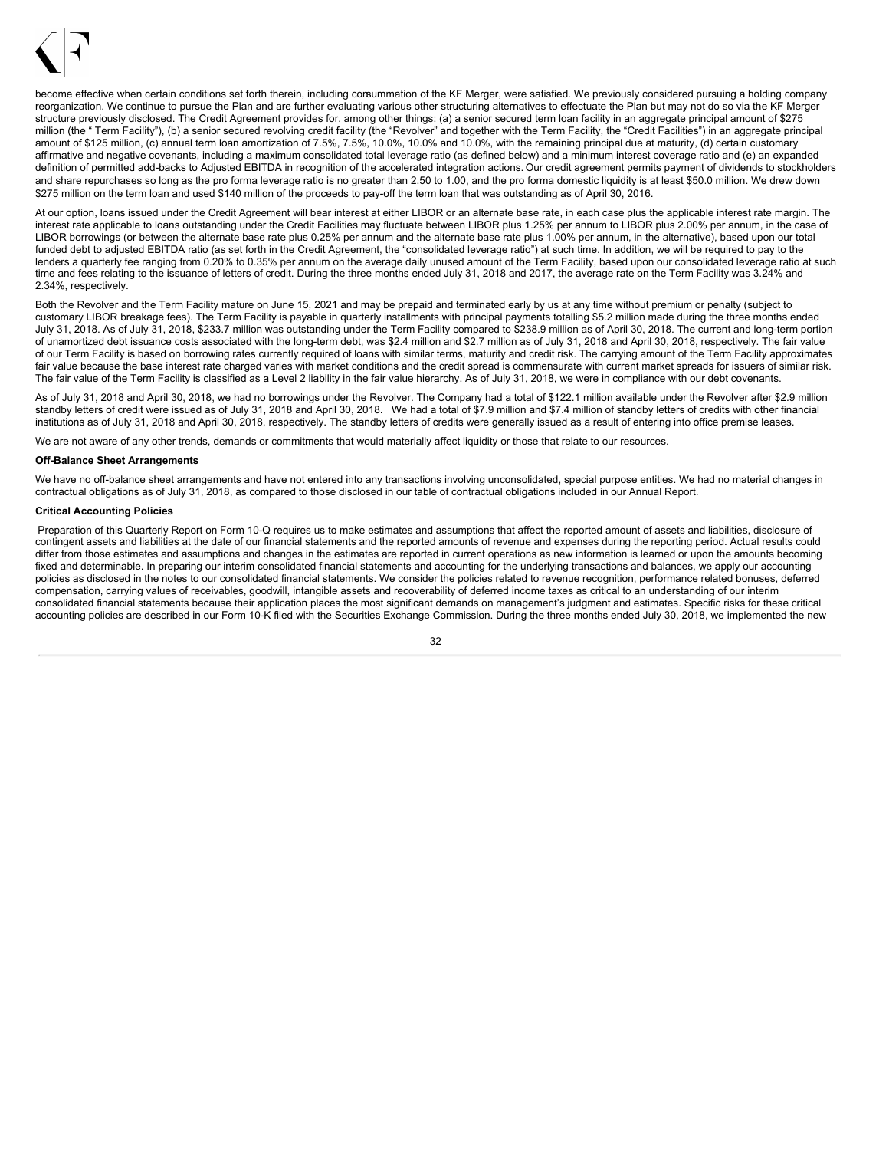

become effective when certain conditions set forth therein, including consummation of the KF Merger, were satisfied. We previously considered pursuing a holding company reorganization. We continue to pursue the Plan and are further evaluating various other structuring alternatives to effectuate the Plan but may not do so via the KF Merger structure previously disclosed. The Credit Agreement provides for, among other things: (a) a senior secured term loan facility in an aggregate principal amount of \$275 million (the " Term Facility"), (b) a senior secured revolving credit facility (the "Revolver" and together with the Term Facility, the "Credit Facilities") in an aggregate principal amount of \$125 million, (c) annual term loan amortization of 7.5%, 7.5%, 10.0%, 10.0% and 10.0%, with the remaining principal due at maturity, (d) certain customary affirmative and negative covenants, including a maximum consolidated total leverage ratio (as defined below) and a minimum interest coverage ratio and (e) an expanded definition of permitted add-backs to Adjusted EBITDA in recognition of the accelerated integration actions. Our credit agreement permits payment of dividends to stockholders and share repurchases so long as the pro forma leverage ratio is no greater than 2.50 to 1.00, and the pro forma domestic liquidity is at least \$50.0 million. We drew down \$275 million on the term loan and used \$140 million of the proceeds to pay-off the term loan that was outstanding as of April 30, 2016.

At our option, loans issued under the Credit Agreement will bear interest at either LIBOR or an alternate base rate, in each case plus the applicable interest rate margin. The interest rate applicable to loans outstanding under the Credit Facilities may fluctuate between LIBOR plus 1.25% per annum to LIBOR plus 2.00% per annum, in the case of LIBOR borrowings (or between the alternate base rate plus 0.25% per annum and the alternate base rate plus 1.00% per annum, in the alternative), based upon our total funded debt to adjusted EBITDA ratio (as set forth in the Credit Agreement, the "consolidated leverage ratio") at such time. In addition, we will be required to pay to the lenders a quarterly fee ranging from 0.20% to 0.35% per annum on the average daily unused amount of the Term Facility, based upon our consolidated leverage ratio at such time and fees relating to the issuance of letters of credit. During the three months ended July 31, 2018 and 2017, the average rate on the Term Facility was 3.24% and 2.34%, respectively.

Both the Revolver and the Term Facility mature on June 15, 2021 and may be prepaid and terminated early by us at any time without premium or penalty (subject to customary LIBOR breakage fees). The Term Facility is payable in quarterly installments with principal payments totalling \$5.2 million made during the three months ended July 31, 2018. As of July 31, 2018, \$233.7 million was outstanding under the Term Facility compared to \$238.9 million as of April 30, 2018. The current and long-term portion of unamortized debt issuance costs associated with the long-term debt, was \$2.4 million and \$2.7 million as of July 31, 2018 and April 30, 2018, respectively. The fair value of our Term Facility is based on borrowing rates currently required of loans with similar terms, maturity and credit risk. The carrying amount of the Term Facility approximates fair value because the base interest rate charged varies with market conditions and the credit spread is commensurate with current market spreads for issuers of similar risk. The fair value of the Term Facility is classified as a Level 2 liability in the fair value hierarchy. As of July 31, 2018, we were in compliance with our debt covenants.

As of July 31, 2018 and April 30, 2018, we had no borrowings under the Revolver. The Company had a total of \$122.1 million available under the Revolver after \$2.9 million standby letters of credit were issued as of July 31, 2018 and April 30, 2018. We had a total of \$7.9 million and \$7.4 million of standby letters of credits with other financial institutions as of July 31, 2018 and April 30, 2018, respectively. The standby letters of credits were generally issued as a result of entering into office premise leases.

We are not aware of any other trends, demands or commitments that would materially affect liquidity or those that relate to our resources.

#### **Off-Balance Sheet Arrangements**

We have no off-balance sheet arrangements and have not entered into any transactions involving unconsolidated, special purpose entities. We had no material changes in contractual obligations as of July 31, 2018, as compared to those disclosed in our table of contractual obligations included in our Annual Report.

## **Critical Accounting Policies**

Preparation of this Quarterly Report on Form 10-Q requires us to make estimates and assumptions that affect the reported amount of assets and liabilities, disclosure of contingent assets and liabilities at the date of our financial statements and the reported amounts of revenue and expenses during the reporting period. Actual results could differ from those estimates and assumptions and changes in the estimates are reported in current operations as new information is learned or upon the amounts becoming fixed and determinable. In preparing our interim consolidated financial statements and accounting for the underlying transactions and balances, we apply our accounting policies as disclosed in the notes to our consolidated financial statements. We consider the policies related to revenue recognition, performance related bonuses, deferred compensation, carrying values of receivables, goodwill, intangible assets and recoverability of deferred income taxes as critical to an understanding of our interim consolidated financial statements because their application places the most significant demands on management's judgment and estimates. Specific risks for these critical accounting policies are described in our Form 10-K filed with the Securities Exchange Commission. During the three months ended July 30, 2018, we implemented the new

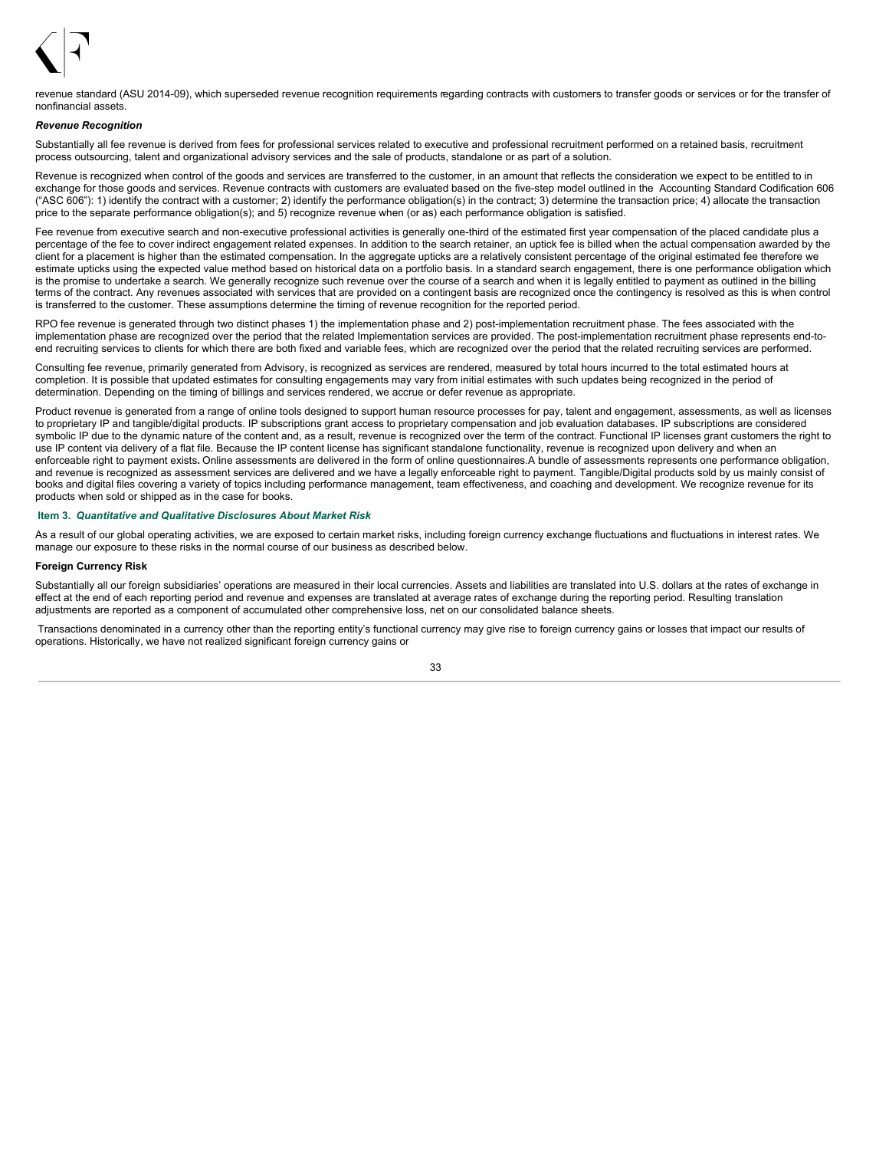

revenue standard (ASU 2014-09), which superseded revenue recognition requirements regarding contracts with customers to transfer goods or services or for the transfer of nonfinancial assets.

#### *Revenue Recognition*

Substantially all fee revenue is derived from fees for professional services related to executive and professional recruitment performed on a retained basis, recruitment process outsourcing, talent and organizational advisory services and the sale of products, standalone or as part of a solution.

Revenue is recognized when control of the goods and services are transferred to the customer, in an amount that reflects the consideration we expect to be entitled to in exchange for those goods and services. Revenue contracts with customers are evaluated based on the five-step model outlined in the Accounting Standard Codification 606 ("ASC 606"): 1) identify the contract with a customer; 2) identify the performance obligation(s) in the contract; 3) determine the transaction price; 4) allocate the transaction price to the separate performance obligation(s); and 5) recognize revenue when (or as) each performance obligation is satisfied.

Fee revenue from executive search and non-executive professional activities is generally one-third of the estimated first year compensation of the placed candidate plus a percentage of the fee to cover indirect engagement related expenses. In addition to the search retainer, an uptick fee is billed when the actual compensation awarded by the client for a placement is higher than the estimated compensation. In the aggregate upticks are a relatively consistent percentage of the original estimated fee therefore we estimate upticks using the expected value method based on historical data on a portfolio basis. In a standard search engagement, there is one performance obligation which is the promise to undertake a search. We generally recognize such revenue over the course of a search and when it is legally entitled to payment as outlined in the billing terms of the contract. Any revenues associated with services that are provided on a contingent basis are recognized once the contingency is resolved as this is when control is transferred to the customer. These assumptions determine the timing of revenue recognition for the reported period.

RPO fee revenue is generated through two distinct phases 1) the implementation phase and 2) post-implementation recruitment phase. The fees associated with the implementation phase are recognized over the period that the related Implementation services are provided. The post-implementation recruitment phase represents end-toend recruiting services to clients for which there are both fixed and variable fees, which are recognized over the period that the related recruiting services are performed.

Consulting fee revenue, primarily generated from Advisory, is recognized as services are rendered, measured by total hours incurred to the total estimated hours at completion. It is possible that updated estimates for consulting engagements may vary from initial estimates with such updates being recognized in the period of determination. Depending on the timing of billings and services rendered, we accrue or defer revenue as appropriate.

Product revenue is generated from a range of online tools designed to support human resource processes for pay, talent and engagement, assessments, as well as licenses to proprietary IP and tangible/digital products. IP subscriptions grant access to proprietary compensation and job evaluation databases. IP subscriptions are considered symbolic IP due to the dynamic nature of the content and, as a result, revenue is recognized over the term of the contract. Functional IP licenses grant customers the right to use IP content via delivery of a flat file. Because the IP content license has significant standalone functionality, revenue is recognized upon delivery and when an enforceable right to payment exists**.** Online assessments are delivered in the form of online questionnaires.A bundle of assessments represents one performance obligation, and revenue is recognized as assessment services are delivered and we have a legally enforceable right to payment. Tangible/Digital products sold by us mainly consist of books and digital files covering a variety of topics including performance management, team effectiveness, and coaching and development. We recognize revenue for its products when sold or shipped as in the case for books.

### <span id="page-34-0"></span>**Item 3.** *Quantitative and Qualitative Disclosures About Market Risk*

As a result of our global operating activities, we are exposed to certain market risks, including foreign currency exchange fluctuations and fluctuations in interest rates. We manage our exposure to these risks in the normal course of our business as described below.

#### **Foreign Currency Risk**

Substantially all our foreign subsidiaries' operations are measured in their local currencies. Assets and liabilities are translated into U.S. dollars at the rates of exchange in effect at the end of each reporting period and revenue and expenses are translated at average rates of exchange during the reporting period. Resulting translation adjustments are reported as a component of accumulated other comprehensive loss, net on our consolidated balance sheets.

Transactions denominated in a currency other than the reporting entity's functional currency may give rise to foreign currency gains or losses that impact our results of operations. Historically, we have not realized significant foreign currency gains or

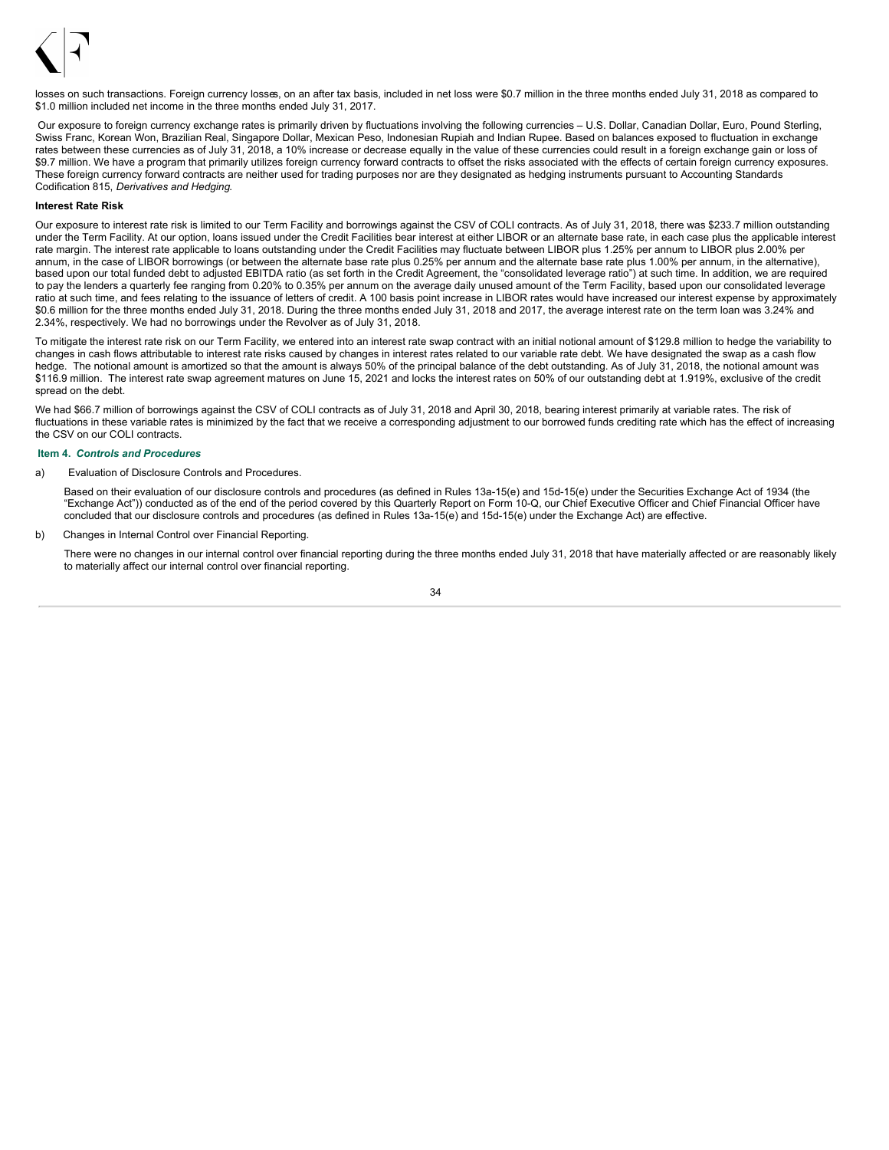

losses on such transactions. Foreign currency losses, on an after tax basis, included in net loss were \$0.7 million in the three months ended July 31, 2018 as compared to \$1.0 million included net income in the three months ended July 31, 2017.

Our exposure to foreign currency exchange rates is primarily driven by fluctuations involving the following currencies – U.S. Dollar, Canadian Dollar, Euro, Pound Sterling, Swiss Franc, Korean Won, Brazilian Real, Singapore Dollar, Mexican Peso, Indonesian Rupiah and Indian Rupee. Based on balances exposed to fluctuation in exchange rates between these currencies as of July 31, 2018, a 10% increase or decrease equally in the value of these currencies could result in a foreign exchange gain or loss of \$9.7 million. We have a program that primarily utilizes foreign currency forward contracts to offset the risks associated with the effects of certain foreign currency exposures. These foreign currency forward contracts are neither used for trading purposes nor are they designated as hedging instruments pursuant to Accounting Standards Codification 815, *Derivatives and Hedging*.

#### **Interest Rate Risk**

Our exposure to interest rate risk is limited to our Term Facility and borrowings against the CSV of COLI contracts. As of July 31, 2018, there was \$233.7 million outstanding under the Term Facility. At our option, loans issued under the Credit Facilities bear interest at either LIBOR or an alternate base rate, in each case plus the applicable interest rate margin. The interest rate applicable to loans outstanding under the Credit Facilities may fluctuate between LIBOR plus 1.25% per annum to LIBOR plus 2.00% per annum, in the case of LIBOR borrowings (or between the alternate base rate plus 0.25% per annum and the alternate base rate plus 1.00% per annum, in the alternative), based upon our total funded debt to adjusted EBITDA ratio (as set forth in the Credit Agreement, the "consolidated leverage ratio") at such time. In addition, we are required to pay the lenders a quarterly fee ranging from 0.20% to 0.35% per annum on the average daily unused amount of the Term Facility, based upon our consolidated leverage ratio at such time, and fees relating to the issuance of letters of credit. A 100 basis point increase in LIBOR rates would have increased our interest expense by approximately \$0.6 million for the three months ended July 31, 2018. During the three months ended July 31, 2018 and 2017, the average interest rate on the term loan was 3.24% and 2.34%, respectively. We had no borrowings under the Revolver as of July 31, 2018.

To mitigate the interest rate risk on our Term Facility, we entered into an interest rate swap contract with an initial notional amount of \$129.8 million to hedge the variability to changes in cash flows attributable to interest rate risks caused by changes in interest rates related to our variable rate debt. We have designated the swap as a cash flow hedge. The notional amount is amortized so that the amount is always 50% of the principal balance of the debt outstanding. As of July 31, 2018, the notional amount was \$116.9 million. The interest rate swap agreement matures on June 15, 2021 and locks the interest rates on 50% of our outstanding debt at 1.919%, exclusive of the credit spread on the debt.

We had \$66.7 million of borrowings against the CSV of COLI contracts as of July 31, 2018 and April 30, 2018, bearing interest primarily at variable rates. The risk of fluctuations in these variable rates is minimized by the fact that we receive a corresponding adjustment to our borrowed funds crediting rate which has the effect of increasing the CSV on our COLI contracts.

#### <span id="page-35-0"></span>**Item 4.** *Controls and Procedures*

### a) Evaluation of Disclosure Controls and Procedures.

Based on their evaluation of our disclosure controls and procedures (as defined in Rules 13a-15(e) and 15d-15(e) under the Securities Exchange Act of 1934 (the "Exchange Act")) conducted as of the end of the period covered by this Quarterly Report on Form 10-Q, our Chief Executive Officer and Chief Financial Officer have concluded that our disclosure controls and procedures (as defined in Rules 13a-15(e) and 15d-15(e) under the Exchange Act) are effective.

#### b) Changes in Internal Control over Financial Reporting.

There were no changes in our internal control over financial reporting during the three months ended July 31, 2018 that have materially affected or are reasonably likely to materially affect our internal control over financial reporting.

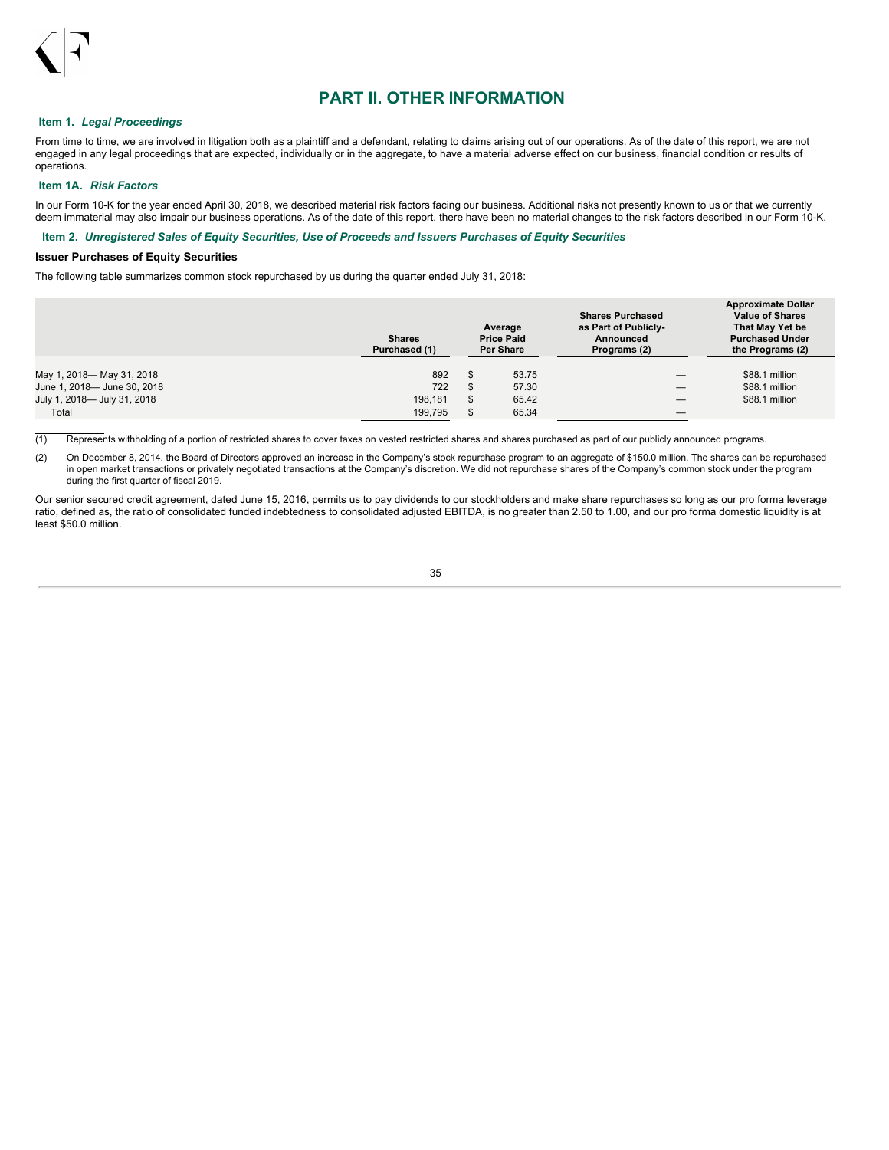

## **PART II. OTHER INFORMATION**

## <span id="page-36-0"></span>**Item 1.** *Legal Proceedings*

From time to time, we are involved in litigation both as a plaintiff and a defendant, relating to claims arising out of our operations. As of the date of this report, we are not engaged in any legal proceedings that are expected, individually or in the aggregate, to have a material adverse effect on our business, financial condition or results of operations.

## <span id="page-36-1"></span>**Item 1A.** *Risk Factors*

In our Form 10-K for the year ended April 30, 2018, we described material risk factors facing our business. Additional risks not presently known to us or that we currently deem immaterial may also impair our business operations. As of the date of this report, there have been no material changes to the risk factors described in our Form 10-K.

### <span id="page-36-2"></span>**Item 2.** *Unregistered Sales of Equity Securities, Use of Proceeds and Issuers Purchases of Equity Securities*

## **Issuer Purchases of Equity Securities**

The following table summarizes common stock repurchased by us during the quarter ended July 31, 2018:

|                                                                                         | <b>Shares</b><br>Purchased (1) | Average<br><b>Price Paid</b><br><b>Per Share</b> | <b>Shares Purchased</b><br>as Part of Publicly-<br>Announced<br>Programs (2) | <b>Approximate Dollar</b><br><b>Value of Shares</b><br>That May Yet be<br><b>Purchased Under</b><br>the Programs (2) |  |  |
|-----------------------------------------------------------------------------------------|--------------------------------|--------------------------------------------------|------------------------------------------------------------------------------|----------------------------------------------------------------------------------------------------------------------|--|--|
| May 1, 2018- May 31, 2018<br>June 1, 2018- June 30, 2018<br>July 1, 2018- July 31, 2018 | 892<br>722<br>198.181          | 53.75<br>57.30<br>65.42                          |                                                                              | \$88.1 million<br>\$88.1 million<br>\$88.1 million                                                                   |  |  |
| Total                                                                                   | 199.795                        | 65.34                                            |                                                                              |                                                                                                                      |  |  |

(1) Represents withholding of a portion of restricted shares to cover taxes on vested restricted shares and shares purchased as part of our publicly announced programs.

(2) On December 8, 2014, the Board of Directors approved an increase in the Company's stock repurchase program to an aggregate of \$150.0 million. The shares can be repurchased in open market transactions or privately negotiated transactions at the Company's discretion. We did not repurchase shares of the Company's common stock under the program during the first quarter of fiscal 2019.

Our senior secured credit agreement, dated June 15, 2016, permits us to pay dividends to our stockholders and make share repurchases so long as our pro forma leverage ratio, defined as, the ratio of consolidated funded indebtedness to consolidated adjusted EBITDA, is no greater than 2.50 to 1.00, and our pro forma domestic liquidity is at least \$50.0 million.

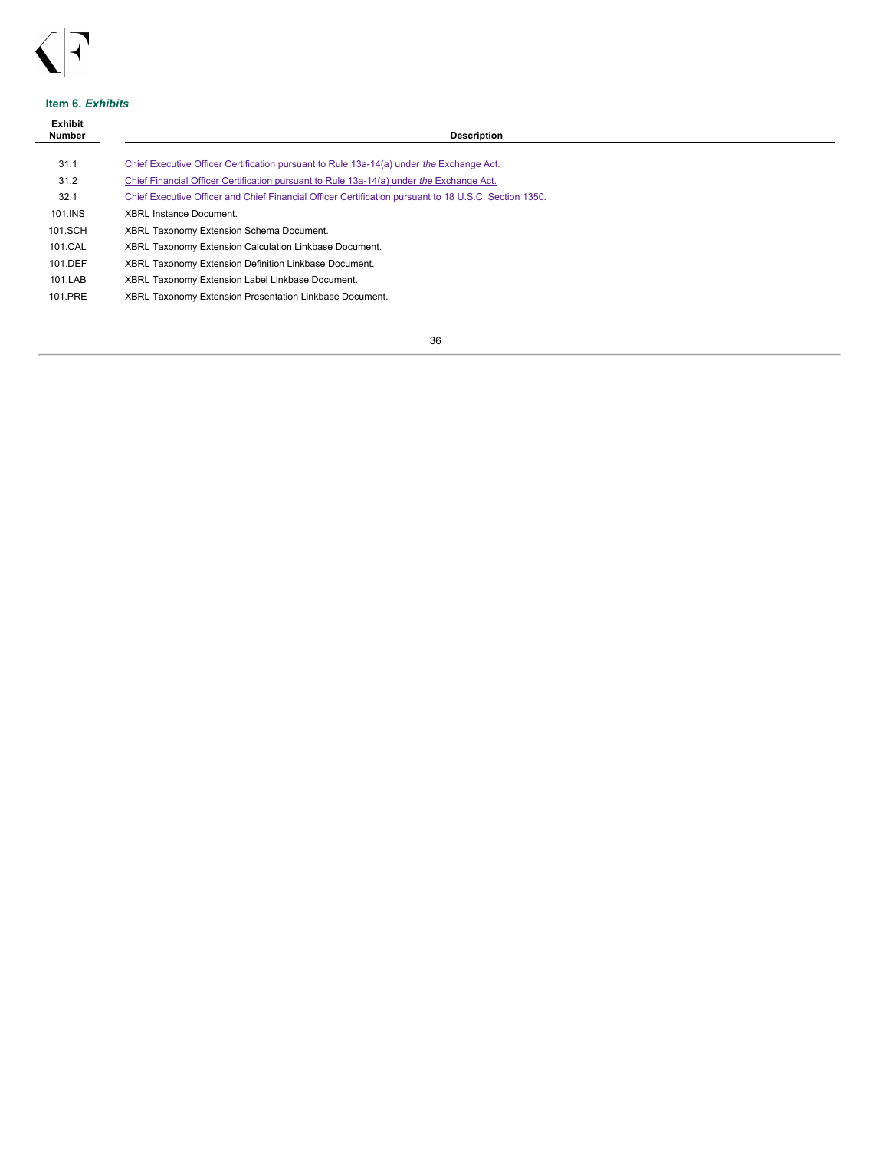

## <span id="page-37-0"></span>**Item 6.** *Exhibits*

| <b>Exhibit</b><br>Number | <b>Description</b>                                                                                    |
|--------------------------|-------------------------------------------------------------------------------------------------------|
| 31.1                     | Chief Executive Officer Certification pursuant to Rule 13a-14(a) under the Exchange Act.              |
| 31.2                     | Chief Financial Officer Certification pursuant to Rule 13a-14(a) under the Exchange Act.              |
| 32.1                     | Chief Executive Officer and Chief Financial Officer Certification pursuant to 18 U.S.C. Section 1350. |
| 101.INS                  | <b>XBRL Instance Document.</b>                                                                        |
| 101.SCH                  | XBRL Taxonomy Extension Schema Document.                                                              |
| 101.CAL                  | XBRL Taxonomy Extension Calculation Linkbase Document.                                                |
| 101.DEF                  | XBRL Taxonomy Extension Definition Linkbase Document.                                                 |
| 101.LAB                  | XBRL Taxonomy Extension Label Linkbase Document.                                                      |
| 101.PRE                  | XBRL Taxonomy Extension Presentation Linkbase Document.                                               |
|                          |                                                                                                       |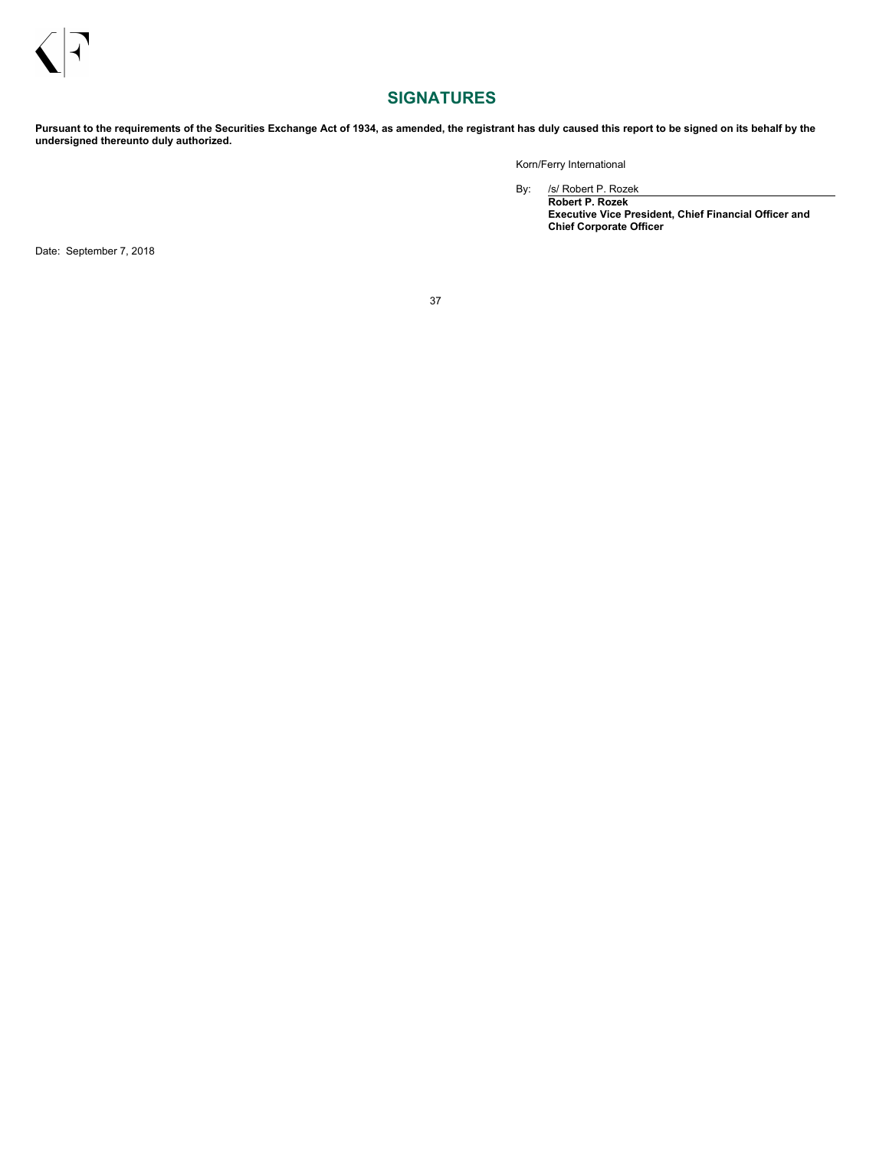# <span id="page-38-0"></span>**SIGNATURES**

Pursuant to the requirements of the Securities Exchange Act of 1934, as amended, the registrant has duly caused this report to be signed on its behalf by the **undersigned thereunto duly authorized.**

Korn/Ferry International

By: /s/ Robert P. Rozek

**Robert P. Rozek Executive Vice President, Chief Financial Officer and Chief Corporate Officer**

Date: September 7, 2018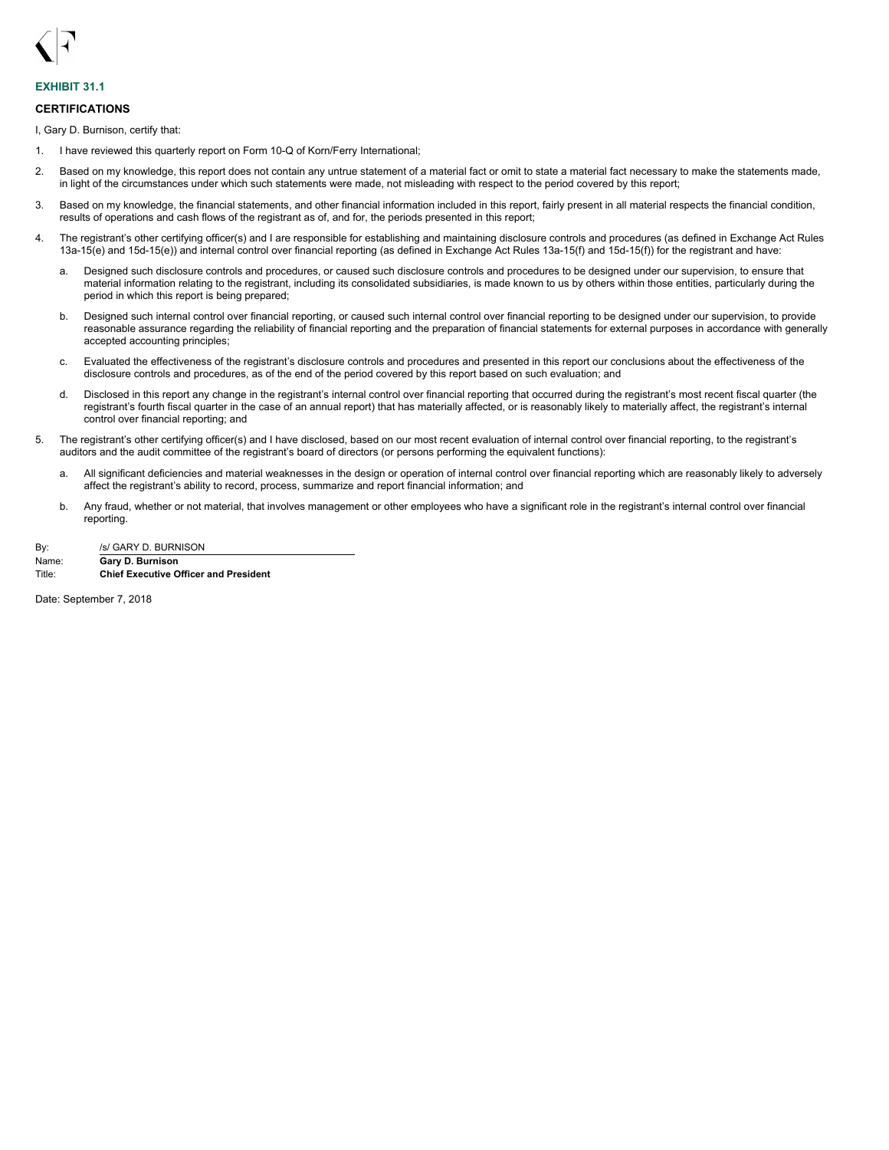<span id="page-39-0"></span>

## **EXHIBIT 31.1**

### **CERTIFICATIONS**

I, Gary D. Burnison, certify that:

- 1. I have reviewed this quarterly report on Form 10-Q of Korn/Ferry International;
- 2. Based on my knowledge, this report does not contain any untrue statement of a material fact or omit to state a material fact necessary to make the statements made, in light of the circumstances under which such statements were made, not misleading with respect to the period covered by this report;
- 3. Based on my knowledge, the financial statements, and other financial information included in this report, fairly present in all material respects the financial condition, results of operations and cash flows of the registrant as of, and for, the periods presented in this report;
- 4. The registrant's other certifying officer(s) and I are responsible for establishing and maintaining disclosure controls and procedures (as defined in Exchange Act Rules 13a-15(e) and 15d-15(e)) and internal control over financial reporting (as defined in Exchange Act Rules 13a-15(f) and 15d-15(f)) for the registrant and have:
	- a. Designed such disclosure controls and procedures, or caused such disclosure controls and procedures to be designed under our supervision, to ensure that material information relating to the registrant, including its consolidated subsidiaries, is made known to us by others within those entities, particularly during the period in which this report is being prepared;
	- b. Designed such internal control over financial reporting, or caused such internal control over financial reporting to be designed under our supervision, to provide reasonable assurance regarding the reliability of financial reporting and the preparation of financial statements for external purposes in accordance with generally accepted accounting principles;
	- c. Evaluated the effectiveness of the registrant's disclosure controls and procedures and presented in this report our conclusions about the effectiveness of the disclosure controls and procedures, as of the end of the period covered by this report based on such evaluation; and
	- d. Disclosed in this report any change in the registrant's internal control over financial reporting that occurred during the registrant's most recent fiscal quarter (the registrant's fourth fiscal quarter in the case of an annual report) that has materially affected, or is reasonably likely to materially affect, the registrant's internal control over financial reporting; and
- 5. The registrant's other certifying officer(s) and I have disclosed, based on our most recent evaluation of internal control over financial reporting, to the registrant's auditors and the audit committee of the registrant's board of directors (or persons performing the equivalent functions):
	- a. All significant deficiencies and material weaknesses in the design or operation of internal control over financial reporting which are reasonably likely to adversely affect the registrant's ability to record, process, summarize and report financial information; and
	- b. Any fraud, whether or not material, that involves management or other employees who have a significant role in the registrant's internal control over financial reporting.
- By: /s/ GARY D. BURNISON Name: **Gary D. Burnison**

#### Title: **Chief Executive Officer and President**

Date: September 7, 2018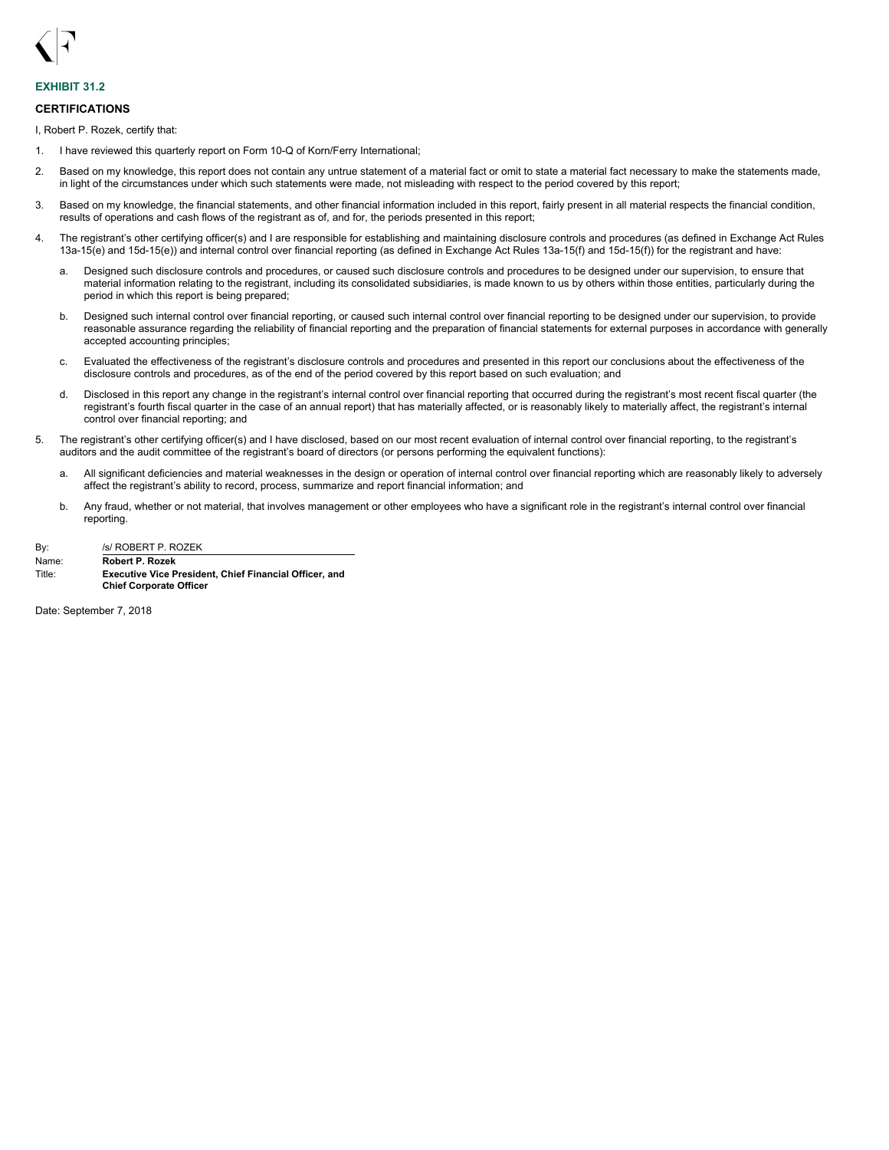<span id="page-40-0"></span>

## **EXHIBIT 31.2**

### **CERTIFICATIONS**

I, Robert P. Rozek, certify that:

- 1. I have reviewed this quarterly report on Form 10-Q of Korn/Ferry International;
- 2. Based on my knowledge, this report does not contain any untrue statement of a material fact or omit to state a material fact necessary to make the statements made, in light of the circumstances under which such statements were made, not misleading with respect to the period covered by this report;
- 3. Based on my knowledge, the financial statements, and other financial information included in this report, fairly present in all material respects the financial condition, results of operations and cash flows of the registrant as of, and for, the periods presented in this report;
- 4. The registrant's other certifying officer(s) and I are responsible for establishing and maintaining disclosure controls and procedures (as defined in Exchange Act Rules 13a-15(e) and 15d-15(e)) and internal control over financial reporting (as defined in Exchange Act Rules 13a-15(f) and 15d-15(f)) for the registrant and have:
	- a. Designed such disclosure controls and procedures, or caused such disclosure controls and procedures to be designed under our supervision, to ensure that material information relating to the registrant, including its consolidated subsidiaries, is made known to us by others within those entities, particularly during the period in which this report is being prepared;
	- b. Designed such internal control over financial reporting, or caused such internal control over financial reporting to be designed under our supervision, to provide reasonable assurance regarding the reliability of financial reporting and the preparation of financial statements for external purposes in accordance with generally accepted accounting principles;
	- c. Evaluated the effectiveness of the registrant's disclosure controls and procedures and presented in this report our conclusions about the effectiveness of the disclosure controls and procedures, as of the end of the period covered by this report based on such evaluation; and
	- d. Disclosed in this report any change in the registrant's internal control over financial reporting that occurred during the registrant's most recent fiscal quarter (the registrant's fourth fiscal quarter in the case of an annual report) that has materially affected, or is reasonably likely to materially affect, the registrant's internal control over financial reporting; and
- 5. The registrant's other certifying officer(s) and I have disclosed, based on our most recent evaluation of internal control over financial reporting, to the registrant's auditors and the audit committee of the registrant's board of directors (or persons performing the equivalent functions):
	- a. All significant deficiencies and material weaknesses in the design or operation of internal control over financial reporting which are reasonably likely to adversely affect the registrant's ability to record, process, summarize and report financial information; and
	- b. Any fraud, whether or not material, that involves management or other employees who have a significant role in the registrant's internal control over financial reporting.
- By: /s/ ROBERT P. ROZEK Name: **Robert P. Rozek**

Title: **Executive Vice President, Chief Financial Officer, and Chief Corporate Officer**

Date: September 7, 2018